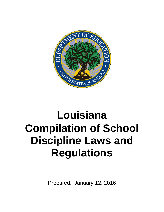

# **Louisiana Compilation of School Discipline Laws and Regulations**

Prepared: January 12, 2016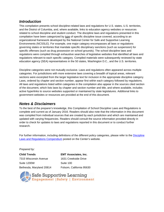# *Introduction*

This compilation presents school discipline-related laws and regulations for U.S. states, U.S. territories, and the District of Columbia, and, where available, links to education agency websites or resources related to school discipline and student conduct. The discipline laws and regulations presented in this compilation have been categorized by type of specific discipline issue covered, according to an organizational framework developed by the National Center for Safe and Supportive Learning Environments (NCSSLE). For example, one major category encompasses all laws or regulations governing states or territories that mandate specific disciplinary sanctions (such as suspension) for specific offenses (such as drug possession on school grounds). The school discipline laws and regulations were compiled through exhaustive searches of legislative websites that identified all laws and regulations relevant to each specific category. Compiled materials were subsequently reviewed by state education agency (SEA) representatives in the 50 states, Washington D.C., and the U.S. territories.

Discipline categories were not mutually exclusive. Laws and regulations often appeared across multiple categories. For jurisdictions with more extensive laws covering a breadth of topical areas, relevant sections were excerpted from the larger legislative text for inclusion in the appropriate discipline category. Laws, ordered by chapter and section number, appear first within each category followed by regulations. All laws and regulations listed within categories in the compilation also appear in the sources cited section of the document, which lists laws by chapter and section number and title, and where available, includes active hyperlinks to source websites supported or maintained by state legislatures. Additional links to government websites or resources are provided at the end of this document.

# *Notes & Disclaimers*

To the best of the preparer's knowledge, this Compilation of School Discipline Laws and Regulations is complete and current as of January 2016. Readers should also note that the information in this document was compiled from individual sources that are created by each jurisdiction and which are maintained and updated with varying frequencies. Readers should consult the source information provided directly in order to check for updates to laws and regulations reported in this document or to conduct further research.

For further information, including definitions of the different policy categories, please refer to the Discipline [Laws and Regulations Compendium](http://safesupportivelearning.ed.gov/school-discipline-compendium) posted on the Center's website.

# *Prepared by:*

**Child Trends**  7315 Wisconsin Avenue Suite 1200W Bethesda, Maryland 20814

**EMT Associates, Inc.**  1631 Creekside Drive Suite 100 Folsom, California 95630

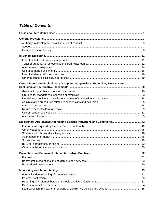# **Table of Contents**

| Out-of-School and Exclusionary Discipline: Suspensions, Expulsion, Restraint and |  |
|----------------------------------------------------------------------------------|--|
|                                                                                  |  |
|                                                                                  |  |
|                                                                                  |  |
|                                                                                  |  |
|                                                                                  |  |
|                                                                                  |  |
|                                                                                  |  |
|                                                                                  |  |
|                                                                                  |  |
|                                                                                  |  |
|                                                                                  |  |
|                                                                                  |  |
|                                                                                  |  |
|                                                                                  |  |
|                                                                                  |  |
|                                                                                  |  |
|                                                                                  |  |
|                                                                                  |  |
|                                                                                  |  |
|                                                                                  |  |
|                                                                                  |  |
|                                                                                  |  |
|                                                                                  |  |
|                                                                                  |  |
|                                                                                  |  |
|                                                                                  |  |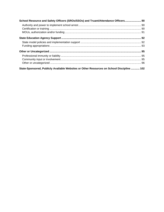| School Resource and Safety Officers (SROs/SSOs) and Truant/Attendance Officers 90         |  |
|-------------------------------------------------------------------------------------------|--|
|                                                                                           |  |
|                                                                                           |  |
|                                                                                           |  |
|                                                                                           |  |
|                                                                                           |  |
|                                                                                           |  |
|                                                                                           |  |
|                                                                                           |  |
|                                                                                           |  |
|                                                                                           |  |
| State-Sponsored, Publicly Available Websites or Other Resources on School Discipline  102 |  |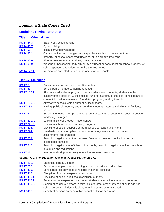# <span id="page-4-0"></span>*Louisiana State Codes Cited*

# **[Louisiana Revised Statutes](http://legis.la.gov/Legis/Laws_Toc.aspx?folder=75&level=Parent)**

# **[Title 14. Criminal Law](http://legis.la.gov/Legis/Laws_Toc.aspx?folder=75&level=Parent)**

| RS 14:34.3.  | Battery of a school teacher                                                         |
|--------------|-------------------------------------------------------------------------------------|
| RS 14:40.7.  | Cyberbullying                                                                       |
| RS 14:95.    | Illegal carrying of weapons                                                         |
| RS 14:95.2.  | Carrying a firearm or dangerous weapon by a student or nonstudent on school         |
|              | property, at school-sponsored functions, or in a firearm-free zone                  |
| RS 14:95.6.  | Firearm-free zone, notice, signs, crime, penalties                                  |
| RS 14:95.9.  | Wearing or possessing body armor, by a student or nonstudent on school property, at |
|              | school-sponsored functions, or in firearm-free zones                                |
| RS 14:122.1. | Intimidation and interference in the operation of schools                           |

# **[Title 17. Education](http://legis.la.gov/Legis/Laws_Toc.aspx?folder=75&level=Parent)**

| RS 17:7.                                                     | Duties, functions, and responsibilities of board                                                                   |  |
|--------------------------------------------------------------|--------------------------------------------------------------------------------------------------------------------|--|
| RS 17:53.                                                    | School board members; training required                                                                            |  |
| RS 17:100.1.                                                 | Alternative educational programs; certain adjudicated students; students in the                                    |  |
|                                                              | custody of the office of juvenile justice; funding; authority of the local school board to                         |  |
|                                                              | contract; inclusion in minimum foundation program; funding formula                                                 |  |
| RS 17:100.5.                                                 | Alternative schools; establishment by local boards                                                                 |  |
| RS 17:183.                                                   | Hazing; public elementary and secondary students; intent and findings; definitions;<br>policies                    |  |
| RS 17:221.                                                   | School attendance; compulsory ages; duty of parents; excessive absences; condition<br>for driving privileges       |  |
| RS 17:221.4.                                                 | Louisiana School Dropout Prevention Act                                                                            |  |
| RS 17:221.6.                                                 | Louisiana school dropout recovery program                                                                          |  |
| RS 17:223.                                                   | Discipline of pupils; suspension from school, corporal punishment                                                  |  |
| RS 17:224.                                                   | Unadjustable or incorrigible children; reports to juvenile courts; expulsion,<br>assignments, and transfers        |  |
| RS 17:239.                                                   | Prohibition against unauthorized use of electronic telecommunication devices;<br>exceptions; penalties             |  |
| RS 17:240.                                                   | Prohibition against use of tobacco in schools; prohibition against smoking on school<br>bus; rules and regulations |  |
| RS 17:280.                                                   | Internet and cell phone safety education; required instruction                                                     |  |
| Subpart C-1. The Education /Juvenile Justice Partnership Act |                                                                                                                    |  |
| RS 17:251.                                                   | Short title; legislative intent                                                                                    |  |
| RS 17:252.                                                   | School master plans for supporting student behavior and discipline                                                 |  |
| RS 17:415.                                                   | School records; duty to keep records by school principal                                                           |  |
| RS 17:416.                                                   | Discipline of pupils; suspension; expulsion                                                                        |  |
| RS 17:416.1.                                                 | Discipline of pupils; additional disciplinary authority                                                            |  |
| RS 17:416.2.                                                 | Supervision of suspended or expelled students; alternative education programs                                      |  |

- [RS 17:416.3.](http://legis.la.gov/Legis/Law.aspx?d=81035) Search of students' persons, desks, lockers, other areas; defense of suits against
- school personnel; indemnification; reporting of implements seized
- [RS 17:416.6.](http://legis.la.gov/Legis/Law.aspx?d=81038) Search of persons entering public school buildings or grounds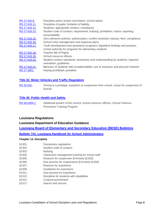| RS 17:416.8.  | Discipline policy review committees; school option                                                      |
|---------------|---------------------------------------------------------------------------------------------------------|
| RS 17:416.11. | Discipline of pupils; limitation of liability                                                           |
| RS 17:416.12. | Students; appropriate conduct; compliance                                                               |
| RS 17:416.13. | Student code of conduct; requirement; bullying; prohibition; notice; reporting;<br>accountability       |
| RS 17:416.15. | Zero tolerance policies; authorization; conflict resolution classes; fees; compliance                   |
| RS 17:416.16. | School crisis management and response plans                                                             |
| RS 17:416.17. | Youth development and assistance programs; legislative findings and purpose;                            |
|               | school authority for programs for elementary students                                                   |
| RS 17:416.18. | Teacher Bill of Rights                                                                                  |
| RS 17:416.19. | School resource officers                                                                                |
| RS 17:416.20. | Student conduct standards; awareness and understanding by students; required<br>orientation; guidelines |
| RS 17:416.21. | Behavior of students with exceptionalities; use of seclusion and physical restraint                     |
| RS 17:1801.   | Hazing prohibited; penalties                                                                            |

# **[Title 32. Motor Vehicles and Traffic Regulation](http://legis.la.gov/Legis/Laws_Toc.aspx?folder=75&level=Parent)**

[RS 32:431.](http://legis.la.gov/Legis/Law.aspx?d=88425) Driving is a privilege; expulsion or suspension from school, cause for suspension of license

# **Title 40. Public [Health and Safety](http://legis.la.gov/Legis/Laws_Toc.aspx?folder=75&level=Parent)**

[RS 40:2404.1.](http://legis.la.gov/Legis/Law.aspx?d=321550) Additional powers of the council, school resource officers, School Violence Prevention Training Program

# **Louisiana Regulations**

# **Louisiana Department of Education Guidance**

**[Louisiana Board of Elementary and Secondary Education \(BESE\) Bulletins](http://bese.louisiana.gov/documents-resources/policies-bulletins)**

**[Bulletin 741. Louisiana Handbook for School Administrators](http://doa.louisiana.gov/osr/lac/28v115/28v115.doc)** 

### **Chapter 13. Discipline**

- §1301. Disciplinary regulations
- §1302. Student code of conduct
- §1303. Bullying
- §1304. Classroom management training for school staff
- §1305. Reasons for suspension [Formerly §1303]
- §1306. Due process for suspensions [Formerly §1305]
- §1307. Reasons for expulsions
- §1309. Guidelines for expulsions
- §1311. Due process for expulsions
- §1313. Discipline for students with disabilities
- §1315. Corporal punishment
- §1317. Search and seizure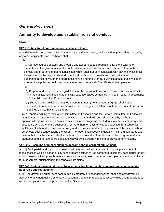# <span id="page-6-0"></span>*General Provisions*

# <span id="page-6-1"></span>**Authority to develop and establish rules of conduct**

# **LAWS**

# **§17:7. Duties, functions, and responsibilities of board.**

In addition to the authorities granted by R.S. 17:6 and any powers, duties, and responsibilities vested by any other applicable laws, the board shall:

(5)

 (a) Approve courses of study and prepare and adopt rules and regulations for the discipline of students and the governance of the public elementary and secondary schools and other public schools and programs under its jurisdiction, which shall not be inconsistent with law and which shall be enforced by the city, parish, and other local public school boards and the local school superintendents; however, the board shall have no control over the business affairs of a city, parish, or other local public school board or the selection or removal of its officers and employees.

(b)

 (i) Prepare and adopt rules and guidelines for the appropriate use of seclusion, physical restraint, and mechanical restraint of students with exceptionalities as defined in R.S. 17:1942, in accordance with the Administrative Procedure Act.

 (ii) The rules and guidelines adopted pursuant to Item (i) of this Subparagraph shall not be applicable to a student who has been deemed to be gifted or talented unless the student has been identified as also having a disability.

 (32) Report in writing to the House Committee on Education and the Senate Committee on Education by not later than September 15, 2010, relative to the standards and criteria used by the board to approve alternative schools and alternative education programs for students in public elementary and secondary schools who are suspended for more than ten days or who are expelled from school for violations of school discipline law or policy and who remain under the supervision of the city, parish, or other local public school taking the action. The report shall specify in detail all minimum standards and criteria that must be met in order for the board to approve the alternative school or program and note standards and criteria that are subject to waiver by the board in making approval determinations.

### **§17:223. Discipline of pupils; suspension from school, corporal punishment.**

A. […] Each parish and city school board shall have discretion in the use of corporal punishment. In those cases in which a parish or city school board decides to use corporal punishment, each parish or city school board shall adopt such rules and regulations as it deems necessary to implement and control any form of corporal punishment in the schools in its district.

# **§17:240. Prohibition against use of tobacco in schools; prohibition against smoking on school bus; rules and regulations.**

C.(1) The governing authority of each public elementary or secondary school shall and any governing authority of any nonpublic elementary or secondary school may adopt necessary rules and regulations to assure compliance with the provisions of this Section.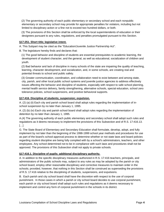(2) The governing authority of each public elementary or secondary school and each nonpublic elementary or secondary school may provide for appropriate penalties for violators, including but not limited to disciplinary action or a fine not to exceed two hundred dollars, or both.

 (3) The provisions of this Section shall be enforced by the local superintendents of education or their designees pursuant to any rules, regulations, and penalties promulgated pursuant to this Section.

# **§17:251. Short title; legislative intent.**

A. This Subpart may be cited as the "Education/Juvenile Justice Partnership Act".

B. The legislature hereby finds and declares that:

 (1) The good behavior and discipline of students are essential prerequisites to academic learning, the development of student character, and the general, as well as educational, socialization of children and youth.

 (2) Bad behavior and lack of discipline in many schools of the state are impairing the quality of teaching, learning, character development, and socialization, and, in some schools, are creating real and potential threats to school and public safety.

 (3) Greater communication, coordination, and collaboration need to exist between and among state, city, parish, and other local public school systems and juvenile justice agencies to address effectively issues affecting the behavior and discipline of students, especially with respect to safe school planning, mental health service delivery, family strengthening, alternative schools, special education, school zero tolerance policies, school suspensions, and positive behavioral supports.

# **§17:416. Discipline of students; suspension; expulsion.**

A. (2) (a) (ii) Each city and parish school board shall adopt rules regarding the implementation of inschool suspension by no later than January 1, 1995.

A. (2) (b) (iv) Each city and parish school board shall adopt rules regarding the implementation of detention by no later than January 1, 1995.

A.(4) The governing authority of each public elementary and secondary school shall adopt such rules and regulations as it deems necessary to implement the provisions of this Subsection and of R.S. 17:416.13.  $[...]$ 

G. The State Board of Elementary and Secondary Education shall formulate, develop, adopt, and fully implement by not later than the beginning of the 1998-1999 school year methods and procedures for use as part of the board's school-approval process to determine whether or not state laws and board policies regarding student discipline are being fully complied with by a school's administrators, teachers, and other employees. Any school determined not to be in compliance with such laws and procedures shall not be approved. The provisions of this Subsection shall not apply to private schools.

# **§17:416.1. Discipline of pupils; additional disciplinary authority.**

A. In addition to the specific disciplinary measures authorized in R.S. 17:416 teachers, principals, and administrators of the public schools may, subject to any rules as may be adopted by the parish or city school board, employ other reasonable disciplinary and corrective measures to maintain order in the schools; provided, however, that nothing in this Section shall be construed as superseding the provisions of R.S. 17:416 relative to the disciplining of students, suspensions, and expulsions.

B. Each parish and city school board shall have the discretion with respect to the use of corporal punishment. In those cases in which a parish or city school board decides to use corporal punishment, each parish or city school board shall adopt such rules and regulations as it deems necessary to implement and control any form of corporal punishment in the schools in its district.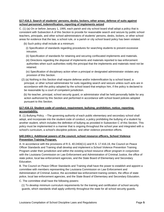# **§17:416.3. Search of students' persons, desks, lockers, other areas; defense of suits against school personnel; indemnification; reporting of implements seized**

C. (1) (a) On or before January 1, 1995, each parish and city school board shall adopt a policy that is consistent with Subsection A of this Section to provide for reasonable search and seizure by public school teachers, principals, and other school administrators of students' persons, desks, lockers, or other school areas for evidence that the law, a school rule, or a parish or city school board policy has been violated.

(b) Such policy shall include at a minimum:

- (i) Specification of standards regarding procedures for searching students to prevent excessive intrusion.
- (ii) Specification of standards for retaining and securing confiscated implements and materials.

 (iii) Directions regarding the disposal of implements and materials reported to law enforcement authorities when such authorities notify the principal that the implements and materials need not be retained.

 (iv) Specification of disciplinary action when a principal or designated administrator violates any provision of this Section.

 (2) (a) Nothing in this Section shall require defense and/or indemnification by a school board, a principal, or other school administrator for suits regarding search and seizure unless such acts are in accordance with the policy adopted by the school board that employs him, if the policy is declared to be reasonable by a court of competent jurisdiction.

 (b) No teacher, principal, school security guard, or administrator shall be held personally liable for any action authorized by this Section and performed in accordance with school board policies adopted pursuant to this Section.

# **§17:416.13. Student code of conduct; requirement; bullying; prohibition; notice; reporting; accountability.**

B. (1) Bullying Policy. --The governing authority of each public elementary and secondary school shall adopt, and incorporate into the student code of conduct, a policy prohibiting the bullying of a student by another student, which includes the definition of bullying as provided in Subsection C of this Section. This policy must be implemented in a manner that is ongoing throughout the school year and integrated with a school's curriculum, a school's discipline policies, and other violence prevention efforts.

# **§40:2404.1. Additional powers of the council, school resource officers, School Violence Prevention Training Program.**

A. In accordance with the provisions of R.S. 40:2404(11) and R.S. 17:416.19, the Council on Peace Officer Standards and Training shall develop and implement a School Violence Prevention Training Program under their jurisdiction and within the existing school resource officer program in conjunction with the Louisiana Commission on Law Enforcement and Administration of Criminal Justice, the office of state police, local law enforcement agencies, and the State Board of Elementary and Secondary Education.

B. The Council on Peace Officer Standards and Training shall have the power to establish and appoint a committee with members representing the Louisiana Commission on Law Enforcement and Administration of Criminal Justice, the accredited law enforcement training centers, the office of state police, local law enforcement agencies, and the State Board of Elementary and Secondary Education.

C. The committee shall have the following powers:

 (1) To develop minimum curriculum requirements for the training and certification of school security guards, which standards shall apply uniformly throughout the state for all school security guards.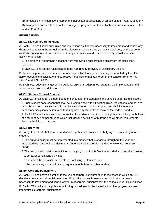(2) To establish minimum law enforcement instruction qualifications at an accredited P.O.S.T. academy.

 (3) To approve and certify a school security guard program and to establish other requirements relative to such program.

### **REGULATIONS**

## **§1301. Disciplinary Regulations**

A. Each LEA shall adopt such rules and regulations as it deems necessary to implement and control any disorderly conduct in the school or on the playground of the school, on any school bus, on the street or road while going to and from school, or during intermission and recess, or at any school sponsored activity or function.

 1. The plan shall not prohibit a teacher from removing a pupil from the classroom for disciplinary reasons.

2. Each LEA shall adopt rules regarding the reporting and review of disciplinary actions.

B. Teachers, principals, and administrators may, subject to any rules as may be adopted by the LEA, apply reasonable disciplinary and corrective measures to maintain order in the schools (refer to R.S. 17:416 and R.S. 17:223).

H. Each local educational governing authority LEA shall adopt rules regarding the implementation of inschool suspension and detention.

### **§1302. Student Code of Conduct**

A. Each LEA shall adopt a student code of conduct for the students in the schools under its jurisdiction.

 1. Such student code of conduct shall be in compliance with all existing rules, regulations, and policies of the board and of BESE and all state laws relative to student discipline and shall include any necessary disciplinary action to be taken against any student who violates the code of conduct.

 2. Each LEA shall adopt and incorporate into its student code of conduct a policy prohibiting the bullying of a student by another student, which includes the definition of bullying and all other requirements listed in the following Section.

### **§1303. Bullying.**

A. Policy. Each LEA shall develop and adopt a policy that prohibits the bullying of a student by another student.

 1. The bullying policy must be implemented in a manner that is ongoing throughout the year and integrated with a school's curriculum, a school's discipline policies, and other violence prevention efforts.

2. The policy shall contain the definition of bullying found in this Section and shall address the following:

- a. behavior constituting bullying;
- b. the effect the behavior has on others, including bystanders; and
- c. the disciplinary and criminal consequences of bullying another student

# **§1315. Corporal punishment.**

A. Each LEA shall have discretion in the use of corporal punishment. In those cases in which an LEA decides to use corporal punishment, the LEA shall adopt such rules and regulations as it deems necessary to implement and control any form of corporal punishment in the schools under its jurisdiction.

B. Each LEA shall adopt a policy establishing procedures for the investigation of employees accused of impermissible corporal punishment.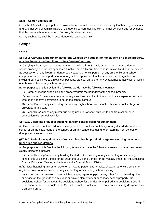# **§1317. Search and seizure.**

C. Each LEA shall adopt a policy to provide for reasonable search and seizure by teachers, by principals, and by other school administrators of a student's person, desk, locker, or other school areas for evidence that the law, a school rule, or an LEA policy has been violated.

D. Any such policy shall be in accordance with applicable law.

# <span id="page-10-0"></span>**Scope**

# **LAWS**

## **§14:95.2. Carrying a firearm or dangerous weapon by a student or nonstudent on school property, at school-sponsored functions, or in a firearm-free zone.**

A. Carrying a firearm, or dangerous weapon as defined in R.S. 14:2, by a student or nonstudent on school property, at a school sponsored function, or in a firearm-free zone is unlawful and shall be defined as possession of any firearm or dangerous weapon, on one's person, at any time while on a school campus, on school transportation, or at any school sponsored function in a specific designated area including but not limited to athletic competitions, dances, parties, or any extracurricular activities, or within one thousand feet of any school campus.

B. For purposes of this Section, the following words have the following meanings:

(1) "Campus" means all facilities and property within the boundary of the school property.

 (2) "Nonstudent" means any person not registered and enrolled in that school or a suspended student who does not have permission to be on the school campus.

 (3) "School" means any elementary, secondary, high school, vocational-technical school, college, or university in this state.

 (4) "School bus" means any motor bus being used to transport children to and from school or in connection with school activities.

### **§17:223. Discipline of pupils; suspension from school, corporal punishment.**

A. Every teacher is authorized to hold every pupil to a strict accountability for any disorderly conduct in school or on the playground of the school, or on any school bus going to or returning from school, or during intermission or recess.

### **§17:240. Prohibition against use of tobacco in schools; prohibition against smoking on school bus; rules and regulations.**

A. For purposes of this Section the following terms shall have the following meanings unless the context clearly indicates otherwise:

 (1) "School building" means any building located on the property of any elementary or secondary school, the Louisiana School for the Deaf, the Louisiana School for the Visually Impaired, the Louisiana Special Education Center, and schools in the Special School District.

B.(1) Notwithstanding any other provision of law, no person shall smoke, chew, or otherwise consume any tobacco or tobacco product in any elementary or secondary school building.

 (2) No person shall smoke or carry a lighted cigar, cigarette, pipe, or any other form of smoking object or device on the grounds of any public or private elementary or secondary school property, the Louisiana School for the Deaf, the Louisiana School for the Visually Impaired, the Louisiana Special Education Center, or schools in the Special School District, except in an area specifically designated as a smoking area.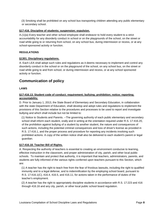(3) Smoking shall be prohibited on any school bus transporting children attending any public elementary or secondary school.

# **§17:416. Discipline of students; suspension; expulsion.**

A.(1)(a) Every teacher and other school employee shall endeavor to hold every student to a strict accountability for any disorderly conduct in school or on the playgrounds of the school, on the street or road while going to or returning from school, on any school bus, during intermission or recess, or at any school-sponsored activity or function.

# **REGULATIONS**

# **§1301. Disciplinary regulations.**

A. Each LEA shall adopt such rules and regulations as it deems necessary to implement and control any disorderly conduct in the school or on the playground of the school, on any school bus, on the street or road while going to and from school, or during intermission and recess, or at any school sponsored activity or function.

# <span id="page-11-0"></span>**Communication of policy**

# **LAWS**

# **§17:416.13. Student code of conduct; requirement; bullying; prohibition; notice; reporting; accountability.**

D. Prior to January 1, 2013, the State Board of Elementary and Secondary Education, in collaboration with the state Department of Education, shall develop and adopt rules and regulations to implement the provisions of this Section relative to the procedures and processes to be used to report and investigate bullying and which shall include but not be limited to:

 (1) Notice to Students and Parents. --The governing authority of each public elementary and secondary school shall inform each student, orally and in writing at the orientation required under R.S. 17:416.20, of the prohibition against bullying of a student by another student, the nature and consequences of such actions, including the potential criminal consequences and loss of driver's license as provided in R.S. 17:416.1, and the proper process and procedure for reporting any incidents involving such prohibited actions. A copy of the written notice shall also be delivered to each student's parent or legal guardian.

# **§17:416.18. Teacher Bill of Rights.**

A. Respecting the authority of teachers is essential to creating an environment conducive to learning, effective instruction in the classroom, and proper administration of city, parish, and other local public schools. To maintain and protect that authority, it is important that teachers, administrators, parents, and students are fully informed of the various rights conferred upon teachers pursuant to this Section, which are:

 (1) A teacher has the right to teach free from the fear of frivolous lawsuits, including the right to qualified immunity and to a legal defense, and to indemnification by the employing school board, pursuant to R.S. 17:416.1(C), 416.4, 416.5, and 416.11, for actions taken in the performance of duties of the teacher's employment.

 (2) A teacher has the right to appropriately discipline students in accordance with R.S. 17:223 and 416 through 416.16 and any city, parish, or other local public school board regulation.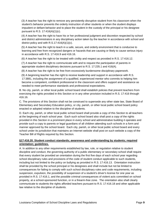(3) A teacher has the right to remove any persistently disruptive student from his classroom when the student's behavior prevents the orderly instruction of other students or when the student displays impudent or defiant behavior and to place the student in the custody of the principal or his designee pursuant to R.S. 17:416(A)(1)(c).

 (4) A teacher has the right to have his or her professional judgment and discretion respected by school and district administrators in any disciplinary action taken by the teacher in accordance with school and district policy and with R.S.17:416(A)(1)(c).

 (5) A teacher has the right to teach in a safe, secure, and orderly environment that is conducive to learning and free from recognized dangers or hazards that are causing or likely to cause serious injury in accordance with R.S. 17:416.9 and 416.16.

(6) A teacher has the right to be treated with civility and respect as provided in R.S. 17:416.12.

 (7) A teacher has the right to communicate with and to request the participation of parents in appropriate student disciplinary decisions pursuant to R.S. 17:235.1 and 416(A).

(8) A teacher has the right to be free from excessively burdensome disciplinary paperwork.

 (9) A beginning teacher has the right to receive leadership and support in accordance with R.S. 17:3881, including the assignment of a qualified, experienced mentor who commits to helping him become a competent, confident professional in the classroom and offers support and assistance as needed to meet performance standards and professional expectations.

B. No city, parish, or other local public school board shall establish policies that prevent teachers from exercising the rights provided in this Section or in any other provision included in R.S. 17:416 through 416.16.

C. The provisions of this Section shall not be construed to supersede any other state law, State Board of Elementary and Secondary Education policy, or city, parish, or other local public school board policy enacted or adopted relative to the discipline of students.

D. Each city, parish, or other local public school board shall provide a copy of this Section to all teachers at the beginning of each school year. Each such school board also shall post a copy of the rights provided in this Section in a prominent place in every school and administrative building it operates and provide such a copy to parents or legal guardians of all children attending such schools in a form and manner approved by the school board. Each city, parish, or other local public school board and every school under its jurisdiction that maintains an Internet website shall post on such website a copy of the Teacher Bill of Rights required by this Section.

# **§17:416.20. Student conduct standards; awareness and understanding by students; required orientation; guidelines.**

A. In addition to any other requirements established by law, rule, or regulation relative to student discipline and conduct, the governing authority of a public elementary or secondary school shall require that every student be provided an orientation during the first five days of each school year regarding school disciplinary rules and provisions of the code of student conduct applicable to such students, including but not limited to the policy on bullying as provided in R.S. 17:416.13. Orientation instruction shall be provided by the school principal or his designees and shall include but not be limited to consequences for failing to comply with such school disciplinary rules and code requirements, including suspension, expulsion, the possibility of suspension of a student's driver's license for one year as provided in R.S. 17:416.1, and the possible criminal consequences of violent acts committed on school property, at a school-sponsored function, or in a firearm-free zone. The orientation also shall clearly communicate to students the rights afforded teachers pursuant to R.S. 17:416.18 and other applicable law relative to the discipline of students.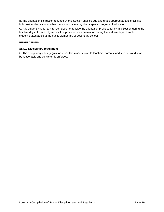B. The orientation instruction required by this Section shall be age and grade appropriate and shall give full consideration as to whether the student is in a regular or special program of education.

C. Any student who for any reason does not receive the orientation provided for by this Section during the first five days of a school year shall be provided such orientation during the first five days of such student's attendance at the public elementary or secondary school.

# **REGULATIONS**

#### **§1301. Disciplinary regulations.**

C. The disciplinary rules (regulations) shall be made known to teachers, parents, and students and shall be reasonably and consistently enforced.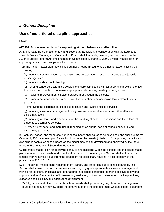# <span id="page-14-0"></span>*In-School Discipline*

# <span id="page-14-1"></span>**Use of multi-tiered discipline approaches**

# **LAWS**

## **§17:252. School master plans for supporting student behavior and discipline.**

A.(1) The State Board of Elementary and Secondary Education, in collaboration with the Louisiana Juvenile Justice Planning and Coordination Board, shall formulate, develop, and recommend to the Juvenile Justice Reform Act Implementation Commission by March 1, 2004, a model master plan for improving behavior and discipline within schools.

 (2) The model master plan may include but need not be limited to guidelines for accomplishing the following:

 (a) Improving communication, coordination, and collaboration between the schools and juvenile justice agencies.

(b) Improving safe school planning.

 (c) Revising school zero tolerance policies to ensure compliance with all applicable provisions of law to ensure that schools do not make inappropriate referrals to juvenile justice agencies.

(d) Providing improved mental health services in or through the schools.

 (e) Providing better assistance to parents in knowing about and accessing family strengthening programs.

(f) Improving the coordination of special education and juvenile justice services.

 (g) Improving classroom management using positive behavioral supports and other effective disciplinary tools.

 (h) Improving methods and procedures for the handling of school suspensions and the referral of students to alternative schools.

 (i) Providing for better and more useful reporting on an annual basis of school behavioral and disciplinary problems.

B. Each city, parish, and other local public school board shall cause to be developed and shall submit by October 1, 2004, a master plan for each school under the board's jurisdiction for improving behavior and discipline in each such school based on the model master plan developed and approved by the State Board of Elementary and Secondary Education.

C. The model master plan for improving behavior and discipline within the schools and the school master plans required of city, parish, and other local public school boards by this Section shall not prohibit a teacher from removing a pupil from the classroom for disciplinary reasons in accordance with the provisions of R.S. 17:416.

D.(1) The school master plans required of city, parish, and other local public school boards by this Section shall make provision for pre-service and ongoing grade appropriate classroom management training for teachers, principals, and other appropriate school personnel regarding positive behavioral supports and reinforcement, conflict resolution, mediation, cultural competence, restorative practices, guidance and discipline, and adolescent development.

 (2) City, parish, and other local public school boards shall provide ongoing classroom management courses and regularly review discipline data from each school to determine what additional classroom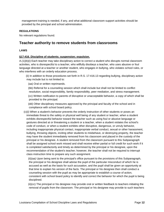management training is needed, if any, and what additional classroom support activities should be provided by the principal and school administration.

# **REGULATIONS**

No relevant regulations found.

# <span id="page-15-0"></span>**Teacher authority to remove students from classrooms**

## **LAWS**

### **§17:416. Discipline of students; suspension; expulsion.**

A.(1)(b)(i) Each teacher may take disciplinary action to correct a student who disrupts normal classroom activities, who is disrespectful to a teacher, who willfully disobeys a teacher, who uses abusive or foul language directed at a teacher or another student, who engages in bullying, who violates school rules, or who interferes with an orderly education process.

 (ii) In addition to those procedures set forth in R.S. 17:416.13 regarding bullying, disciplinary action may include but is not limited to:

(aa) Oral or written reprimands.

 (bb) Referral for a counseling session which shall include but shall not be limited to conflict resolution, social responsibility, family responsibility, peer mediation, and stress management.

 (cc) Written notification to parents of disruptive or unacceptable behavior, a copy of which shall be provided to the principal.

 (dd) Other disciplinary measures approved by the principal and faculty of the school and in compliance with school board policy.

 (c)(i) When a student's behavior prevents the orderly instruction of other students or poses an immediate threat to the safety or physical well being of any student or teacher, when a student exhibits disrespectful behavior toward the teacher such as using foul or abusive language or gestures directed at or threatening a student or a teacher, when a student violates the school's code of conduct, or when a student exhibits other disruptive, dangerous, or unruly behavior, including inappropriate physical contact, inappropriate verbal conduct, sexual or other harassment, bullying, throwing objects, inciting other students to misbehave, or destroying property, the teacher may have the student immediately removed from his classroom and placed in the custody of the principal or his designee. A student removed from the classroom pursuant to this Subparagraph shall be assigned school work missed and shall receive either partial or full credit for such work if it is completed satisfactorily and timely as determined by the principal or his designee, upon the recommendation of the student's teacher; however, the teacher shall not be required to interrupt class instruction time to prepare any such assignment.

 (ii)(aa) Upon being sent to the principal's office pursuant to the provisions of this Subparagraph, the principal or his designee shall advise the pupil of the particular misconduct of which he is accused as well as the basis for such accusation, and the pupil shall be given an opportunity at that time to explain his version of the facts. The principal or his designee then shall conduct a counseling session with the pupil as may be appropriate to establish a course of action, consistent with school board policy to identify and correct the behavior for which the pupil is being disciplined.

 (ii)(cc) The principal or his designee may provide oral or written feedback to teachers initiating the removal of pupils from the classroom. The principal or his designee may provide to such teachers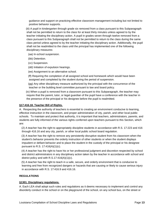guidance and support on practicing effective classroom management including but not limited to positive behavior supports.

 (iii) A pupil in kindergarten through grade six removed from a class pursuant to this Subparagraph shall not be permitted to return to the class for at least thirty minutes unless agreed to by the teacher initiating the disciplinary action. A pupil in grades seven through twelve removed from a class pursuant to this Subparagraph shall not be permitted to return to the class during the same class period unless agreed to by the teacher initiating the disciplinary action. Additionally, the pupil shall not be readmitted to the class until the principal has implemented one of the following disciplinary measures:

(aa) In-school suspension.

- (bb) Detention.
- (cc) Suspension.
- (dd) Initiation of expulsion hearings.
- (ee) Assignment to an alternative school.

 (ff) Requiring the completion of all assigned school and homework which would have been assigned and completed by the student during the period of suspension.

 (gg) Any other disciplinary measure authorized by the principal with the concurrence of the teacher or the building level committee pursuant to law and board policy.

 (iv) When a pupil is removed from a classroom pursuant to this Subparagraph, the teacher may require that the parent, tutor, or legal guardian of the pupil have a conference with the teacher in the presence of the principal or his designee before the pupil is readmitted.

# **§17:416.18. Teacher Bill of Rights.**

A. Respecting the authority of teachers is essential to creating an environment conducive to learning, effective instruction in the classroom, and proper administration of city, parish, and other local public schools. To maintain and protect that authority, it is important that teachers, administrators, parents, and students are fully informed of the various rights conferred upon teachers pursuant to this Section, which are:

 (2) A teacher has the right to appropriately discipline students in accordance with R.S. 17:223 and 416 through 416.16 and any city, parish, or other local public school board regulation.

 (3) A teacher has the right to remove any persistently disruptive student from his classroom when the student's behavior prevents the orderly instruction of other students or when the student displays impudent or defiant behavior and to place the student in the custody of the principal or his designee pursuant to R.S. 17:416(A)(1)(c).

 (4) A teacher has the right to have his or her professional judgment and discretion respected by school and district administrators in any disciplinary action taken by the teacher in accordance with school and district policy and with R.S.17:416(A)(1)(c).

 (5) A teacher has the right to teach in a safe, secure, and orderly environment that is conducive to learning and free from recognized dangers or hazards that are causing or likely to cause serious injury in accordance with R.S. 17:416.9 and 416.16.

### **REGULATIONS**

### **§1301. Disciplinary regulations.**

A. Each LEA shall adopt such rules and regulations as it deems necessary to implement and control any disorderly conduct in the school or on the playground of the school, on any school bus, on the street or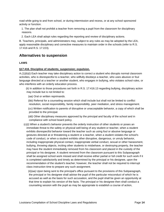road while going to and from school, or during intermission and recess, or at any school sponsored activity or function.

 1. The plan shall not prohibit a teacher from removing a pupil from the classroom for disciplinary reasons.

2. Each LEA shall adopt rules regarding the reporting and review of disciplinary actions.

B. Teachers, principals, and administrators may, subject to any rules as may be adopted by the LEA, apply reasonable disciplinary and corrective measures to maintain order in the schools (refer to R.S. 17:416 and R.S. 17:223).

# <span id="page-17-0"></span>**Alternatives to suspension**

# **LAWS**

# **§17:416. Discipline of students; suspension; expulsion.**

A.(1)(b)(i) Each teacher may take disciplinary action to correct a student who disrupts normal classroom activities, who is disrespectful to a teacher, who willfully disobeys a teacher, who uses abusive or foul language directed at a teacher or another student, who engages in bullying, who violates school rules, or who interferes with an orderly education process.

 (ii) In addition to those procedures set forth in R.S. 17:416.13 regarding bullying, disciplinary action may include but is not limited to:

(aa) Oral or written reprimands.

 (bb) Referral for a counseling session which shall include but shall not be limited to conflict resolution, social responsibility, family responsibility, peer mediation, and stress management.

 (cc) Written notification to parents of disruptive or unacceptable behavior, a copy of which shall be provided to the principal.

 (dd) Other disciplinary measures approved by the principal and faculty of the school and in compliance with school board policy.

 (c)(i) When a student's behavior prevents the orderly instruction of other students or poses an immediate threat to the safety or physical well being of any student or teacher, when a student exhibits disrespectful behavior toward the teacher such as using foul or abusive language or gestures directed at or threatening a student or a teacher, when a student violates the school's code of conduct, or when a student exhibits other disruptive, dangerous, or unruly behavior, including inappropriate physical contact, inappropriate verbal conduct, sexual or other harassment, bullying, throwing objects, inciting other students to misbehave, or destroying property, the teacher may have the student immediately removed from his classroom and placed in the custody of the principal or his designee. A student removed from the classroom pursuant to this Subparagraph shall be assigned school work missed and shall receive either partial or full credit for such work if it is completed satisfactorily and timely as determined by the principal or his designee, upon the recommendation of the student's teacher; however, the teacher shall not be required to interrupt class instruction time to prepare any such assignment.

 (ii)(aa) Upon being sent to the principal's office pursuant to the provisions of this Subparagraph, the principal or his designee shall advise the pupil of the particular misconduct of which he is accused as well as the basis for such accusation, and the pupil shall be given an opportunity at that time to explain his version of the facts. The principal or his designee then shall conduct a counseling session with the pupil as may be appropriate to establish a course of action,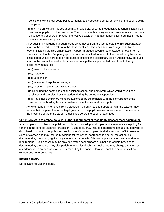consistent with school board policy to identify and correct the behavior for which the pupil is being disciplined.

 (ii)(cc) The principal or his designee may provide oral or written feedback to teachers initiating the removal of pupils from the classroom. The principal or his designee may provide to such teachers guidance and support on practicing effective classroom management including but not limited to positive behavior supports.

 (iii) A pupil in kindergarten through grade six removed from a class pursuant to this Subparagraph shall not be permitted to return to the class for at least thirty minutes unless agreed to by the teacher initiating the disciplinary action. A pupil in grades seven through twelve removed from a class pursuant to this Subparagraph shall not be permitted to return to the class during the same class period unless agreed to by the teacher initiating the disciplinary action. Additionally, the pupil shall not be readmitted to the class until the principal has implemented one of the following disciplinary measures:

- (aa) In-school suspension.
- (bb) Detention.
- (cc) Suspension.
- (dd) Initiation of expulsion hearings.
- (ee) Assignment to an alternative school.

 (ff) Requiring the completion of all assigned school and homework which would have been assigned and completed by the student during the period of suspension.

 (gg) Any other disciplinary measure authorized by the principal with the concurrence of the teacher or the building level committee pursuant to law and board policy.

 (iv) When a pupil is removed from a classroom pursuant to this Subparagraph, the teacher may require that the parent, tutor, or legal guardian of the pupil have a conference with the teacher in the presence of the principal or his designee before the pupil is readmitted.

#### **§17:416.15. Zero tolerance policies; authorization; conflict resolution classes; fees; compliance.**

Any city, parish, or other local public school board may adopt and implement a zero tolerance policy for fighting in the schools under its jurisdiction. Such policy may include a requirement that a student who is disciplined pursuant to the policy and such student's parent or parents shall attend a conflict resolution class or classes and may include provisions for the school board to take appropriate action, as determined by the board, against any student or parent who fails to comply with the class attendance requirement. Such classes may be provided by the school board or other appropriate provider as determined by the board. Any city, parish, or other local public school board may charge a fee for such attendance in an amount as may be determined by the board. However, such fee amount shall not exceed one hundred dollars.

### **REGULATIONS**

No relevant regulations found.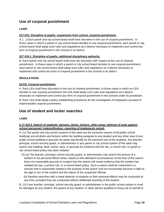# <span id="page-19-0"></span>**Use of corporal punishment**

# **LAWS**

# **§17:223. Discipline of pupils; suspension from school, corporal punishment.**

A. […] Each parish and city school board shall have discretion in the use of corporal punishment. In those cases in which a parish or city school board decides to use corporal punishment, each parish or city school board shall adopt such rules and regulations as it deems necessary to implement and control any form of corporal punishment in the schools in its district.

### **§17:416.1. Discipline of pupils; additional disciplinary authority.**

B. Each parish and city school board shall have the discretion with respect to the use of corporal punishment. In those cases in which a parish or city school board decides to use corporal punishment, each parish or city school board shall adopt such rules and regulations as it deems necessary to implement and control any form of corporal punishment in the schools in its district.

# **REGULATIONS**

### **§1315. Corporal punishment.**

A. Each LEA shall have discretion in the use of corporal punishment. In those cases in which an LEA decides to use corporal punishment, the LEA shall adopt such rules and regulations as it deems necessary to implement and control any form of corporal punishment in the schools under its jurisdiction. B. Each LEA shall adopt a policy establishing procedures for the investigation of employees accused of impermissible corporal punishment.

# <span id="page-19-1"></span>**Use of student and locker searches**

### **LAWS**

# **§ 17:416.3. Search of students' persons, desks, lockers, other areas; defense of suits against school personnel; indemnification; reporting of implements seized.**

A. (1) The parish and city school systems of the state are the exclusive owners of all public school buildings and all desks and lockers within the building assigned to any student and any other area of any public school building or grounds set aside specifically for the personal use of the students. Any teacher, principal, school security guard, or administrator in any parish or city school system of the state may search any building, desk, locker, area, or grounds for evidence that the law, a school rule, or parish or city school board policy has been violated.

- (2) (a) The teacher, principal, school security guard, or administrator may search the person of a student or his personal effects when, based on the attendant circumstances at the time of the search, there are reasonable grounds to suspect that the search will reveal evidence that the student has violated the law, a school rule, or a school board policy. Such a search shall be conducted in a manner that is reasonably related to the purpose of the search and not excessively intrusive in light of the age or sex of the student and the nature of the suspected offense.
	- (b) Random searches with a metal detector of students or their personal effects may be conducted at any time, provided they are conducted without deliberate touching of the student.

B. (1) If any teacher, principal, school security guard, or administrator in the public school system is sued for damages by any student, the parent of any student, or other person qualified to bring suit on behalf of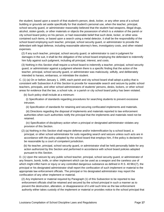the student, based upon a search of that student's person, desk, locker, or any other area of a school building or grounds set aside specifically for that student's personal use, when the teacher, principal, school security guard, or administrator reasonably believed that the student had weapons, illegal drugs, alcohol, stolen goods, or other materials or objects the possession of which is a violation of the parish or city school board policy on his person, or had reasonable belief that such desk, locker, or other area contained such items, or based upon a search using a metal detector, it shall be the responsibility of the school board employing such teacher, principal, school security guard, or administrator to provide the defendant with legal defense, including reasonable attorney's fees, investigatory costs, and other related expenses.

 (2) If any such teacher, principal, school security guard, or administrator is cast in judgment for damages in the suit, it shall be the obligation of the school board employing the defendant to indemnify him fully against such judgment, including all principal, interest, and costs.

 (3) Nothing in this Section shall require a school board to indemnify a teacher, principal, school security guard, or administrator against a judgment wherein there is a specific finding that the action of the teacher, principal, school security guard, or administrator was maliciously, wilfully, and deliberately intended to harass, embarrass, or intimidate the student.

C. (1) (a) On or before January 1, 1995, each parish and city school board shall adopt a policy that is consistent with Subsection A of this Section to provide for reasonable search and seizure by public school teachers, principals, and other school administrators of students' persons, desks, lockers, or other school areas for evidence that the law, a school rule, or a parish or city school board policy has been violated.

(b) Such policy shall include at a minimum:

 (i) Specification of standards regarding procedures for searching students to prevent excessive intrusion.

(ii) Specification of standards for retaining and securing confiscated implements and materials.

 (iii) Directions regarding the disposal of implements and materials reported to law enforcement authorities when such authorities notify the principal that the implements and materials need not be retained.

 (iv) Specification of disciplinary action when a principal or designated administrator violates any provision of this Section.

 (2) (a) Nothing in this Section shall require defense and/or indemnification by a school board, a principal, or other school administrator for suits regarding search and seizure unless such acts are in accordance with the policy adopted by the school board that employs him, if the policy is declared to be reasonable by a court of competent jurisdiction.

 (b) No teacher, principal, school security guard, or administrator shall be held personally liable for any action authorized by this Section and performed in accordance with school board policies adopted pursuant to this Section.

D. (1) Upon the seizure by any public school teacher, principal, school security guard, or administrator of any firearm, bomb, knife, or other implement which can be used as a weapon and the careless use of which might inflict harm or injury or any controlled dangerous substance as defined in R.S. 40:961(7), the principal or his designated administrator shall report the confiscation of such implement or material to the appropriate law enforcement officials. The principal or his designated administrator may report the confiscation of any other implement or material.

 (2) Any implement or material required by Paragraph (1) of this Subsection to be reported to law enforcement officials shall be retained and secured by the school principal in such a manner as to prevent the destruction, alteration, or disappearance of it until such time as the law enforcement authority either takes custody of the implement or material or provides notice to the school principal that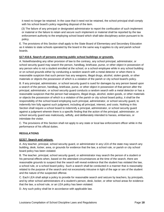it need no longer be retained. In the case that it need not be retained, the school principal shall comply with his school board's policy regarding disposal of the item.

 (3) The failure of any principal or designated administrator to report the confiscation of such implement or material or the failure to retain and secure such implement or material shall be reported by the law enforcement authority to the employing school board which shall take disciplinary action pursuant to its policy.

E. The provisions of this Section shall apply to the State Board of Elementary and Secondary Education as it relates to state schools operated by the board in the same way it applies to city and parish school boards.

### **§17:416.6. Search of persons entering public school buildings or grounds.**

A. Notwithstanding any other provision of law to the contrary, any school principal, administrator, or school security guard may search the person, handbag, briefcase, purse, or other object in possession of any person who is not a student enrolled at the school, or a school employee while in any school building or on school grounds either by conducting a random search with a metal detector or when there is reasonable suspicion that such person has any weapons, illegal drugs, alcohol, stolen goods, or other materials or objects the possession of which is a violation of the parish or city school board's policy.

B. If any principal, administrator, or school security guard is sued for damages by any person based upon a search of the person, handbag, briefcase, purse, or other object in possession of that person after the principal, administrator, or school security guard conducts a random search with a metal detector or has a reasonable suspicion that the person had weapons, illegal drugs, alcohol, stolen goods, or other materials or objects the possession of which is a violation of the parish or city school board policy, it shall be the responsibility of the school board employing such principal, administrator, or school security guard, to indemnify him fully against such judgment, including all principal, interest, and costs. Nothing in this Section shall require a school board to indemnify a principal, administrator, or school security guard against a judgment wherein there is a specific finding that the action of the principal, administrator, or school security guard was maliciously, wilfully, and deliberately intended to harass, embarrass, or intimidate the visitor.

C. The provisions of this Section shall not apply to any state or local law enforcement officer while in the performance of his official duties.

### **REGULATIONS**

### **§1317. Search and seizure.**

A. Any teacher, principal, school security guard, or administrator in any LEA of the state may search any building, desk, locker, area, or grounds for evidence that the law, a school rule, or parish or city school board policy has been violated.

B. The teacher, principal, school security guard, or administrator may search the person of a student or his personal effects when, based on the attendant circumstances at the time of the search, there are reasonable grounds to suspect that the search will reveal evidence that the student has violated the law, a school rule, or a school board policy. Such a search shall be conducted in a manner that is reasonably related to the purpose of the search and not excessively intrusive in light of the age or sex of the student and the nature of the suspected offense.

C. Each LEA shall adopt a policy to provide for reasonable search and seizure by teachers, by principals, and by other school administrators of a student's person, desk, locker, or other school areas for evidence that the law, a school rule, or an LEA policy has been violated.

D. Any such policy shall be in accordance with applicable law.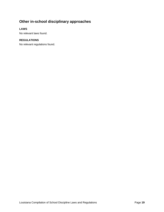# <span id="page-22-0"></span>**Other in-school disciplinary approaches**

# **LAWS**

No relevant laws found.

# **REGULATIONS**

No relevant regulations found.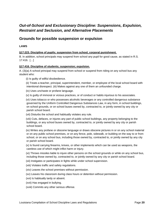# <span id="page-23-0"></span>*Out-of-School and Exclusionary Discipline: Suspensions, Expulsion, Restraint and Seclusion, and Alternative Placements*

# <span id="page-23-1"></span>**Grounds for possible suspension or expulsion**

**LAWS** 

# **§17:223. Discipline of pupils; suspension from school, corporal punishment.**

B. In addition, school principals may suspend from school any pupil for good cause, as stated in R.S. 17:416. […]

### **§17:416. Discipline of students; suspension; expulsion.**

A. (3)(a) A school principal may suspend from school or suspend from riding on any school bus any student who:

(i) Is guilty of willful disobedience.

 (ii) Treats a teacher, principal, superintendent, member, or employee of the local school board with intentional disrespect. (iii) Makes against any one of them an unfounded charge.

(iv) Uses unchaste or profane language.

(v) Is guilty of immoral or vicious practices, or of conduct or habits injurious to his associates.

 (vi) Uses tobacco or who possesses alcoholic beverages or any controlled dangerous substance governed by the Uniform Controlled Dangerous Substances Law, in any form, in school buildings, on school grounds, or on school buses owned by, contracted to, or jointly owned by any city or parish school board.

(vii) Disturbs the school and habitually violates any rule.

 (viii) Cuts, defaces, or injures any part of public school buildings, any property belonging to the buildings, or any school buses owned by, contracted to, or jointly owned by any city or parish school board.

 (ix) Writes any profane or obscene language or draws obscene pictures in or on any school material or on any public school premises, or on any fence, pole, sidewalk, or building on the way to or from school, or on any school bus, including those owned by, contracted to, or jointly owned by any city or parish school board.

 (x) Is found carrying firearms, knives, or other implements which can be used as weapons, the careless use of which might inflict harm or injury.

 (xi) Throws missiles liable to injure other persons on the school grounds or while on any school bus, including those owned by, contracted to, or jointly owned by any city or parish school board.

(xii) Instigates or participates in fights while under school supervision.

(xiii) Violates traffic and safety regulations.

(xiv) Leaves the school premises without permission.

(xv) Leaves his classroom during class hours or detention without permission.

(xvi) Is habitually tardy or absent.

(xvii) Has engaged in bullying.

(xviii) Commits any other serious offense.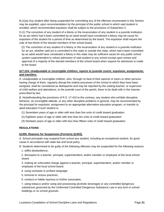B.(1)(a) Any student after being suspended for committing any of the offenses enumerated in this Section may be expelled, upon recommendation by the principal of the public school in which said student is enrolled, which recommended expulsion shall be subject to the provisions of Subsection C.

D.(1) The conviction of any student of a felony or the incarceration of any student in a juvenile institution for an act which had it been committed by an adult would have constituted a felony may be cause for expulsion of the student for a period of time as determined by the board. The expulsion shall require the vote of two-thirds of the elected members of the school board.

 (2) The conviction of any student of a felony or the incarceration of any student in a juvenile institution for an act, whether said act is committed in this state or outside this state, which had it been committed by an adult would have constituted a felony in this state may be sufficient cause for any public school system superintendent to refuse admission of said student to any school except upon review and approval of a majority of the elected members of the school board when request for admission is made to the board.

# **§17:224. Unadjustable or incorrigible children; reports to juvenile courts; expulsion, assignments, and transfers.**

A. Unadjustable or incorrigible children, who, through no fault of their parents or tutors or other persons having charge of them, regularly disrupt the orderly processes of the school to which they have been assigned, shall be considered as delinquents and may be reported by the visiting teacher, or supervisor of child welfare and attendance, to the juvenile court of the parish, there to be dealt with in the manner prescribed by law.

B. Notwithstanding the provisions of R.S. 17:416 to the contrary, any student who exhibits disruptive behavior, an incorrigible attitude, or any other discipline problems in general, may be recommended by the principal for expulsion, assignment to an appropriate alternative education program, or transfer to adult education if such student is:

- (1) Seventeen years of age or older with less than five units of credit toward graduation.
- (2) Eighteen years of age or older with less than ten units of credit toward graduation
- (3) Nineteen years of age or older with less than fifteen units of credit toward graduation.

### **REGULATIONS**

### **§1305. Reasons for Suspension [Formerly §1303].**

A. School principals may suspend from school any student, including an exceptional student, for good cause in accordance with state law and local policy.

B. Students determined to be guilty of the following offenses may be suspended for the following reasons:

1. willful disobedience;

 2. disrespect to a teacher, principal, superintendent, and/or member or employee of the local school board;

 3. making an unfounded charge against a teacher, principal, superintendent, and/or member or employee of the local school board;

- 4. using unchaste or profane language;
- 5. immoral or vicious practices;
- 6. conduct or habits injurious to his/her associates;

 7. using tobacco and/or using and possessing alcoholic beverages or any controlled dangerous substances governed by the Uniformed Controlled Dangerous Substance Law in any form in school buildings or on school grounds;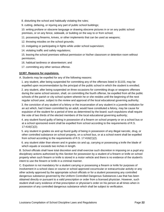8. disturbing the school and habitually violating the rules;

9. cutting, defacing, or injuring any part of public school buildings;

 10. writing profane or obscene language or drawing obscene pictures in or on any public school premises, or on any fence, sidewalk, or building on the way to or from school;

11. possessing firearms, knives, or other implements that can be used as weapons;

12. throwing missiles on the school grounds;

- 13. instigating or participating in fights while under school supervision;
- 14. violating traffic and safety regulations;

 15. leaving the school premises without permission or his/her classroom or detention room without permission;

16. habitual tardiness or absenteeism; and

17. committing any other serious offense.

#### **§1307. Reasons for expulsions.**

A. Students may be expelled for any of the following reasons:

 1. any student, after being suspended for committing any of the offenses listed in §1103, may be expelled upon recommendation by the principal of the public school in which the student is enrolled;

 2. any student, after being suspended on three occasions for committing drugs or weapons offenses during the same school session, shall, on committing the fourth offense, be expelled from all the public schools of the parish or city school system wherein he or she resides until the beginning of the next regular school year, subject to the review and approval of the local educational governing authority;

 3. the conviction of any student of a felony or the incarceration of any student in a juvenile institution for an act which, had it been committed by an adult, would have constituted a felony, may be cause for expulsion of the student for a period of time as determined by the board; such expulsions shall require the vote of two thirds of the elected members of the local educational governing authority;

 4. any student found guilty of being in possession of a firearm on school property or on a school bus or at a school sponsored event shall be expelled from school according to the requirements of R.S. 17:416(C)(2);

 5. any student in grades six and up found guilty of being in possession of any illegal narcotic, drug, or other controlled substance on school property, on a school bus, or at a school event shall be expelled from school according to the requirements of R.S. 17:416(C)(2).

 6. any student older than eleven and in grades six and up, carrying or possessing a knife the blade of which equals or exceeds two inches in length.

B. School officials shall have total discretion and shall exercise such discretion in imposing on a pupil any disciplinary actions authorized by this Section for possession by a student of a firearm or knife on school property when such firearm or knife is stored in a motor vehicle and there is no evidence of the student's intent to use the firearm or knife in a criminal manner.

C. Expulsion is not mandatory for a student carrying or possessing a firearm or knife for purposes of involvement in a school class or course or school approved cocurricular or extracurricular activity or any other activity approved by the appropriate school officials or for a student possessing any controlled dangerous substance governed by the Uniform Controlled Dangerous Substances Law that has been obtained directly or pursuant to a valid prescription or order from a licensed physician. However, such student shall carry evidence of that prescription or physician's order on his person at all times when in possession of any controlled dangerous substance which shall be subject to verification.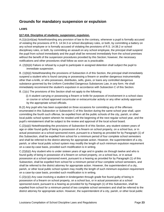# <span id="page-26-0"></span>**Grounds for mandatory suspension or expulsion**

# **LAWS**

# **§17:416. Discipline of students; suspension; expulsion.**

A.(1)(c)(vii)(aa) Notwithstanding any provision of law to the contrary, whenever a pupil is formally accused of violating the provisions of R.S. 14:34.3 or school disciplinary rules, or both, by committing a battery on any school employee or is formally accused of violating the provisions of R.S. 14:38.2 or school disciplinary rules, or both, by committing an assault on any school employee, the principal shall suspend the pupil from school immediately and the pupil shall be removed immediately from the school premises without the benefit of the suspension procedures provided by this Section; however, the necessary notifications and other procedures shall follow as soon as is practicable.

A. (2)(b)(ii) Failure or refusal by a pupil to participate in assigned detention shall subject the pupil to immediate suspension.

B. (1)(b)(i) Notwithstanding the provisions of Subsection A of this Section, the principal shall immediately suspend a student who is found carrying or possessing a firearm or another dangerous instrumentality other than a knife, or who possesses, distributes, sells, gives, or loans any controlled dangerous substance governed by the Uniform Controlled Dangerous Substances Law, in any form. He shall immediately recommend the student's expulsion in accordance with Subsection C of this Section.

B. (1)(c) The provisions of this Section shall not apply to the following:

 (i) A student carrying or possessing a firearm or knife for purposes of involvement in a school class or course or school approved cocurricular or extracurricular activity or any other activity approved by the appropriate school officials.

B.(2) Any pupil who has been suspended on three occasions for committing any of the offenses enumerated in this Subsection or Subsection C of this Section during the same school year shall, upon committing the fourth such offense, be expelled from all the public schools of the city, parish, or other local public school system wherein he resided until the beginning of the next regular school year, and the pupil's reinstatement shall be subject to the review and approval of the local school board.

C.(2)(a)(i) Notwithstanding the provisions of Subsection B of this Section, any student sixteen years of age or older found guilty of being in possession of a firearm on school property, on a school bus, or in actual possession at a school-sponsored event, pursuant to a hearing as provided for by Paragraph (1) of this Subsection, shall be expelled from school for a minimum period of four complete school semesters and shall be referred to the district attorney for appropriate action. However, the superintendent of a city, parish, or other local public school system may modify the length of such minimum expulsion requirement on a case-by-case basis, provided such modification is in writing.

C.(2)(b)(i) Any student who is under sixteen years of age and in grades six through twelve and who is found guilty of being in possession of a firearm on school property, on a school bus, or in actual possession at a school sponsored event, pursuant to a hearing as provided for by Paragraph (1) of this Subsection, shall be expelled from school for a minimum period of four complete school semesters, and shall be referred to the district attorney for appropriate action. However, the superintendent of a city, parish, or other local public school system may modify the length of such minimum expulsion requirement on a case-by-case basis, provided such modification is in writing.

 $C.(2)(c)(i)$  Any case involving a student in kindergarten through grade five found guilty of being in possession of a firearm on school property, on a school bus, or in actual possession at a school sponsored event, pursuant to a hearing as provided for by Paragraph (1) of this Subsection, shall be expelled from school for a minimum period of two complete school semesters and shall be referred to the district attorney for appropriate action. However, the superintendent of a city, parish, or other local public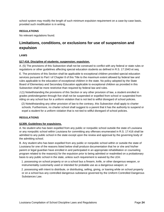school system may modify the length of such minimum expulsion requirement on a case-by-case basis, provided such modification is in writing.

# **REGULATIONS**

No relevant regulations found.

# <span id="page-27-0"></span>**Limitations, conditions, or exclusions for use of suspension and expulsion**

### **LAWS**

#### **§17:416. Discipline of students; suspension; expulsion.**

A. (5) The provisions of this Subsection shall not be construed to conflict with any federal or state rules or regulations or other guidelines affecting special education students as defined in R.S. 17:1943 et seq.

E. The provisions of this Section shall be applicable to exceptional children provided special education services pursuant to Part I of Chapter 8 of this Title to the maximum extent allowed by federal law and rules applicable to the education of exceptional children in the state. No policy adopted by the State Board of Elementary and Secondary Education applicable to exceptional children as provided in this Subsection shall be more restrictive than required by federal law and rules.

J.(1) Notwithstanding the provisions of this Section or any other provision of law, a student enrolled in grades prekindergarten through five shall not be suspended or expelled from school or suspended from riding on any school bus for a uniform violation that is not tied to willful disregard of school policies.

 (2) Notwithstanding any other provision of law to the contrary, this Subsection shall apply to charter schools. Furthermore, no charter school shall suggest to a parent that it has the authority to suspend or expel a student for a uniform violation that is not tied to willful disregard of school policies.

### **REGULATIONS**

#### **§1309. Guidelines for expulsions.**

A. No student who has been expelled from any public or nonpublic school outside the state of Louisiana or any nonpublic school within Louisiana for committing any offenses enumerated in R.S. 17:416 shall be admitted to any public school in the state except upon the review and approval by the governing body of the admitting school.

B. Any student who has been expelled from any public or nonpublic school within or outside the state of Louisiana for one of the reasons listed below shall produce documentation that he or she and his/her parent or legal guardian have enrolled in and participated in an appropriate rehabilitation or counseling program related to the reason(s) for the expulsion prior to being admitted or readmitted on a probationary basis to any public school in the state, unless such requirement is waived by the LEA:

 1. possessing on school property or on a school bus a firearm, knife, or other dangerous weapon, or instrumentality customarily used or intended for probable use as a dangerous weapon; or

 2. possessing with intent to distribute, or distributing, selling, giving, or loaning while on school property or on a school bus any controlled dangerous substance governed by the Uniform Controlled Dangerous Substances Law.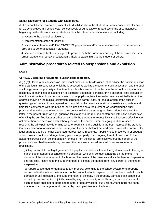# **§1313. Discipline for Students with Disabilities.**

A. If a school district removes a student with disabilities from the student's current educational placement for 10 school days in a school year, consecutively or cumulatively, regardless of the circumstances, beginning on the eleventh day, all students must be offered education services, including:

1. access to the general curriculum;

2. implementation of the student's IEP;

 3. access to statewide test/LEAP 21/GEE 21 preparation and/or remediation equal to those services provided to general education students;

 4. services and modifications designed to prevent the behavior from recurring, if the behavior involves drugs, weapons or behavior substantially likely to cause injury to the student or others.

# <span id="page-28-0"></span>**Administrative procedures related to suspensions and expulsion**

# **LAWS**

### **§17:416. Discipline of students; suspension; expulsion.**

A.(3) (b)(i) Prior to any suspension, the school principal, or his designee, shall advise the pupil in question of the particular misconduct of which he is accused as well as the basis for such accusation, and the pupil shall be given an opportunity at that time to explain his version of the facts to the school principal or his designee. In each case of suspension or expulsion the school principal, or his designee, shall contact by telephone at the telephone number shown on the pupil's registration card or send a certified letter at the address shown on the pupil's registration card to the parent, tutor, or legal guardian of the pupil in question giving notice of the suspension or expulsion, the reasons therefor and establishing a date and time for a conference with the principal or his designee as a requirement for readmitting the pupil provided that in the case of expulsion, the contact with the parent or guardian shall include a certified letter. If the parent, tutor, or legal guardian fails to attend the required conference within five school days of mailing the certified letter or other contact with the parent, the truancy laws shall become effective. On not more than one occasion each school year when the parent, tutor, or legal guardian refuses to respond, the principal may determine whether readmitting the pupil is in the best interest of the student. On any subsequent occasions in the same year, the pupil shall not be readmitted unless the parent, tutor, legal guardian, court, or other appointed representative responds. A pupil whose presence in or about a school poses a continued danger to any person or property or an ongoing threat of disruption to the academic process shall be immediately removed from the school premises without the benefit of the procedure described hereinabove; however, the necessary procedure shall follow as soon as is practicable.

 (c) Any parent, tutor or legal guardian of a pupil suspended shall have the right to appeal to the city or parish superintendent of schools or his designee, who shall conduct a hearing on the merits. The decision of the superintendent of schools on the merits of the case, as well as the term of suspension, shall be final, reserving to the superintendent of schools the right to remit any portion of the time of suspension.

 (d) A pupil suspended for damages to any property belonging to the school system or to property contracted to the school system shall not be readmitted until payment in full has been made for such damage or until directed by the superintendent of schools. If the property damaged is a school bus owned by, contracted to, or jointly owned by any parish or city school board, a pupil suspended for such damage shall not be permitted to enter or ride any school bus until payment in full has been made for such damage or until directed by the superintendent of schools.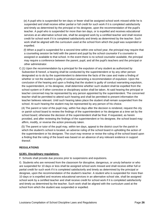(e) A pupil who is suspended for ten days or fewer shall be assigned school work missed while he is suspended and shall receive either partial or full credit for such work if it is completed satisfactorily and timely as determined by the principal or his designee, upon the recommendation of the pupil's teacher. A pupil who is suspended for more than ten days, or is expelled and receives educational services at an alternative school site, shall be assigned work by a certified teacher and shall receive credit for school work if it is completed satisfactorily and timely as determined by the teacher. Such work shall be aligned with the curriculum used at the school from which the pupil was suspended or expelled.

 (f) When a pupil is suspended for a second time within one school year, the principal may require that a counseling session be held with the parent and pupil by the school counselor if a counselor is assigned or available to that school. In the event there is no school counselor available, the principal may require a conference between the parent, pupil, and all the pupil's teachers and the principal or other administrator.

C.(1) Upon the recommendation by a principal for the expulsion of any student as authorized by Subsection B hereof, a hearing shall be conducted by the superintendent or by any other person designated so to do by the superintendent to determine the facts of the case and make a finding of whether or not the student is guilty of conduct warranting a recommendation of expulsion. Upon the conclusion of the hearing and upon a finding that the student is guilty of conduct warranting expulsion, the superintendent, or his designee, shall determine whether such student shall be expelled from the school system or if other corrective or disciplinary action shall be taken. At said hearing the principal or teacher concerned may be represented by any person appointed by the superintendent. The concerned teacher shall be permitted to attend such hearing and shall be permitted to present information the teacher believes relevant. Until such hearing takes place the student shall remain suspended from the school. At such hearing the student may be represented by any person of his choice.

 (4) The parent or tutor of the pupil may, within five days after the decision is rendered, request the city or parish school board to review the findings of the superintendent or his designee at a time set by the school board; otherwise the decision of the superintendent shall be final. If requested, as herein provided, and after reviewing the findings of the superintendent or his designee, the school board may affirm, modify, or reverse the action previously taken.

 (5) The parent or tutor of the pupil may, within ten days, appeal to the district court for the parish in which the student's school is located, an adverse ruling of the school board in upholding the action of the superintendent or his designee. The court may reverse or revise the ruling of the school board upon a finding that the ruling of the board was based on an absence of any relevant evidence in support thereof.

### **REGULATIONS**

### **§1301. Disciplinary regulations.**

F. Schools shall provide due process prior to suspensions and expulsions.

G. Students who are removed from the classroom for disruptive, dangerous, or unruly behavior or who are suspended for 10 days or less shall be assigned school work missed and shall receive either full or partial credit for such work if it is completed satisfactorily and timely as determined by the principal or designee, upon the recommendation of the student's teacher. A student who is suspended for more than 10 days or is expelled and receives educational services in an alternative school site, shall be assigned school work by a certified teacher and shall receive credit for school work if it is completed satisfactorily and timely as determined by the teacher. Such work shall be aligned with the curriculum used at the school from which the student was suspended or expelled.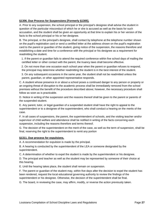# **§1306. Due Process for Suspensions [Formerly §1305].**

A. Prior to any suspension, the school principal or the principal's designee shall advise the student in question of the particular misconduct of which he or she is accused as well as the basis for such accusation, and the student shall be given an opportunity at that time to explain his or her version of the facts to the school principal or his or her designee.

B. The principal, or the principal's designee, shall contact by telephone at the telephone number shown on the pupil's registration card or send a certified letter at the address shown on the pupil's registration card to the parent or guardian of the student, giving notice of the suspension, the reasons therefore and establishing a date and time for a conference with the principal or his designee as a requirement for readmitting the student.

 1. If the parent or guardian fails to attend the required conference within five school days of mailing the certified letter or other contact with the parent, the truancy laws shall become effective.

 2. On not more than one occasion each school year when the parent or guardian refuses to respond, the principal may determine whether readmitting the student is in the best interest of the student.

 3. On any subsequent occasions in the same year, the student shall not be readmitted unless the parent, guardian, or other appointed representative responds.

C. A student whose presence in or about a school poses a continued danger to any person or property or an ongoing threat of disruption to the academic process shall be immediately removed from the school premises without the benefit of the procedure described above; however, the necessary procedure shall follow as soon as is practicable.

D. Notice in writing of the suspension and the reasons thereof shall be given to the parent or parents of the suspended student.

E. Any parent, tutor, or legal guardian of a suspended student shall have the right to appeal to the superintendent or to a designee of the superintendent, who shall conduct a hearing on the merits of the case.

F. In all cases of suspensions, the parent, the superintendent of schools, and the visiting teacher and/or supervisor of child welfare and attendance shall be notified in writing of the facts concerning each suspension, including the reasons therefore and terms thereof.

G. The decision of the superintendent on the merit of the case, as well as the term of suspension, shall be final, reserving the right to the superintendent to remit any portion

### **§1311. Due process for expulsions.**

A. A recommendation for expulsion is made by the principal.

B. A hearing is conducted by the superintendent of the LEA or someone designated by the superintendent.

C. A determination of whether to expel the student is made by the superintendent or his designee.

D. The principal and teacher as well as the student may be represented by someone of their choice at this hearing.

E. Until the hearing takes place, the student shall remain on suspension.

F. The parent or guardian of the student may, within five days after the decision to expel the student has been rendered, request the local educational governing authority to review the findings of the superintendent or his designee. Otherwise, the decision of the superintendent shall be final.

G. The board, in reviewing the case, may affirm, modify, or reverse the action previously taken.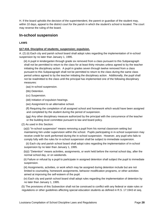H. If the board upholds the decision of the superintendent, the parent or guardian of the student may, within 10 days, appeal to the district court for the parish in which the student's school is located. The court may reverse the ruling of the board.

# <span id="page-31-0"></span>**In-school suspension**

# **LAWS**

# **§17:416. Discipline of students; suspension; expulsion.**

A. (2) (ii) Each city and parish school board shall adopt rules regarding the implementation of in-school suspension by no later than January 1, 1995.

 (iii) A pupil in kindergarten through grade six removed from a class pursuant to this Subparagraph shall not be permitted to return to the class for at least thirty minutes unless agreed to by the teacher initiating the disciplinary action. A pupil in grades seven through twelve removed from a class pursuant to this Subparagraph shall not be permitted to return to the class during the same class period unless agreed to by the teacher initiating the disciplinary action. Additionally, the pupil shall not be readmitted to the class until the principal has implemented one of the following disciplinary measures:

- (aa) In-school suspension.
- (bb) Detention.
- (cc) Suspension.
- (dd) Initiation of expulsion hearings.
- (ee) Assignment to an alternative school.

 (ff) Requiring the completion of all assigned school and homework which would have been assigned and completed by the student during the period of suspension.

 (gg) Any other disciplinary measure authorized by the principal with the concurrence of the teacher or the building level committee pursuant to law and board policy.

(2) As used in this Section:

 (a)(i) "In-school suspension" means removing a pupil from his normal classroom setting but maintaining him under supervision within the school. Pupils participating in in-school suspension may receive credit for work performed during the in-school suspension. However, any pupil who fails to comply fully with the rules for in-school suspension shall be subject to immediate suspension.

 (ii) Each city and parish school board shall adopt rules regarding the implementation of in-school suspension by no later than January 1, 1995.

 (b)(i) "Detention" means activities, assignments, or work held before the normal school day, after the normal school day, or on weekends.

 (ii) Failure or refusal by a pupil to participate in assigned detention shall subject the pupil to immediate suspension.

 (iii) Assignments, activities, or work which may be assigned during detention include but are not limited to counseling, homework assignments, behavior modification programs, or other activities aimed at improving the self-esteem of the pupil.

 (iv) Each city and parish school board shall adopt rules regarding the implementation of detention by no later than January 1, 1995.

 (5) The provisions of this Subsection shall not be construed to conflict with any federal or state rules or regulations or other guidelines affecting special education students as defined in R.S. 17:1943 et seq.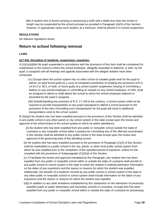(bb) A student who is found carrying or possessing a knife with a blade less than two inches in length may be suspended by the school principal as provided in Paragraph (A)(3) of this Section; however, in appropriate cases such student, at a minimum, shall be placed in in-school suspension.

## **REGULATIONS**

No relevant regulations found.

# <span id="page-32-0"></span>**Return to school following removal**

# **LAWS**

### **§17:416. Discipline of students; suspension; expulsion.**

A.(1)(c)(vii)(bb) No pupil suspended in accordance with the provisions of this Item shall be considered for readmission to the school to which the school employee, allegedly assaulted or battered, or both, by the pupil, is assigned until all hearings and appeals associated with the alleged violation have been exhausted.

 (cc) Except when the school system has no other school of suitable grade level for the pupil to attend, no pupil found guilty by a court of competent jurisdiction of violating the provisions of R.S. 14:34.3 or 38.2, or both, or found guilty at a school system suspension hearing of committing a battery on any school employee or committing an assault on any school employee, or both, shall be assigned to attend or shall attend the school to which the school employee battered or assaulted by the pupil is assigned.

 (dd) Notwithstanding any provision of R.S. 17:158 to the contrary, a school system shall not be required to provide transportation to any pupil reassigned to attend a school pursuant to the provisions of this Item if providing such transportation for the pupil will result in additional transportation costs to the school system.

B.(3)(a)(i) No student who has been expelled pursuant to the provisions of this Section shall be admitted to any public school in any other parish or city school system in the state except upon the review and approval of the school board of the school system to which he seeks admittance.

 (ii) No student who has been expelled from any public or nonpublic school outside the state of Louisiana or any nonpublic school within Louisiana for committing any of the offenses enumerated in this Section shall be admitted to any public school in the state except upon the review and approval of the governing body of the admitting school.

 (b) No student who has been expelled pursuant to the provisions of Paragraph (C)(2) of this Section shall be readmitted to a public school in the city, parish, or other local public school system from which he was expelled prior to the completion of the specified period of expulsion, unless he has complied with the provisions of Subparagraph (C)(2)(d) of this Section.

 (c) To facilitate the review and approval mandated by this Paragraph, any student who has been expelled from any public or nonpublic school within or outside the state of Louisiana shall provide to any public school or school system in the state to which the student is seeking admission information on the dates of any expulsions and the reason or reasons for which the student was expelled. Additionally, the transfer of a student's records by any public school or school system in the state to any other public or nonpublic school or school system shall include information on the dates of any expulsions and the reason or reasons for which the student was expelled.

 (d)(i) In addition to any other limitations established by this Subsection on the admission of previously expelled pupils to public elementary and secondary schools in Louisiana, no pupil who has been expelled from any public or nonpublic school within or outside the state of Louisiana for possessing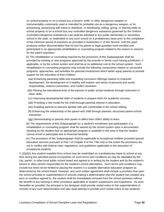on school property or on a school bus a firearm, knife, or other dangerous weapon or instrumentality customarily used or intended for probable use as a dangerous weapon, or for possessing, possessing with intent to distribute, or distributing, selling, giving, or loaning while on school property or on a school bus any controlled dangerous substance governed by the Uniform Controlled Dangerous Substances Law shall be admitted to any public elementary or secondary school in the state, or readmitted to any such school on a probationary basis prior to the completion of the minimum period of expulsion as provided in Subsection C of this Section, until the pupil produces written documentation that he and his parent or legal guardian have enrolled and participated in an appropriate rehabilitation or counseling program related to the reason or reasons for the pupil's expulsion.

 (ii) The rehabilitation or counseling required by the provisions of this Subparagraph shall be provided by existing or new programs approved by the juvenile or family court having jurisdiction, if applicable, or by the school system and shall be at no additional cost to the school system. Such rehabilitation or counseling programs may include the following components relative to successful programs, approaches, and activities for parental involvement which better equip parents to provide support for the education of their children:

 (aa) Enhancing parenting skills and expanding curriculum offerings relative to character development, the development of a healthy self-esteem and sense of personal and social responsibility, violence prevention, and conflict resolution.

 (bb) Raising the educational level of the parents of public school students through instruction in basic skills.

(cc) Improving developmental skills of students to prepare them for academic success.

(dd) Providing a role model for the child through parental interest in education.

(ee) Enabling parents to become familiar with and comfortable in the school setting.

 (ff) Enhancing the relationship of the parent and child through planned, structured parent-school interaction.

(gg) Demonstrating to parents their power to affect their child's ability to learn.

 (iii) The requirements of this Subparagraph for a student's enrollment and participation in a rehabilitation or counseling program shall be waived by the school system upon a documented showing by the student that no appropriate program is available in the area or that the student cannot enroll or participate due to financial hardship.

 (iv) The provisions of this Subparagraph shall be applicable to exceptional children provided special education services pursuant to Part I of Chapter 8 of this Title only to the extent the provisions are not in conflict with federal rules, regulations, and guidelines applicable to the education of exceptional students.

C.(2)(d)(i) Any student expelled from school may be readmitted on a probationary basis to school at any time during the specified period of expulsion on such terms and conditions as may be stipulated by the city, parish, or other local public school board and agreed to in writing by the student and by the student's parent or other person responsible for the student's school attendance. Such terms and conditions may include but need not be limited to placing the student in a suitable alternative education program as determined by the school board. However, any such written agreement shall include a provision that upon the school principal or superintendent of schools making a determination that the student has violated any term or condition agreed to, the student shall be immediately removed from the school premises without the benefit of any hearing or other procedure applicable to student suspensions and expulsions. As soon thereafter as possible, the principal or his designee shall provide verbal notice to the superintendent of schools of any such determination and also shall attempt to provide such verbal notice to the student's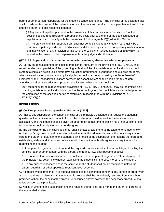parent or other person responsible for the student's school attendance. The principal or his designee also shall provide written notice of the determination and the reasons therefor to the superintendent and to the student's parent or other responsible person.

 (ii) Any student expelled pursuant to the provisions of this Subsection or Subsection B of this Section seeking readmission on a probationary basis prior to the end of the specified period of expulsion must also comply with the provisions of Subparagraph (B)(3)(d) of this Section.

 (iii) The provisions of this Subparagraph shall not be applicable to any student found guilty by a court of competent jurisdiction, or adjudicated a delinquent by a court of competent jurisdiction, of a criminal violation of any provision of Title 14 of the Louisiana Revised Statutes of 1950 which is related to the reason for the suspension, unless the judge finds otherwise.

# **§17:416.2. Supervision of suspended or expelled students; alternative education programs.**

A. (1) Any student suspended or expelled from school pursuant to the provisions of R.S. 17:416, shall remain under the supervision of the governing authority of the city, parish, or other local public school system taking such action using alternative education programs for suspended and expelled students. Alternative education programs of any local public school shall be approved by the State Board of Elementary and Secondary Education; however, no school system shall be liable for any student attending an alternative education program at a location other than a school site.

 (2) A student expelled pursuant to the provisions of R.S. 17:416(B) and (C)(2) may be readmitted only to a city, parish, or other local public school in the school system from which he was expelled prior to the completion of the specified period of expulsion, in accordance with the provisions of R.S. 17:416(C)(2)(d).

### **REGULATIONS**

# **§1306. Due process for suspensions [Formerly §1305].**

A. Prior to any suspension, the school principal or the principal's designee shall advise the student in question of the particular misconduct of which he or she is accused as well as the basis for such accusation, and the student shall be given an opportunity at that time to explain his or her version of the facts to the school principal or his or her designee.

B. The principal, or the principal's designee, shall contact by telephone at the telephone number shown on the pupil's registration card or send a certified letter at the address shown on the pupil's registration card to the parent or guardian of the student, giving notice of the suspension, the reasons therefore and establishing a date and time for a conference with the principal or his designee as a requirement for readmitting the student.

 1. If the parent or guardian fails to attend the required conference within five school days of mailing the certified letter or other contact with the parent, the truancy laws shall become effective.

 2. On not more than one occasion each school year when the parent or guardian refuses to respond, the principal may determine whether readmitting the student is in the best interest of the student.

 3. On any subsequent occasions in the same year, the student shall not be readmitted unless the parent, guardian, or other appointed representative responds.

C. A student whose presence in or about a school poses a continued danger to any person or property or an ongoing threat of disruption to the academic process shall be immediately removed from the school premises without the benefit of the procedure described above; however, the necessary procedure shall follow as soon as is practicable.

D. Notice in writing of the suspension and the reasons thereof shall be given to the parent or parents of the suspended student.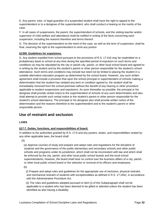E. Any parent, tutor, or legal guardian of a suspended student shall have the right to appeal to the superintendent or to a designee of the superintendent, who shall conduct a hearing on the merits of the case.

F. In all cases of suspensions, the parent, the superintendent of schools, and the visiting teacher and/or supervisor of child welfare and attendance shall be notified in writing of the facts concerning each suspension, including the reasons therefore and terms thereof.

G. The decision of the superintendent on the merit of the case, as well as the term of suspension, shall be final, reserving the right to the superintendent to remit any portion

# **§1309. Guidelines for expulsions.**

D. Any student expelled from school pursuant to the provisions of R.S. 17:416 may be readmitted on a probationary basis to school at any time during the specified period of expulsion on such terms and conditions as may be stipulated by the city or parish city, parish, or other local school board and agreed to in writing by the student and by the student's parent or other person responsible for the student's school attendance. Such terms and conditions may include but need not be limited to placing the student in a suitable alternative education program as determined by the school board. However, any such written agreement shall include a provision that upon the school principal or superintendent of schools making a determination that the student has violated any term or condition agreed to, the student shall be immediately removed from the school premises without the benefit of any hearing or other procedure applicable to student suspensions and expulsions. As soon thereafter as possible, the principal or his designee shall provide verbal notice to the superintendent of schools of any such determination and also shall attempt to provide such verbal notice to the student's parent or other person responsible for the student's school attendance. The principal or his designee also shall provide written notice of the determination and the reasons therefore to the superintendent and to the student's parent or other responsible person.

# <span id="page-35-0"></span>**Use of restraint and seclusion**

# **LAWS**

# **§17:7. Duties, functions, and responsibilities of board.**

In addition to the authorities granted by R.S. 17:6 and any powers, duties, and responsibilities vested by any other applicable laws, the board shall:

(5)

 (a) Approve courses of study and prepare and adopt rules and regulations for the discipline of students and the governance of the public elementary and secondary schools and other public schools and programs under its jurisdiction, which shall not be inconsistent with law and which shall be enforced by the city, parish, and other local public school boards and the local school superintendents; however, the board shall have no control over the business affairs of a city, parish, or other local public school board or the selection or removal of its officers and employees.

(b)

 (i) Prepare and adopt rules and guidelines for the appropriate use of seclusion, physical restraint, and mechanical restraint of students with exceptionalities as defined in R.S. 17:1942, in accordance with the Administrative Procedure Act.

 (ii) The rules and guidelines adopted pursuant to Item (i) of this Subparagraph shall not be applicable to a student who has been deemed to be gifted or talented unless the student has been identified as also having a disability.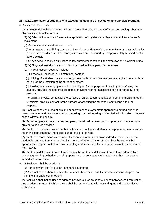#### **§17:416.21. Behavior of students with exceptionalities; use of seclusion and physical restraint.**

A. As used in this Section:

 (1) "Imminent risk of harm" means an immediate and impending threat of a person causing substantial physical injury to self or others.

 (2) (a) "Mechanical restraint" means the application of any device or object used to limit a person's movement.

(b) Mechanical restraint does not include:

 (i) A protective or stabilizing device used in strict accordance with the manufacturer's instructions for proper use and which is used in compliance with orders issued by an appropriately licensed health care provider.

(ii) Any device used by a duly licensed law enforcement officer in the execution of his official duties.

(3) (a) "Physical restraint" means bodily force used to limit a person's movement.

(b) Physical restraint does not include:

(i) Consensual, solicited, or unintentional contact.

 (ii) Holding of a student, by a school employee, for less than five minutes in any given hour or class period for the protection of the student or others.

 (iii) Holding of a student, by one school employee, for the purpose of calming or comforting the student, provided the student's freedom of movement or normal access to his or her body is not restricted.

(iv) Minimal physical contact for the purpose of safely escorting a student from one area to another.

 (v) Minimal physical contact for the purpose of assisting the student in completing a task or response.

 (4) "Positive behavior interventions and support" means a systematic approach to embed evidencebased practices and data-driven decision making when addressing student behavior in order to improve school climate and culture.

 (5) "School employee" means a teacher, paraprofessional, administrator, support staff member, or a provider of related services.

 (6) "Seclusion" means a procedure that isolates and confines a student in a separate room or area until he or she is no longer an immediate danger to self or others.

 (7) "Seclusion room" means a room or other confined area, used on an individual basis, in which a student is removed from the regular classroom setting for a limited time to allow the student the opportunity to regain control in a private setting and from which the student is involuntarily prevented from leaving.

 (8) "Written guidelines and procedures" means the written guidelines and procedures adopted by a school's governing authority regarding appropriate responses to student behavior that may require immediate intervention.

#### B. (1) Seclusion shall be used only:

(a) For behaviors that involve an imminent risk of harm.

 (b) As a last resort when de-escalation attempts have failed and the student continues to pose an imminent threat to self or others.

 (2) Seclusion shall not be used to address behaviors such as general noncompliance, self-stimulation, and academic refusal. Such behaviors shall be responded to with less stringent and less restrictive techniques.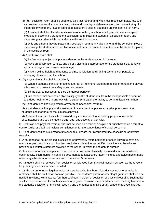(3) (a) A seclusion room shall be used only as a last resort if and when less restrictive measures, such as positive behavioral supports, constructive and non-physical de-escalation, and restructuring of a student's environment, have failed to stop a student's actions that pose an imminent risk of harm.

 (b) A student shall be placed in a seclusion room only by a school employee who uses accepted methods of escorting a student to a seclusion room, placing a student in a seclusion room, and supervising a student while he or she is in the seclusion room.

 (c) Only one student may be placed in a seclusion room at any given time, and the school employee supervising the student must be able to see and hear the student the entire time the student is placed in the seclusion room.

(4) A seclusion room shall:

(a) Be free of any object that poses a danger to the student placed in the room.

 (b) Have an observation window and be of a size that is appropriate for the student's size, behavior, and chronological and developmental age.

 (c) Have a ceiling height and heating, cooling, ventilation, and lighting systems comparable to operating classrooms in the school.

C. (1) Physical restraint shall be used only:

 (a) When a student's behavior presents a threat of imminent risk of harm to self or others and only as a last resort to protect the safety of self and others.

(b) To the degree necessary to stop dangerous behavior.

 (c) In a manner that causes no physical injury to the student, results in the least possible discomfort, and does not interfere in any way with a student's breathing or ability to communicate with others.

(2) No student shall be subjected to any form of mechanical restraint.

 (3) No student shall be physically restrained in a manner that places excessive pressure on the student's chest or back or that causes asphyxia.

 (4) A student shall be physically restrained only in a manner that is directly proportionate to the circumstances and to the student's size, age, and severity of behavior.

D. Seclusion and physical restraint shall not be used as a form of discipline or punishment, as a threat to control, bully, or obtain behavioral compliance, or for the convenience of school personnel.

E. No student shall be subjected to unreasonable, unsafe, or unwarranted use of seclusion or physical restraint.

F. A student shall not be placed in seclusion or physically restrained if he or she is known to have any medical or psychological condition that precludes such action, as certified by a licensed health care provider in a written statement provided to the school in which the student is enrolled.

G. A student who has been placed in seclusion or has been physically restrained shall be monitored continuously. Such monitoring shall be documented at least every fifteen minutes and adjustments made accordingly, based upon observations of the student's behavior.

H. A student shall be removed from seclusion or released from physical restraint as soon as the reasons for justifying such action have subsided.

I. (1) The parent or other legal guardian of a student who has been placed in seclusion or physically restrained shall be notified as soon as possible. The student's parent or other legal guardian shall also be notified in writing, within twenty-four hours, of each incident of seclusion or physical restraint. Such notice shall include the reason for such seclusion or physical restraint, the procedures used, the length of time of the student's seclusion or physical restraint, and the names and titles of any school employee involved.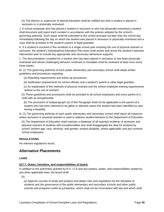(2) The director or supervisor of special education shall be notified any time a student is placed in seclusion or is physically restrained.

J. A school employee who has placed a student in seclusion or who has physically restrained a student shall document and report each incident in accordance with the policies adopted by the school's governing authority. Such report shall be submitted to the school principal not later than the school day immediately following the day on which the student was placed in seclusion or physically restrained and a copy shall be provided to the student's parent or legal guardian.

K. If a student is involved in five incidents in a single school year involving the use of physical restraint or seclusion, the student's Individualized Education Plan team shall review and revise the student's behavior intervention plan to include any appropriate and necessary behavioral supports.

L. The documentation compiled for a student who has been placed in seclusion or has been physically restrained and whose challenging behavior continues or escalates shall be reviewed at least once every three weeks.

M. (1) The governing authority of each public elementary and secondary school shall adopt written guidelines and procedures regarding:

- (a) Reporting requirements and follow-up procedures.
- (b) Notification requirements for school officials and a student's parent or other legal guardian.
- (c) An explanation of the methods of physical restraint and the school employee training requirements relative to the use of restraint.

 (2) These guidelines and procedures shall be provided to all school employees and every parent of a child with an exceptionality.

 (b) The provisions of Subparagraph (a) of this Paragraph shall not be applicable to the parent of a student who has been deemed to be gifted or talented unless the student has been identified as also having a disability.

N. (1) The governing authority of each public elementary and secondary school shall report all instances where seclusion or physical restraint is used to address student behavior to the Department of Education.

 (2) The Department of Education shall maintain a database of all reported incidents of seclusion and physical restraint of students with exceptionalities and shall disaggregate the data for analysis by school; student age, race, ethnicity, and gender; student disability, where applicable; and any involved school employees.

#### **REGULATIONS**

No relevant regulations found.

## **Alternative Placements**

#### **LAWS**

#### **§17:7. Duties, functions, and responsibilities of board.**

In addition to the authorities granted by R.S. 17:6 and any powers, duties, and responsibilities vested by any other applicable laws, the board shall:

(5)

 (a) Approve courses of study and prepare and adopt rules and regulations for the discipline of students and the governance of the public elementary and secondary schools and other public schools and programs under its jurisdiction, which shall not be inconsistent with law and which shall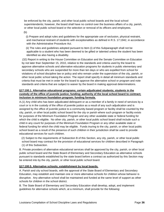be enforced by the city, parish, and other local public school boards and the local school superintendents; however, the board shall have no control over the business affairs of a city, parish, or other local public school board or the selection or removal of its officers and employees.

(b)

 (i) Prepare and adopt rules and guidelines for the appropriate use of seclusion, physical restraint, and mechanical restraint of students with exceptionalities as defined in R.S. 17:1942, in accordance with the Administrative Procedure Act.

 (ii) The rules and guidelines adopted pursuant to Item (i) of this Subparagraph shall not be applicable to a student who has been deemed to be gifted or talented unless the student has been identified as also having a disability.

 (32) Report in writing to the House Committee on Education and the Senate Committee on Education by not later than September 15, 2010, relative to the standards and criteria used by the board to approve alternative schools and alternative education programs for students in public elementary and secondary schools who are suspended for more than ten days or who are expelled from school for violations of school discipline law or policy and who remain under the supervision of the city, parish, or other local public school taking the action. The report shall specify in detail all minimum standards and criteria that must be met in order for the board to approve the alternative school or program and note standards and criteria that are subject to waiver by the board in making approval determinations.

## **§17:100.1. Alternative educational programs; certain adjudicated students; students in the custody of the office of juvenile justice; funding; authority of the local school board to contract; inclusion in minimum foundation program; funding formula.**

A.(1) Any child who has been adjudicated delinquent or as a member of a family in need of services by a court or is in the custody of the office of juvenile justice as a result of any such adjudication and is assigned by the office of juvenile justice to a community-based program or facility shall be counted by the city, parish, or other local public school board for the city or parish where such program or facility exists for purposes of the Minimum Foundation Program and any other available state or federal funding for which the child is eligible. No other city, parish, or other local public school board shall include such a child in any count for purposes of the Minimum Foundation Program or any other available state or federal funding for which the child may be eligible. Funds inuring to the city, parish, or other local public school board as a result of the presence of such children in their jurisdiction shall be used to provide educational services for such children.

 (2) Subject to the requirements of Subsection B of this Section, any city, parish, or other local public school board may contract for the provision of educational services for children described in Paragraph (1) of this Subsection.

B. Private providers of alternative educational services shall be approved by the city, parish, or other local public school board and the State Board of Elementary and Secondary Education as alternative schools pursuant to standards established by the state board before a contract as authorized by this Section may be entered into by the city, parish, or other local public school board.

#### **§17:100.5. Alternative schools; establishment by local boards.**

A. Parish and city school boards, with the approval of the State Board of Elementary and Secondary Education, may establish and maintain one or more alternative schools for children whose behavior is disruptive. Any alternative school shall be maintained and funded at the same level of support as other schools for children in the school district.

B. The State Board of Elementary and Secondary Education shall develop, adopt, and implement guidelines for alternative schools which, at a minimum, shall provide for the following: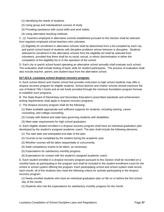- (1) Identifying the needs of students.
- (2) Using group and individualized courses of study.
- (3) Providing assistance with social skills and work habits.
- (4) Using alternative teaching methods.

C. (1) Teachers employed in alternative schools established pursuant to this Section shall be selected from regularly employed school teachers who volunteer.

 (2) Eligibility for enrollment in alternative schools shall be determined from a list compiled by each city and parish school board of students with discipline problems whose behavior is disruptive. Students selected for enrollment in the alternative schools from the eligibility list shall be selected from volunteers, provided that there shall be no racial, sexual, or ethnic discrimination in either the compilation of the eligibility list or in the operation of the school.

D. Each city or parish school board operating an alternative school annually shall evaluate such school. The evaluation shall include testing of basic skills for student participants. The process of evaluation shall also include teacher, parent, and student input from the alternative school.

#### **§17:221.6. Louisiana school dropout recovery program.**

A. Each school district and charter school that provides instruction to high school students may offer a dropout recovery program for eligible students. School districts and charter schools should maximize the use of federal Title 1 funds and at-risk funds provided through the minimum foundation program formula to establish such programs.

B. The State Board of Elementary and Secondary Education's prescribed standards and achievement testing requirements shall apply to dropout recovery programs.

C. The dropout recovery program shall do the following:

 (1) Make available appropriate and sufficient supports for students, including tutoring, career counseling, and college counseling.

- (2) Comply with federal and state laws governing students with disabilities.
- (3) Meet state requirements for high school graduation.

D. Each eligible student enrolled in a dropout recovery program shall have an individual graduation plan developed by the student's assigned academic coach. The plan shall include the following elements:

- (1) The start date and anticipated end date of the plan.
- (2) Courses to be completed by the student during the academic year.
- (3) Whether courses will be taken sequentially or concurrently.
- (4) State competency exams to be taken, as necessary.
- (5) Expectations for satisfactory monthly progress.
- (6) Expectations for contact with the student's assigned academic coach.

E. Each student enrolled in a dropout recovery program pursuant to this Section shall be recorded on a monthly basis as participating in the program and shall be included in the student enrollment count for the school or school system offering the program. Each participating school and school system shall record, each month, all of the students who meet the following criteria for actively participating in the dropout recovery program:

 (1) Newly enrolled students who have an individual graduation plan on file on or before the first school day of the month.

(2) Students who met the expectations for satisfactory monthly progress for the month.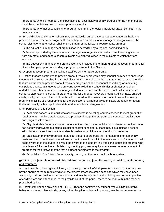(3) Students who did not meet the expectations for satisfactory monthly progress for the month but did meet the expectations one of the two previous months.

 (4) Students who met expectations for program reentry in the revised individual graduation plan in the previous month.

F. School districts and charter schools may contract with an educational management organization to provide a dropout recovery program. If contracting with an educational management organization, the school district or charter school shall ensure that all of the following requirements are met:

(1) The educational management organization is accredited by a regional accrediting body.

 (2) Teachers provided by the educational management organization hold a current teaching license from any state, and teachers of core subjects are highly qualified in the subjects to which they are assigned.

 (3) The educational management organization has provided one or more dropout recovery programs for at least two years prior to providing a program pursuant to this Section.

G. Dropout recovery programs shall be classified as alternative programs.

H. Entities that are contracted to provide dropout recovery programs may conduct outreach to encourage students who are not enrolled in a school district or charter school in this state to return to school. Entities that are contracted to provide dropout recovery programs shall not conduct advertising or marketing campaigns directed at students who are currently enrolled in a school district or charter school, or undertake any other activity that encourages students who are enrolled in a school district or charter school to stop attending school in order to qualify for a dropout recovery program. All contracts entered into by a city, parish, or other local public school board for the provision of student dropout recovery programs shall include requirements for the protection of all personally identifiable student information that shall comply with all applicable state and federal law and regulations.

I. For purposes of this Section:

 (1) "Academic coach" is an adult who assists students in selecting courses needed to meet graduation requirements, monitors student pace and progress through the program, and conducts regular pace and progress interventions.

 (2) "Eligible student" means a student who is not enrolled in a school district or charter school and who has been withdrawn from a school district or charter school for at least thirty days, unless a school administrator determines that the student is unable to participate in other district programs.

 (3) "Satisfactory monthly progress" means an amount of progress that is measurable on a monthly basis and that, if continued for a full twelve months, would result in the same amount of academic credit being awarded to the student as would be awarded to a student in a traditional education program who completes a full school year. Satisfactory monthly progress may include a lesser required amount of progress for the first two months that a student participates in the program.

(4) "School district" or "district" means a city, parish, or other local public school system.

## **§17:224. Unadjustable or incorrigible children; reports to juvenile courts; expulsion, assignments, and transfers.**

A. Unadjustable or incorrigible children, who, through no fault of their parents or tutors or other persons having charge of them, regularly disrupt the orderly processes of the school to which they have been assigned, shall be considered as delinquents and may be reported by the visiting teacher, or supervisor of child welfare and attendance, to the juvenile court of the parish, there to be dealt with in the manner prescribed by law.

B. Notwithstanding the provisions of R.S. 17:416 to the contrary, any student who exhibits disruptive behavior, an incorrigible attitude, or any other discipline problems in general, may be recommended by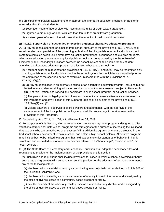the principal for expulsion, assignment to an appropriate alternative education program, or transfer to adult education if such student is:

- (1) Seventeen years of age or older with less than five units of credit toward graduation.
- (2) Eighteen years of age or older with less than ten units of credit toward graduation
- (3) Nineteen years of age or older with less than fifteen units of credit toward graduation.

#### **§17:416.2. Supervision of suspended or expelled students; alternative education programs.**

A. (1) Any student suspended or expelled from school pursuant to the provisions of R.S. 17:416, shall remain under the supervision of the governing authority of the city, parish, or other local public school system taking such action using alternative education programs for suspended and expelled students. Alternative education programs of any local public school shall be approved by the State Board of Elementary and Secondary Education; however, no school system shall be liable for any student attending an alternative education program at a location other than a school site.

 (2) A student expelled pursuant to the provisions of R.S. 17:416(B) and (C)(2) may be readmitted only to a city, parish, or other local public school in the school system from which he was expelled prior to the completion of the specified period of expulsion, in accordance with the provisions of R.S. 17:416(C)(2)(d).

 (3) (a) Any student placed in an alternative school or an alternative education program, including but not limited to any student receiving education services pursuant to an agreement subject to Paragraph (D)(2) of this Section, shall attend and participate in such school, program, or education services.

 (b) The parent, tutor, or legal guardian of any such student shall ensure attendance as required by this Paragraph and any violation of this Subparagraph shall be subject to the provisions of R.S. 17:221(A)(2) and (3).

 (c) Visiting teachers or supervisors of child welfare and attendance, with the approval of the superintendent of the local public school system, shall file proceedings in court to enforce the provisions of this Paragraph.

B. Repealed by Acts 2012, No. 831, § 2, effective June 14, 2012.

C. For purposes of this Section, alternative education programs may mean programs designed to offer variations of traditional instructional programs and strategies for the purpose of increasing the likelihood that students who are unmotivated or unsuccessful in traditional programs or who are disruptive in the traditional school environment remain in school and obtain a high school diploma. Alternative programs may include but not be limited to programs that hold students to strict standards of behavior in highly structured and controlled environments, sometimes referred to as "boot camps", "police schools", or "court schools".

D. (1) The State Board of Elementary and Secondary Education shall adopt the necessary rules and regulations to provide for the implementation of the provisions of this Section.

 (2) Such rules and regulations shall include provisions for cases in which a school governing authority enters into an agreement with an education service provider for the education of a student who meets any of the following criteria:

 (a) Has been adjudicated delinquent by a court having juvenile jurisdiction as defined in Article 302 of the Louisiana Children's Code.

 (b) Has been adjudicated by a court as a member of a family in need of services and is assigned by the office of juvenile justice to a community-based program or facility.

 (c) Is in the custody of the office of juvenile justice as a result of an adjudication and is assigned by the office of juvenile justice to a community-based program or facility.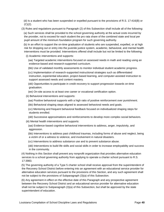(d) Is a student who has been suspended or expelled pursuant to the provisions of R.S. 17:416(B) or  $(C)(2)$ .

(3) Rules and regulations pursuant to Paragraph (2) of this Subsection shall include all of the following:

 (a) Such services shall be provided to the school governing authority at the actual costs incurred by the provider, not to exceed for each student the pro rata share of the combined state and local per pupil amount of the minimum foundation program for such governing authority.

 (b) In an effort to support the on-time graduation of students who are suspended, expelled, or at high risk for dropping out or entry into the juvenile justice system, academic, behavioral, and mental health interventions must be provided. Interventions offered shall include but not be limited to the following:

(i) Academic interventions and supports:

 (aa) Targeted academic interventions focused on assessed needs in math and reading using an evidence-based and research-supported curriculum.

(bb) Use of validated monthly assessments to monitor individual student academic progress.

 (cc) Implementation of research-supported instructional strategies such as differentiated instruction, experiential education, project-based learning, and computer-assisted instruction to support assessed needs and content mastery.

 (dd) Opportunities to participate in credit recovery to support progression towards on-time graduation.

(ee) On-site access to at least one career or vocational certification option.

(ii) Behavioral interventions and supports:

(aa) Positive behavioral supports with a high ratio of positive reinforcement over punishment.

(bb) Behavioral shaping steps aligned to assessed behavioral needs and goals.

 (cc) Mentoring and frequent behavioral feedback focused on individualized shaping steps for students enrolled.

(dd) Successive approximations and reinforcements to develop more complex social behaviors.

(iii) Mental health interventions and supports:

 (aa) Evidence-based cognitive behavioral interventions to address, anger, impulsivity, and aggression.

 (bb) Interventions to address past childhood traumas, including forms of abuse and neglect, being a victim of or a witness to violence, and involvement in natural disasters.

(cc) Interventions to address substance use and to prevent substance abuse.

 (dd) Interventions to build life skills and social skills in order to increase employability and success in the community.

 (4) Nothing in this Section shall prevent any nonprofit organization that provides alternative education services to a school governing authority from applying to operate a charter school pursuant to R.S. 17:3983.

 (5) The governing authority of a Type 5 charter school shall receive approval from the superintendent of the Recovery School District before entering into an agreement with an educational service provider for alternative education services pursuant to the provisions of this Section, and any such agreement shall not be subject to the provisions of Subparagraph (3)(a) of this Subsection.

 (6) Any agreement in effect on the effective date of this Paragraph and any prospective agreement between the Recovery School District and an educational service provider for alternative education shall not be subject to Subparagraph (3)(a) of this Subsection, but shall be approved by the state superintendent of education.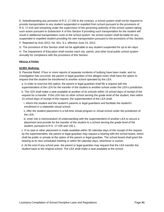E. Notwithstanding any provision of R.S. 17:158 to the contrary, a school system shall not be required to provide transportation to any student suspended or expelled from school pursuant to the provisions of R.S. 17:416 and remaining under the supervision of the governing authority of the school system taking such action pursuant to Subsection A of this Section if providing such transportation for the student will result in additional transportation costs to the school system. No school system shall be liable for any suspended or expelled student providing his own transportation pursuant to the provisions of this Section.

F. Repealed by Acts 2012, No. 831, § 2, effective June 14, 2012.

G. The provisions of this Section shall not be applicable to any student suspended for up to ten days.

H. The Department of Education shall monitor each city, parish, and other local public school system annually for compliance with the provisions of this Section.

#### **REGULATIONS**

#### **§1303. Bullying.**

8. Parental Relief. If four or more reports of separate incidents of bullying have been made, and no investigation has occurred, the parent or legal guardian of the alleged victim shall have the option to request that the student be transferred to another school operated by the LEA.

 a. In order to exercise this option, the parent or legal guardian shall file a request with the superintendent of the LEA for the transfer of the student to another school under the LEA's jurisdiction.

 b. The LEA shall make a seat available at another of its schools within 10 school days of receipt of the request for a transfer. If the LEA has no other school serving the grade level of the student, then within 15 school days of receipt of the request, the superintendent of the LEA shall:

 i. inform the student and the student's parents or legal guardians and facilitate the student's enrollment in a statewide virtual school;

 ii. offer the student placement in a full-time virtual program or virtual school under the jurisdiction of the LEA;

 iii. enter into a memorandum of understanding with the superintendent of another LEA to secure a placement and provide for the transfer of the student to a school serving the grade level of the student, pursuant to R.S. 17:105 and 105.1.

 c. If no seat or other placement is made available within 30 calendar days of the receipt of the request by the superintendent, the parent or legal guardian may request a hearing with the school board, which shall be public or private at the option of the parent or legal guardian. The school board shall grant the hearing at its next scheduled meeting or within 60 calendar days, whichever is sooner.

 d. At the end of any school year, the parent or legal guardian may request that the LEA transfer the student back to the original school. The LEA shall make a seat available at the school.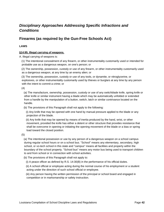# *Disciplinary Approaches Addressing Specific Infractions and Conditions*

# **Firearms (as required by the Gun-Free Schools Act)**

## **LAWS**

## **§14:95. Illegal carrying of weapons.**

A. Illegal carrying of weapons is:

 (1) The intentional concealment of any firearm, or other instrumentality customarily used or intended for probable use as a dangerous weapon, on one's person; or

 (2) The ownership, possession, custody or use of any firearm, or other instrumentality customarily used as a dangerous weapon, at any time by an enemy alien; or

 (3) The ownership, possession, custody or use of any tools, or dynamite, or nitroglycerine, or explosives, or other instrumentality customarily used by thieves or burglars at any time by any person with the intent to commit a crime; or

(4)

 (a) The manufacture, ownership, possession, custody or use of any switchblade knife, spring knife or other knife or similar instrument having a blade which may be automatically unfolded or extended from a handle by the manipulation of a button, switch, latch or similar contrivance located on the handle.

(b) The provisions of this Paragraph shall not apply to the following:

 (i) Any knife that may be opened with one hand by manual pressure applied to the blade or any projection of the blade.

 (ii) Any knife that may be opened by means of inertia produced by the hand, wrist, or other movement, provided the knife has either a detent or other structure that provides resistance that shall be overcome in opening or initiating the opening movement of the blade or a bias or spring load toward the closed position.

(5)

 (a) The intentional possession or use by any person of a dangerous weapon on a school campus during regular school hours or on a school bus. "School" means any elementary, secondary, high school, or vo-tech school in this state and "campus" means all facilities and property within the boundary of the school property. "School bus" means any motor bus being used to transport children to and from school or in connection with school activities.

(b) The provisions of this Paragraph shall not apply to:

(i) A peace officer as defined by R.S. 14:30(B) in the performance of his official duties.

 (ii) A school official or employee acting during the normal course of his employment or a student acting under the direction of such school official or employee.

 (iii) Any person having the written permission of the principal or school board and engaged in competition or in marksmanship or safety instruction.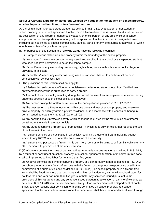## **§14:95.2. Carrying a firearm or dangerous weapon by a student or nonstudent on school property, at school-sponsored functions, or in a firearm-free zone.**

A. Carrying a firearm, or dangerous weapon as defined in R.S. 14:2, by a student or nonstudent on school property, at a school sponsored function, or in a firearm-free zone is unlawful and shall be defined as possession of any firearm or dangerous weapon, on one's person, at any time while on a school campus, on school transportation, or at any school sponsored function in a specific designated area including but not limited to athletic competitions, dances, parties, or any extracurricular activities, or within one thousand feet of any school campus.

B. For purposes of this Section, the following words have the following meanings:

(1) "Campus" means all facilities and property within the boundary of the school property.

 (2) "Nonstudent" means any person not registered and enrolled in that school or a suspended student who does not have permission to be on the school campus.

 (3) "School" means any elementary, secondary, high school, vocational-technical school, college, or university in this state.

 (4) "School bus" means any motor bus being used to transport children to and from school or in connection with school activities.

C. The provisions of this Section shall not apply to:

 (1) A federal law enforcement officer or a Louisiana-commissioned state or local Post Certified law enforcement officer who is authorized to carry a firearm.

 (2) A school official or employee acting during the normal course of his employment or a student acting under the direction of such school official or employee.

(3) Any person having the written permission of the principal or as provided in R.S. 17:3361.1.

 (4) The possession of a firearm occurring within one thousand feet of school property and entirely on private property, or entirely within a private residence, or in accordance with a concealed handgun permit issued pursuant to R.S. 40:1379.1 or 1379.3.

 (5) Any constitutionally protected activity which cannot be regulated by the state, such as a firearm contained entirely within a motor vehicle.

 (6) Any student carrying a firearm to or from a class, in which he is duly enrolled, that requires the use of the firearm in the class.

 (7) A student enrolled or participating in an activity requiring the use of a firearm including but not limited to any ROTC function under the authorization of a university.

 (8) A student who possesses a firearm in his dormitory room or while going to or from his vehicle or any other person with permission of the administration.

D.(1) Whoever commits the crime of carrying a firearm, or a dangerous weapon as defined in R.S. 14:2, by a student or nonstudent on school property, at a school-sponsored function, or in a firearm-free zone shall be imprisoned at hard labor for not more than five years.

 (2) Whoever commits the crime of carrying a firearm, or a dangerous weapon as defined in R.S. 14:2, on school property or in a firearm-free zone with the firearm or dangerous weapon being used in the commission of a crime of violence as defined in R.S. 14:2(B) on school property or in a firearm-free zone, shall be fined not more than two thousand dollars, or imprisoned, with or without hard labor, for not less than one year nor more than five years, or both. Any sentence issued pursuant to the provisions of this Paragraph and any sentence issued pursuant to a violation of a crime of violence as defined in R.S. 14:2(B) shall be served consecutively. Upon commitment to the Department of Public Safety and Corrections after conviction for a crime committed on school property, at a schoolsponsored function or in a firearm-free zone, the department shall have the offender evaluated through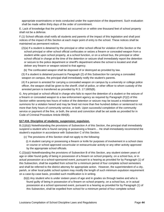appropriate examinations or tests conducted under the supervision of the department. Such evaluation shall be made within thirty days of the order of commitment.

E. Lack of knowledge that the prohibited act occurred on or within one thousand feet of school property shall not be a defense.

F.(1) School officials shall notify all students and parents of the impact of this legislation and shall post notices of the impact of this Section at each major point of entry to the school. These notices shall be maintained as permanent notices.

- (2)(a) If a student is detained by the principal or other school official for violation of this Section or the school principal or other school official confiscates or seizes a firearm or concealed weapon from a student while upon school property, at a school function, or on a school bus, the principal or other school official in charge at the time of the detention or seizure shall immediately report the detention or seizure to the police department or sheriff's department where the school is located and shall deliver any firearm or weapon seized to that agency.
	- (b) The confiscated weapon shall be disposed of or destroyed as provided by law.

 (3) If a student is detained pursuant to Paragraph (2) of this Subsection for carrying a concealed weapon on campus, the principal shall immediately notify the student's parents.

 (4) If a person is arrested for carrying a concealed weapon on campus by a university or college police officer, the weapon shall be given to the sheriff, chief of police, or other officer to whom custody of the arrested person is transferred as provided by R.S. 17:1805(B).

G. Any principal or school official in charge who fails to report the detention of a student or the seizure of a firearm or concealed weapon to a law enforcement agency as required by Paragraph (F)(2) of this Section within seventy-two hours of notice of the detention or seizure may be issued a misdemeanor summons for a violation hereof and may be fined not more than five hundred dollars or sentenced to not more than forty hours of community service, or both. Upon successful completion of the community service or payment of the fine, or both, the arrest and conviction shall be set aside as provided for in Code of Criminal Procedure Article 894(B).

#### **§17:416. Discipline of students; suspension; expulsion.**

B.(1)(b)(i) Notwithstanding the provisions of Subsection A of this Section, the principal shall immediately suspend a student who is found carrying or possessing a firearm… He shall immediately recommend the student's expulsion in accordance with Subsection C of this Section.

- (c) The provisions of this Section shall not apply to the following:
	- (i) A student carrying or possessing a firearm or knife for purposes of involvement in a school class or course or school approved cocurricular or extracurricular activity or any other activity approved by the appropriate school officials.

C.(2)(a)(i) Notwithstanding the provisions of Subsection B of this Section, any student sixteen years of age or older found guilty of being in possession of a firearm on school property, on a school bus, or in actual possession at a school-sponsored event, pursuant to a hearing as provided for by Paragraph (1) of this Subsection, shall be expelled from school for a minimum period of four complete school semesters and shall be referred to the district attorney for appropriate action. However, the superintendent of a city, parish, or other local public school system may modify the length of such minimum expulsion requirement on a case-by-case basis, provided such modification is in writing.

 (b)(i) Any student who is under sixteen years of age and in grades six through twelve and who is found guilty of being in possession of a firearm on school property, on a school bus, or in actual possession at a school sponsored event, pursuant to a hearing as provided for by Paragraph (1) of this Subsection, shall be expelled from school for a minimum period of four complete school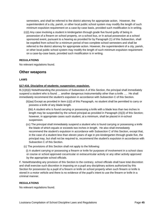semesters, and shall be referred to the district attorney for appropriate action. However, the superintendent of a city, parish, or other local public school system may modify the length of such minimum expulsion requirement on a case-by-case basis, provided such modification is in writing.

 (c)(i) Any case involving a student in kindergarten through grade five found guilty of being in possession of a firearm on school property, on a school bus, or in actual possession at a school sponsored event, pursuant to a hearing as provided for by Paragraph (1) of this Subsection, shall be expelled from school for a minimum period of two complete school semesters and shall be referred to the district attorney for appropriate action. However, the superintendent of a city, parish, or other local public school system may modify the length of such minimum expulsion requirement on a case-by-case basis, provided such modification is in writing.

### **REGULATIONS**

No relevant regulations found.

## **Other weapons**

#### **LAWS**

#### **§17:416. Discipline of students; suspension; expulsion.**

B.(1)(b)(i) Notwithstanding the provisions of Subsection A of this Section, the principal shall immediately suspend a student who is found … another dangerous instrumentality other than a knife …. He shall immediately recommend the student's expulsion in accordance with Subsection C of this Section.

 (ii)(aa) Except as provided in Item (c)(i) of this Paragraph, no student shall be permitted to carry or possess a knife of any blade length.

 (bb) A student who is found carrying or possessing a knife with a blade less than two inches in length may be suspended by the school principal as provided in Paragraph (A)(3) of this Section; however, in appropriate cases such student, at a minimum, shall be placed in in-school suspension.

- (cc) The principal shall immediately suspend a student who is found carrying or possessing a knife the blade of which equals or exceeds two inches in length. He also shall immediately recommend the student's expulsion in accordance with Subsection C of this Section, except that, in the case of a student less than eleven years of age in pre-kindergarten through grade five, the principal may, but shall not be required to, recommend the student's expulsion in accordance with Subsection C of this Section.
- (c) The provisions of this Section shall not apply to the following:

 (i) A student carrying or possessing a firearm or knife for purposes of involvement in a school class or course or school approved cocurricular or extracurricular activity or any other activity approved by the appropriate school officials.

F. Notwithstanding any provision of this Section to the contrary, school officials shall have total discretion and shall exercise such discretion in imposing on a pupil any disciplinary actions authorized by this Section for possession by a pupil of a firearm or knife on school property when such firearm or knife is stored in a motor vehicle and there is no evidence of the pupil's intent to use the firearm or knife in a criminal manner.

#### **REGULATIONS**

No relevant regulations found.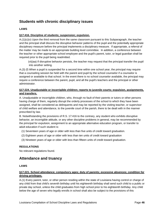# **Students with chronic disciplinary issues**

## **LAWS**

#### **§17:416. Discipline of students; suspension; expulsion.**

 $A(1)(c)(v)$  Upon the third removal from the same classroom pursuant to this Subparagraph, the teacher and the principal shall discuss the disruptive behavior patterns of the pupil and the potentially appropriate disciplinary measure before the principal implements a disciplinary measure. If appropriate, a referral of the matter may be made to an appropriate building level committee. In addition, a conference between the teacher or other appropriate school employee and the pupil's parent, tutor, or legal guardian shall be required prior to the pupil being readmitted.

 (vi)(aa) If disruptive behavior persists, the teacher may request that the principal transfer the pupil into another setting.

A.(3) (f) When a pupil is suspended for a second time within one school year, the principal may require that a counseling session be held with the parent and pupil by the school counselor if a counselor is assigned or available to that school. In the event there is no school counselor available, the principal may require a conference between the parent, pupil, and all the pupil's teachers and the principal or other administrator.

#### **§17:224. Unadjustable or incorrigible children; reports to juvenile courts; expulsion, assignments, and transfers.**

A. Unadjustable or incorrigible children, who, through no fault of their parents or tutors or other persons having charge of them, regularly disrupt the orderly processes of the school to which they have been assigned, shall be considered as delinquents and may be reported by the visiting teacher, or supervisor of child welfare and attendance, to the juvenile court of the parish, there to be dealt with in the manner prescribed by law.

B. Notwithstanding the provisions of R.S. 17:416 to the contrary, any student who exhibits disruptive behavior, an incorrigible attitude, or any other discipline problems in general, may be recommended by the principal for expulsion, assignment to an appropriate alternative education program, or transfer to adult education if such student is:

- (1) Seventeen years of age or older with less than five units of credit toward graduation.
- (2) Eighteen years of age or older with less than ten units of credit toward graduation
- (3) Nineteen years of age or older with less than fifteen units of credit toward graduation.

#### **REGULATIONS**

No relevant regulations found.

## **Attendance and truancy**

#### **LAWS**

## **§17:221. School attendance; compulsory ages; duty of parents; excessive absences; condition for driving privileges.**

A.(1) Every parent, tutor, or other person residing within the state of Louisiana having control or charge of any child from that child's seventh birthday until his eighteenth birthday shall send such child to a public or private day school, unless the child graduates from high school prior to his eighteenth birthday. Any child below the age of seven who legally enrolls in school shall also be subject to the provisions of this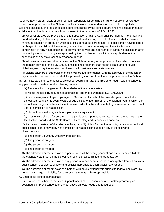Subpart. Every parent, tutor, or other person responsible for sending a child to a public or private day school under provisions of this Subpart shall also assure the attendance of such child in regularly assigned classes during regular school hours established by the school board and shall assure that such child is not habitually tardy from school pursuant to the provisions of R.S. 17:233.

 (2) Whoever violates the provisions of this Subsection or R.S. 17:234 shall be fined not more than two hundred and fifty dollars or imprisoned not more than thirty days, or both. The court shall impose a minimum condition of probation which may include that the parent, tutor, or other person having control or charge of the child participate in forty hours of school or community service activities, or a combination of forty hours of school or community service and attendance in parenting classes or family counseling sessions or programs approved by the court having jurisdiction, as applicable, or the suspension of any state-issued recreational license.

 (3) Whoever violates any other provision of this Subpart or any other provision of law which provides for the penalty provided for in R.S. 17:221 shall be fined not more than fifteen dollars, and, for such violations, each day the violation continues shall constitute a separate offense.

 (4) Visiting teachers or supervisors of child welfare and attendance, with the approval of the parish or city superintendents of schools, shall file proceedings in court to enforce the provisions of this Subpart.

B. (1) A city, parish, or other local public school board shall grant admission or readmission to school to any person who meets all of the following criteria:

(a) Resides within the geographic boundaries of the school system.

(b) Meets the eligibility requirements for school entrance pursuant to R.S. 17:222(A).

 (c) Is nineteen years of age or younger on September thirtieth of the calendar year in which the school year begins or is twenty years of age on September thirtieth of the calendar year in which the school year begins and has sufficient course credits that he will be able to graduate within one school year of admission or readmission.

(d) Has not received a high school diploma or its equivalent.

 (e) Is otherwise eligible for enrollment in a public school pursuant to state law and the policies of the local school board and the State Board of Elementary and Secondary Education.

 (2) If a person meets all of the criteria in Paragraph (1) of this Subsection, no city, parish, or other local public school board may deny him admission or readmission based on any of the following characteristics:

(a) The person voluntarily withdrew from school.

(b) The person is pregnant.

(c) The person is a parent.

(d) The person is married.

 (3) The admission or readmission of a person who will be twenty years of age on September thirtieth of the calendar year in which the school year begins shall be limited to grade twelve.

 (4) The admission or readmission of any person who has been suspended or expelled from a Louisiana public school is subject to all laws and policies applicable to such disciplinary actions.

 (5) The admission or readmission of a person with an exceptionality is subject to federal and state law governing the age of eligibility for services for students with exceptionalities.

C. Each of the school boards shall:

 (1) Develop and submit to the state Superintendent of Education a detailed written program plan designed to improve school attendance, based on local needs and resources.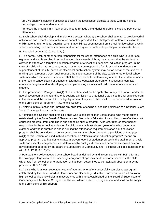(2) Give priority in selecting pilot schools within the local school districts to those with the highest percentage of nonattendance, and

 (3) Focus the program in a manner designed to remedy the underlying problems causing poor school attendance.

D. Each school shall develop and implement a system whereby the school shall attempt to provide verbal notification and, if such verbal notification cannot be provided, then shall provide written notification to a child's parent, tutor, or legal guardian when that child has been absent from school for five school days in schools operating on a semester basis, and for ten days in schools not operating on a semester basis.

E. Repealed by Acts 2010, No. 927, §1.

F. The parent, tutor, or other person responsible for the school attendance of a child who is under age eighteen and who is enrolled in school beyond his sixteenth birthday may request that the student be allowed to attend an alternative education program or a vocational-technical education program. In the case of a child who has no parent, tutor, or other person responsible for his school attendance, the superintendent of the city, parish, or other local public school system may act on behalf of the student in making such a request. Upon such request, the superintendent of the city, parish, or other local school system in which the student is enrolled shall be responsible for determining whether the student remains in the regular school setting or attends an alternative education program or a vocational-technical education program and for developing and implementing an individualized plan of education for such student.

G. The provisions of Paragraph (A)(1) of this Section shall not be applicable to any child who is under the age of seventeen and is attending or is seeking admission to a National Guard Youth Challenge Program in this state, and the parent, tutor, or legal guardian of any such child shall not be considered in violation of the provisions of Paragraph (A)(1) of this Section.

H. Nothing in this Section shall prohibit any child from attending or seeking admission to a National Guard Youth Challenge Program in this state.

I. Nothing in this Section shall prohibit a child who is at least sixteen years of age, who meets criteria established by the State Board of Elementary and Secondary Education for enrolling in an effective adult education program, from enrolling in and attending such a program. A parent, tutor, or other person responsible for the school attendance of a child who is at least sixteen years of age but under age eighteen and who is enrolled in and is fulfilling the attendance requirements of an adult education program shall be considered to be in compliance with the school attendance provisions of Paragraph (A)(1) of this Section. As used in this Subsection, an "effective adult education program" means an approved program that has demonstrated a proven record of student progress in the attainment of basic skills and essential competencies as determined by quality indicators and performance-based criteria developed and adopted by the Board of Supervisors of Community and Technical Colleges in accordance with R.S. 17:3217.1(D)(2).

J. Pursuant to a policy adopted by a school board as defined by and in compliance with R.S. 32:431.1, the driving privileges of a child under eighteen years of age may be denied or suspended if the child withdraws from school prior to graduation or has been determined to be habitually absent or tardy as provided in R.S. 17:233.

K. A child who is at least seventeen years of age and who, after successfully completing a program established by the State Board of Elementary and Secondary Education, has been issued a Louisiana high school equivalency diploma in accordance with criteria established by the Board of Supervisors of Community and Technical Colleges shall be considered exited from high school and shall not be subject to the provisions of this Subpart.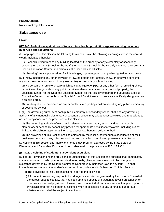### **REGULATIONS**

No relevant regulations found.

## **Substance use**

#### **LAWS**

## **§17:240. Prohibition against use of tobacco in schools; prohibition against smoking on school bus; rules and regulations.**

A. For purposes of this Section the following terms shall have the following meanings unless the context clearly indicates otherwise:

 (1) "School building" means any building located on the property of any elementary or secondary school, the Louisiana School for the Deaf, the Louisiana School for the Visually Impaired, the Louisiana Special Education Center, and schools in the Special School District.

(2) "Smoking" means possession of a lighted cigar, cigarette, pipe, or any other lighted tobacco product.

B.(1) Notwithstanding any other provision of law, no person shall smoke, chew, or otherwise consume any tobacco or tobacco product in any elementary or secondary school building.

 (2) No person shall smoke or carry a lighted cigar, cigarette, pipe, or any other form of smoking object or device on the grounds of any public or private elementary or secondary school property, the Louisiana School for the Deaf, the Louisiana School for the Visually Impaired, the Louisiana Special Education Center, or schools in the Special School District, except in an area specifically designated as a smoking area.

 (3) Smoking shall be prohibited on any school bus transporting children attending any public elementary or secondary school.

C.(1) The governing authority of each public elementary or secondary school shall and any governing authority of any nonpublic elementary or secondary school may adopt necessary rules and regulations to assure compliance with the provisions of this Section.

 (2) The governing authority of each public elementary or secondary school and each nonpublic elementary or secondary school may provide for appropriate penalties for violators, including but not limited to disciplinary action or a fine not to exceed two hundred dollars, or both.

 (3) The provisions of this Section shall be enforced by the local superintendents of education or their designees pursuant to any rules, regulations, and penalties promulgated pursuant to this Section.

D. Nothing in this Section shall apply to a home study program approved by the State Board of Elementary and Secondary Education in accordance with the provisions of R.S. 17:236.1.

#### **§17:416. Discipline of students; suspension; expulsion.**

B.(1)(b)(i) Notwithstanding the provisions of Subsection A of this Section, the principal shall immediately suspend a student … who possesses, distributes, sells, gives, or loans any controlled dangerous substance governed by the Uniform Controlled Dangerous Substances Law, in any form. He shall immediately recommend the student's expulsion in accordance with Subsection C of this Section.

(c) The provisions of this Section shall not apply to the following:

 (ii) A student possessing any controlled dangerous substance governed by the Uniform Controlled Dangerous Substances Law that has been obtained directly or pursuant to a valid prescription or order from a licensed physician. However, such student shall carry evidence of that prescription or physician's order on his person at all times when in possession of any controlled dangerous substance which shall be subject to verification.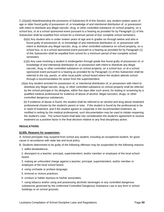C.(2)(a)(ii) Notwithstanding the provisions of Subsection B of this Section, any student sixteen years of age or older found guilty of possession of, or knowledge of and intentional distribution of, or possession with intent to distribute any illegal narcotic, drug, or other controlled substance on school property, on a school bus, or at a school sponsored event pursuant to a hearing as provided for by Paragraph (1) of this Subsection shall be expelled from school for a minimum period of four complete school semesters.

- (b)(ii) Any student who is under sixteen years of age and in grades six through twelve and who is found guilty of possession of, or knowledge of and intentional distribution of, or possession with intent to distribute any illegal narcotic, drug, or other controlled substance on school property, on a school bus, or at a school sponsored event pursuant to a hearing as provided for by Paragraph (1) of this Subsection shall be expelled from school for a minimum period of two complete school semesters.
- (c)(ii) Any case involving a student in kindergarten through grade five found guilty of possession of, or knowledge of and intentional distribution of, or possession with intent to distribute any illegal narcotic, drug, or other controlled substance on school property, on a school bus, or at a school sponsored event pursuant to a hearing as provided for by Paragraph (1) of this Subsection shall be referred to the city, parish, or other local public school board where the student attends school through a recommendation for action from the superintendent.
- (3)(a) Any student arrested for possession of, or intentional distribution of, or possession with intent to distribute any illegal narcotic, drug, or other controlled substance on school property shall be referred by the school principal or his designee, within five days after such arrest, for testing or screening by a qualified medical professional for evidence of abuse of alcohol, illegal narcotics, drugs, or other controlled dangerous substances.

 (b) If evidence of abuse is found, the student shall be referred to an alcohol and drug abuse treatment professional chosen by the student's parent or tutor. If the student is found by the professional to be in need of treatment, and if the student agrees to cooperate in the recommended treatment, as certified in writing by the medical professional, such documentation may be used to initiate reopening the student's case. The school board shall take into consideration the student's agreement to receive treatment as a positive factor in the final decision relative to any final disciplinary action.

## **REGULATIONS**

#### **§1305. Reasons for suspension.**

A. School principals may suspend from school any student, including an exceptional student, for good cause in accordance with state law and local policy.

B. Students determined to be guilty of the following offenses may be suspended for the following reasons:

1. willful disobedience;

 2. disrespect to a teacher, principal, superintendent, and/or member or employee of the local school board;

 3. making an unfounded charge against a teacher, principal, superintendent, and/or member or employee of the local school board;

- 4. using unchaste or profane language;
- 5. immoral or vicious practices;
- 6. conduct or habits injurious to his/her associates;

 7. using tobacco and/or using and possessing alcoholic beverages or any controlled dangerous substances governed by the Uniformed Controlled Dangerous Substance Law in any form in school buildings or on school grounds;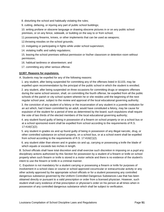8. disturbing the school and habitually violating the rules;

9. cutting, defacing, or injuring any part of public school buildings;

 10. writing profane or obscene language or drawing obscene pictures in or on any public school premises, or on any fence, sidewalk, or building on the way to or from school;

11.possessing firearms, knives, or other implements that can be used as weapons;

12.throwing missiles on the school grounds;

- 13. instigating or participating in fights while under school supervision;
- 14. violating traffic and safety regulations;

 15. leaving the school premises without permission or his/her classroom or detention room without permission;

16. habitual tardiness or absenteeism; and

17. committing any other serious offense.

#### **§1307. Reasons for expulsions.**

A. Students may be expelled for any of the following reasons:

 1. any student, after being suspended for committing any of the offenses listed in §1103, may be expelled upon recommendation by the principal of the public school in which the student is enrolled;

 2. any student, after being suspended on three occasions for committing drugs or weapons offenses during the same school session, shall, on committing the fourth offense, be expelled from all the public schools of the parish or city school system wherein he or she resides until the beginning of the next regular school year, subject to the review and approval of the local educational governing authority;

 3. the conviction of any student of a felony or the incarceration of any student in a juvenile institution for an act which, had it been committed by an adult, would have constituted a felony, may be cause for expulsion of the student for a period of time as determined by the board; such expulsions shall require the vote of two thirds of the elected members of the local educational governing authority;

 4. any student found guilty of being in possession of a firearm on school property or on a school bus or at a school sponsored event shall be expelled from school according to the requirements of R.S. 17:416(C)(2);

 5. any student in grades six and up found guilty of being in possession of any illegal narcotic, drug, or other controlled substance on school property, on a school bus, or at a school event shall be expelled from school according to the requirements of R.S. 17:416(C)(2).

 6. any student older than eleven and in grades six and up, carrying or possessing a knife the blade of which equals or exceeds two inches in length.

B. School officials shall have total discretion and shall exercise such discretion in imposing on a pupil any disciplinary actions authorized by this Section for possession by a student of a firearm or knife on school property when such firearm or knife is stored in a motor vehicle and there is no evidence of the student's intent to use the firearm or knife in a criminal manner.

C. Expulsion is not mandatory for a student carrying or possessing a firearm or knife for purposes of involvement in a school class or course or school approved cocurricular or extracurricular activity or any other activity approved by the appropriate school officials or for a student possessing any controlled dangerous substance governed by the Uniform Controlled Dangerous Substances Law that has been obtained directly or pursuant to a valid prescription or order from a licensed physician. However, such student shall carry evidence of that prescription or physician's order on his person at all times when in possession of any controlled dangerous substance which shall be subject to verification.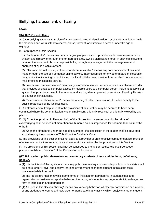## **Bullying, harassment, or hazing**

## **LAWS**

### **§14:40.7. Cyberbullying**

A. Cyberbullying is the transmission of any electronic textual, visual, written, or oral communication with the malicious and willful intent to coerce, abuse, torment, or intimidate a person under the age of eighteen.

B. For purposes of this Section:

 (1) "Cable operator" means any person or group of persons who provides cable service over a cable system and directly, or through one or more affiliates, owns a significant interest in such cable system, or who otherwise controls or is responsible for, through any arrangement, the management and operation of such a cable system.

 (2) "Electronic textual, visual, written, or oral communication" means any communication of any kind made through the use of a computer online service, Internet service, or any other means of electronic communication, including but not limited to a local bulletin board service, Internet chat room, electronic mail, or online messaging service.

 (3) "Interactive computer service" means any information service, system, or access software provider that provides or enables computer access by multiple users to a computer server, including a service or system that provides access to the Internet and such systems operated or services offered by libraries or educational institutions.

 (4) "Telecommunications service" means the offering of telecommunications for a fee directly to the public, regardless of the facilities used.

C. An offense committed pursuant to the provisions of this Section may be deemed to have been committed where the communication was originally sent, originally received, or originally viewed by any person.

D. (1) Except as provided in Paragraph (2) of this Subsection, whoever commits the crime of cyberbullying shall be fined not more than five hundred dollars, imprisoned for not more than six months, or both.

 (2) When the offender is under the age of seventeen, the disposition of the matter shall be governed exclusively by the provisions of Title VII of the Children's Code.

E. The provisions of this Section shall not apply to a provider of an interactive computer service, provider of a telecommunications service, or a cable operator as defined by the provisions of this Section.

F. The provisions of this Section shall not be construed to prohibit or restrict religious free speech pursuant to Article I, Section 8 of the Constitution of Louisiana.

#### **§17:183. Hazing; public elementary and secondary students; intent and findings; definitions; policies.**

A.(1) It is the intent of the legislature that every public elementary and secondary school in this state shall be a safe, orderly, civil, and positive learning environment so that no student in this state feels threatened while in school.

 (2) The legislature finds that while some forms of initiation for membership in student clubs and organizations constitute acceptable behavior, the hazing of students may degenerate into a dangerous form of intimidation and degradation.

B.(1) As used in this Section, "hazing" means any knowing behavior, whether by commission or omission, of any student to encourage, direct, order, or participate in any activity which subjects another student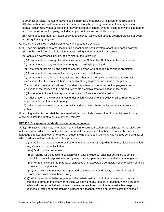to potential physical, mental, or psychological harm for the purpose of initiation or admission into, affiliation with, continued membership in, or acceptance by existing members of any organization or extracurricular activity at a public elementary or secondary school, whether such behavior is planned or occurs on or off school property, including any school bus and school bus stop.

 (2) Hazing does not mean any adult-directed and school-sanctioned athletic program practice or event or military training program.

C. Hazing is prohibited in public elementary and secondary schools.

D.(1) Each city, parish, and other local public school board shall develop, adopt, and post a policy to enforce the prohibition in this Section against hazing and to prevent its occurrence.

(2) Each such policy shall include, at a minimum, the following:

(a) A statement that hazing of students, as defined in Subsection B of this Section, is prohibited.

(b) A statement that any solicitation to engage in hazing is prohibited.

(c) A statement that aiding and abetting another person who engages in hazing is prohibited.

(d) A statement that consent of the hazing victim is not a defense.

 (e) A statement that all students, teachers, and other school employees shall take reasonable measures within the scope of their individual authority to prevent violations of the policy.

 (f) A description of the procedures for students, teachers, and other school employees to report violations of the policy and the procedures to file a complaint for a violation of the policy.

(g) Procedures to investigate reports or complaints of violations of the policy.

 (h) A description of the circumstances under which a violation of the policy shall be reported to the appropriate law enforcement agency.

 (i) A description of the appropriate penalties and appeal mechanisms for persons that violate the policy.

E. Nothing in this Section shall be construed to limit or exclude prosecution of or punishment for any crime or to limit the right to pursue any civil remedy.

## **§17:416. Discipline of students; suspension; expulsion.**

A.(1)(b)(i) Each teacher may take disciplinary action to correct a student who disrupts normal classroom activities, who is disrespectful to a teacher, who willfully disobeys a teacher, who uses abusive or foul language directed at a teacher or another student, who engages in bullying, who violates school rules, or who interferes with an orderly education process.

 (ii) In addition to those procedures set forth in R.S. 17:416.13 regarding bullying, disciplinary action may include but is not limited to:

(aa) Oral or written reprimands.

 (bb) Referral for a counseling session which shall include but shall not be limited to conflict resolution, social responsibility, family responsibility, peer mediation, and stress management.

 (cc) Written notification to parents of disruptive or unacceptable behavior, a copy of which shall be provided to the principal.

 (dd) Other disciplinary measures approved by the principal and faculty of the school and in compliance with school board policy.

 (1)(c)(i) When a student's behavior prevents the orderly instruction of other students or poses an immediate threat to the safety or physical well being of any student or teacher, when a student exhibits disrespectful behavior toward the teacher such as using foul or abusive language or gestures directed at or threatening a student or a teacher, when a student violates the school's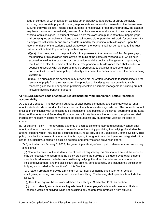code of conduct, or when a student exhibits other disruptive, dangerous, or unruly behavior, including inappropriate physical contact, inappropriate verbal conduct, sexual or other harassment, bullying, throwing objects, inciting other students to misbehave, or destroying property, the teacher may have the student immediately removed from his classroom and placed in the custody of the principal or his designee. A student removed from the classroom pursuant to this Subparagraph shall be assigned school work missed and shall receive either partial or full credit for such work if it is completed satisfactorily and timely as determined by the principal or his designee, upon the recommendation of the student's teacher; however, the teacher shall not be required to interrupt class instruction time to prepare any such assignment.

 (ii)(aa) Upon being sent to the principal's office pursuant to the provisions of this Subparagraph, the principal or his designee shall advise the pupil of the particular misconduct of which he is accused as well as the basis for such accusation, and the pupil shall be given an opportunity at that time to explain his version of the facts. The principal or his designee then shall conduct a counseling session with the pupil as may be appropriate to establish a course of action, consistent with school board policy to identify and correct the behavior for which the pupil is being disciplined.

 (ii)(cc) The principal or his designee may provide oral or written feedback to teachers initiating the removal of pupils from the classroom. The principal or his designee may provide to such teachers guidance and support on practicing effective classroom management including but not limited to positive behavior supports.

## **§17:416.13. Student code of conduct; requirement; bullying; prohibition; notice; reporting; accountability.**

A. Code of Conduct. --The governing authority of each public elementary and secondary school shall adopt a student code of conduct for the students in the schools under its jurisdiction. The code of conduct shall be in compliance with all existing rules, regulations, and policies of the school board and of the State Board of Elementary and Secondary Education and all state laws relative to student discipline and shall include any necessary disciplinary action to be taken against any student who violates the code of conduct.

B. (1) Bullying Policy. --The governing authority of each public elementary and secondary school shall adopt, and incorporate into the student code of conduct, a policy prohibiting the bullying of a student by another student, which includes the definition of bullying as provided in Subsection C of this Section. This policy must be implemented in a manner that is ongoing throughout the school year and integrated with a school's curriculum, a school's discipline policies, and other violence prevention efforts.

 (2) By not later than January 1, 2013, the governing authority of each public elementary and secondary school shall:

 (a) Conduct a review of the student code of conduct required by this Section and amend the code as may be necessary to assure that the policy prohibiting the bullying of a student by another student specifically addresses the behavior constituting bullying, the effect the behavior has on others, including bystanders, and the disciplinary and criminal consequences, and includes the definition of bullying as provided in Subsection C of this Section.

 (b) Create a program to provide a minimum of four hours of training each year for all school employees, including bus drivers, with respect to bullying. The training shall specifically include the following:

(i) How to recognize the behaviors defined as bullying in Subsection C of this Section.

 (ii) How to identify students at each grade level in the employee's school who are most likely to become victims of bullying, while not excluding any student from protection from bullying.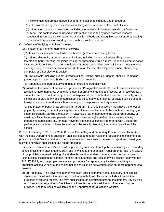(iii) How to use appropriate intervention and remediation techniques and procedures.

(iv) The procedures by which incidents of bullying are to be reported to school officials.

 (v) Information on suicide prevention, including the relationship between suicide risk factors and bullying. This content shall be based on information supported by peer-reviewed research conducted in compliance with accepted scientific methods and recognized as accurate by leading professional organizations and agencies with relevant experience.

C. Definition of Bullying. --"Bullying" means:

(1) A pattern of any one or more of the following:

(a) Gestures, including but not limited to obscene gestures and making faces.

 (b) Written, electronic, or verbal communications, including but not limited to calling names, threatening harm, taunting, malicious teasing, or spreading untrue rumors. Electronic communication includes but is not limited to a communication or image transmitted by email, instant message, text message, blog, or social networking website through the use of a telephone, mobile phone, pager, computer, or other electronic device.

 (c) Physical acts, including but not limited to hitting, kicking, pushing, tripping, choking, damaging personal property, or unauthorized use of personal property.

(d) Repeatedly and purposefully shunning or excluding from activities.

 (2) (a) Where the pattern of behavior as provided in Paragraph (1) of this Subsection is exhibited toward a student, more than once, by another student or group of students and occurs, or is received by, a student while on school property, at a school-sponsored or school-related function or activity, in any school bus or van, at any designated school bus stop, in any other school or private vehicle used to transport students to and from schools, or any school-sponsored activity or event.

 (b) The pattern of behavior as provided in Paragraph (1) of this Subsection must have the effect of physically harming a student, placing the student in reasonable fear of physical harm, damaging a student's property, placing the student in reasonable fear of damage to the student's property, or must be sufficiently severe, persistent, and pervasive enough to either create an intimidating or threatening educational environment, have the effect of substantially interfering with a student's performance in school, or have the effect of substantially disrupting the orderly operation of the school.

D. Prior to January 1, 2013, the State Board of Elementary and Secondary Education, in collaboration with the state Department of Education, shall develop and adopt rules and regulations to implement the provisions of this Section relative to the procedures and processes to be used to report and investigate bullying and which shall include but not be limited to:

 (1) Notice to Students and Parents. --The governing authority of each public elementary and secondary school shall inform each student, orally and in writing at the orientation required under R.S. 17:416.20, of the prohibition against bullying of a student by another student, the nature and consequences of such actions, including the potential criminal consequences and loss of driver's license as provided in R.S. 17:416.1, and the proper process and procedure for reporting any incidents involving such prohibited actions. A copy of the written notice shall also be delivered to each student's parent or legal guardian.

 (2) (a) Reporting. --The governing authority of each public elementary and secondary school shall develop a procedure for the reporting of incidents of bullying. This shall include a form for the purposes of bullying reports. The form shall include an affirmation of truth of statement. Any bullying report submitted regardless of recipient shall use this form, but additional information may be provided. The form shall be available on the Department of Education's website.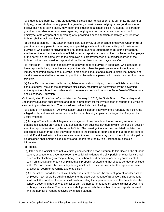(b) Students and parents. --Any student who believes that he has been, or is currently, the victim of bullying, or any student, or any parent or guardian, who witnesses bullying or has good reason to believe bullying is taking place, may report the situation to a school official. A student, or parent or guardian, may also report concerns regarding bullying to a teacher, counselor, other school employee, or to any parent chaperoning or supervising a school function or activity. Any report of bullying shall remain confidential.

 (c) School personnel. --Any teacher, counselor, bus driver, or other school employee, whether full or part time, and any parent chaperoning or supervising a school function or activity, who witnesses bullying or who learns of bullying from a student pursuant to Subparagraph (b) of this Paragraph, shall report the incident to a school official. A verbal report shall be submitted by the school employee or the parent on the same day as the employee or parent witnessed or otherwise learned of the bullying incident and a written report shall be filed no later than two days thereafter.

 (d) Retaliation. --Retaliation against any person who reports bullying in good faith, who is thought to have reported bullying, who files a complaint, or who otherwise participates in an investigation or inquiry concerning allegations of bullying is prohibited conduct and subject to discipline. School and district resources shall not be used to prohibit or dissuade any person who meets the specifications of this Item.

 (e) False Reports. --Intentionally making false reports about bullying to school officials is prohibited conduct and will result in the appropriate disciplinary measures as determined by the governing authority of the school in accordance with the rules and regulations of the State Board of Elementary and Secondary Education.

 (3) Investigation Procedure. --By not later than January 1, 2013, the State Board of Elementary and Secondary Education shall develop and adopt a procedure for the investigation of reports of bullying of a student by another student. The procedure shall include the following:

 (a) Scope of investigation. --An investigation shall include an interview of the reporter, the victim, the alleged bully, and any witnesses, and shall include obtaining copies or photographs of any audiovisual evidence.

 (b) Timing. --The school shall begin an investigation of any complaint that is properly reported and that alleges conduct prohibited in this Section the next business day during which school is in session after the report is received by the school official. The investigation shall be completed not later than ten school days after the date the written report of the incident is submitted to the appropriate school official. If additional information is received after the end of the ten-day period, the school principal or his designee shall amend all documents and reports required by this Section to reflect such information.

(c) Appeal.

 (i) If the school official does not take timely and effective action pursuant to this Section, the student, parent, or school employee may report the bullying incident to the city, parish, or other local school board or local school governing authority. The school board or school governing authority shall begin an investigation of any complaint that is properly reported and that alleges conduct prohibited in this Section the next business day during which school is in session after the report is received by a school board or governing authority official.

 (ii) If the school board does not take timely and effective action, the student, parent, or other school employee may report the bullying incident to the state Department of Education. The department shall track the number of reports, shall notify in writing the superintendent and the president of the school's governing authority, and shall publish the number of reports by school district or governing authority on its website. The department shall provide both the number of actual reports received and the number of reports received by affected student.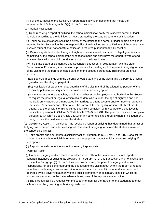(iii) For the purposes of this Section, a report means a written document that meets the requirements of Subparagraph (2)(a) of this Subsection.

(d) Parental Notification.

 (i) Upon receiving a report of bullying, the school official shall notify the student's parent or legal guardian according to the definition of notice created by the state Department of Education.

 (ii) Under no circumstances shall the delivery of the notice to the parent or legal guardian, which is required by this Subsection, be the responsibility of an involved student. Delivery of the notice by an involved student shall not constitute notice as is required pursuant to this Subsection.

 (iii) Before any student under the age of eighteen is interviewed, his parent or legal guardian shall be notified by the school official of the allegations made and shall have the opportunity to attend any interviews with their child conducted as part of the investigation.

 (iv) The State Board of Elementary and Secondary Education, in collaboration with the state Department of Education, shall develop a procedure for meetings with the parent or legal guardian of the victim and the parent or legal guardian of the alleged perpetrator. This procedure shall include:

 (aa) Separate meetings with the parents or legal guardians of the victim and the parents or legal guardians of the alleged perpetrator.

 (bb) Notification of parents or legal guardians of the victim and of the alleged perpetrator of the available potential consequences, penalties, and counseling options.

 (cc) In any case where a teacher, principal, or other school employee is authorized in this Section to require the parent or legal guardian of a student who is under the age of eighteen and not judicially emancipated or emancipated by marriage to attend a conference or meeting regarding the student's behavior and, after notice, the parent, tutor, or legal guardian willfully refuses to attend, that the principal or his designee shall file a complaint with a court exercising juvenile jurisdiction, pursuant to Children's Code Article 730(8) and 731. The principal may file a complaint pursuant to Children's Code Article 730(1) or any other applicable ground when, in his judgment, doing so is in the best interests of the student.

 (e) Disciplinary Action. --If the school has received a report of bullying, has determined that an act of bullying has occurred, and after meeting with the parent or legal guardian of the students involved, the school official shall:

 (i) Take prompt and appropriate disciplinary action, pursuant to R.S. 17:416 and 416.1, against the student that the school official determines has engaged in conduct which constitutes bullying, if appropriate.

(ii) Report criminal conduct to law enforcement, if appropriate.

(f) Parental Relief.

 (i) If a parent, legal guardian, teacher, or other school official has made four or more reports of separate instances of bullying, as provided in Paragraph (2) of this Subsection, and no investigation pursuant to Paragraph (3) of this Subsection has occurred, the parent or legal guardian with responsibility for decisions regarding the education of the victim about whom the report or reports have been made may exercise an option to have the student enroll in or attend another school operated by the governing authority of the public elementary or secondary school in which the student was enrolled on the dates when at least three of the reports were submitted.

 (ii) The parent shall file a request with the superintendent for the transfer of the student to another school under the governing authority's jurisdiction.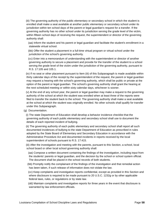(iii) The governing authority of the public elementary or secondary school in which the student is enrolled shall make a seat available at another public elementary or secondary school under its jurisdiction within ten school days of the parent or legal guardian's request for a transfer. If the governing authority has no other school under its jurisdiction serving the grade level of the victim, within fifteen school days of receiving the request, the superintendent or director of the governing authority shall:

 (aa) Inform the student and his parent or legal guardian and facilitate the student's enrollment in a statewide virtual school.

 (bb) Offer the student a placement in a full-time virtual program or virtual school under the jurisdiction of the school's governing authority.

 (cc) Enter into a memorandum of understanding with the superintendent or director of another governing authority to secure a placement and provide for the transfer of the student to a school serving the grade level of the victim under the jurisdiction of the governing authority, pursuant to R.S. 17:105 and 105.1.

 (iv) If no seat or other placement pursuant to Item (iii) of this Subparagraph is made available within thirty calendar days of the receipt by the superintendent of the request, the parent or legal guardian may request a hearing with the school's governing authority, which shall be public or private at the option of the parent or legal guardian. The school's governing authority shall grant the hearing at the next scheduled meeting or within sixty calendar days, whichever is sooner.

 (v) At the end of any school year, the parent or legal guardian may make a request to the governing authority of the school at which the student was enrolled when at least three of the reports were filed to transfer the student back to the school. The governing authority shall make a seat available at the school at which the student was originally enrolled. No other schools shall qualify for transfer under this Subparagraph.

(g) Documentation.

 (i) The state Department of Education shall develop a behavior incidence checklist that the governing authority of each public elementary and secondary school shall use to document the details of each reported incident of bullying.

 (ii) The governing authority of each public elementary and secondary school shall report all such documented incidences of bullying to the state Department of Education as prescribed in rules adopted by the State Board of Elementary and Secondary Education in accordance with the Administrative Procedure Act and documented incidents in reports received by the local superintendent of schools pursuant to R.S. 17:415.

 (iii) After the investigation and meeting with the parents, pursuant to this Section, a school, local school board or other local school governing authority shall:

 (aa) Compose a written document containing the findings of the investigation, including input from the students' parents or legal guardian, and the decision by the school or school system official. The document shall be placed in the school records of both students.

 (bb) Promptly notify the complainant of the findings of the investigation and that remedial action has been taken, if such release of information does not violate the law.

 (cc) Keep complaints and investigative reports confidential, except as provided in this Section and where disclosure is required to be made pursuant to 20 U.S.C. 1232g or by other applicable federal laws, rules, or regulations or by state law.

 (dd) Maintain complaints and investigative reports for three years in the event that disclosure is warranted by law enforcement officials.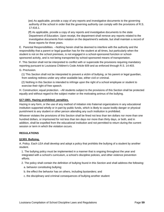(ee) As applicable, provide a copy of any reports and investigative documents to the governing authority of the school in order that the governing authority can comply with the provisions of R.S. 17:416.1.

 (ff) As applicable, provide a copy of any reports and investigative documents to the state Department of Education. Upon receipt, the department shall remove any reports related to the investigative documents from notation on the department's website, but shall maintain a record of those reports for three years.

E. Parental Responsibilities. --Nothing herein shall be deemed to interfere with the authority and the responsibility that a parent or legal guardian has for the student at all times, but particularly when the student is not on the school premises, is not engaged in a school-sponsored function or schoolsponsored activity, and is not being transported by school-sponsored means of transportation.

F. This Section shall not be interpreted to conflict with or supercede the provisions requiring mandatory reporting pursuant to Louisiana Children's Code Article 609 and as enforced through R.S. 14:403.

G. Preclusion.

 (1) This Section shall not be interpreted to prevent a victim of bullying, or his parent or legal guardian, from seeking redress under any other available law, either civil or criminal.

 (2) Nothing in this Section is intended to infringe upon the right of a school employee or student to exercise their right of free speech.

H. Construction; equal protection. --All students subject to the provisions of this Section shall be protected equally and without regard to the subject matter or the motivating animus of the bullying.

#### **§17:1801. Hazing prohibited; penalties.**

Hazing in any form, or the use of any method of initiation into fraternal organizations in any educational institution supported wholly or in part by public funds, which is likely to cause bodily danger or physical punishment to any student or other person attending any such institution is prohibited.

Whoever violates the provisions of this Section shall be fined not less than ten dollars nor more than one hundred dollars, or imprisoned for not less than ten days nor more than thirty days, or both, and in addition, shall be expelled from the educational institution and not permitted to return during the current session or term in which the violation occurs.

#### **REGULATIONS**

#### **§1303. Bullying.**

A. Policy. Each LEA shall develop and adopt a policy that prohibits the bullying of a student by another student.

 1. The bullying policy must be implemented in a manner that is ongoing throughout the year and integrated with a school's curriculum, a school's discipline policies, and other violence prevention efforts.

2. The policy shall contain the definition of bullying found in this Section and shall address the following:

- a. behavior constituting bullying;
- b. the effect the behavior has on others, including bystanders; and
- c. the disciplinary and criminal consequences of bullying another student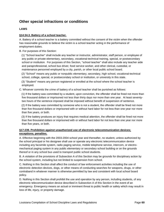# **Other special infractions or conditions**

## **LAWS**

#### **§14:34.3. Battery of a school teacher.**

A. Battery of a school teacher is a battery committed without the consent of the victim when the offender has reasonable grounds to believe the victim is a school teacher acting in the performance of employment duties.

B. For purposes of this Section:

 (1) "School teacher" shall include any teacher or instructor, administrator, staff person, or employee of any public or private elementary, secondary, vocational-technical training, special, or postsecondary school or institution. For purposes of this Section, "school teacher" shall also include any teacher aide and paraprofessional, school bus driver, food service worker, and other clerical, custodial, or maintenance personnel employed by a city, parish, or other local public school board.

 (2) "School" means any public or nonpublic elementary, secondary, high school, vocational-technical school, college, special, or postsecondary school or institution, or university in this state.

 (3) "Student" means any person registered or enrolled at the school where the school teacher is employed.

C. Whoever commits the crime of battery of a school teacher shall be punished as follows:

 (1) If the battery was committed by a student, upon conviction, the offender shall be fined not more than five thousand dollars or imprisoned not less than thirty days nor more than one year. At least seventytwo hours of the sentence imposed shall be imposed without benefit of suspension of sentence.

 (2) If the battery was committed by someone who is not a student, the offender shall be fined not more than five thousand dollars or imprisoned with or without hard labor for not less than one year nor more than five years, or both.

 (3) If the battery produces an injury that requires medical attention, the offender shall be fined not more than five thousand dollars or imprisoned with or without hard labor for not less than one year nor more than five years, or both.

### **§17:239. Prohibition against unauthorized use of electronic telecommunication devices; exceptions; penalties.**

A. Effective beginning with the 2003-2004 school year and thereafter, no student, unless authorized by the school principal or his designee shall use or operate any electronic telecommunication device including any facsimile system, radio paging service, mobile telephone service, intercom, or electromechanical paging system in any public elementary or secondary school building or on the grounds thereof or in any school bus used to transport public school students.

B. A violation of the provisions of Subsection A of this Section may be grounds for disciplinary action by the school system, including but not limited to suspension from school.

C. Nothing in this Section shall affect the conduct of law enforcement activities including the use of electronic detection devices, dogs, or other means of conducting searches for weapons, drugs, or other contraband in whatever manner is otherwise permitted by law and consistent with local school board policy.

D. Nothing in this Section shall prohibit the use and operation by any person, including students, of any electronic telecommunication device described in Subsection A of this Section in the event of an emergency. Emergency means an actual or imminent threat to public health or safety which may result in loss of life, injury, or property damage.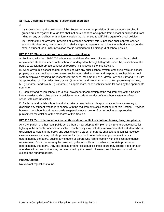### **§17:416. Discipline of students; suspension; expulsion**

J.

 (1) Notwithstanding the provisions of this Section or any other provision of law, a student enrolled in grades prekindergarten through five shall not be suspended or expelled from school or suspended from riding on any school bus for a uniform violation that is not tied to willful disregard of school policies.

 (2) Notwithstanding any other provision of law to the contrary, this Subsection shall apply to charter schools. Furthermore, no charter school shall suggest to a parent that it has the authority to suspend or expel a student for a uniform violation that is not tied to willful disregard of school policies.

### **§17:416.12. Students; appropriate conduct; compliance.**

A. Beginning with the 1999-2000 school year and thereafter, each city and parish school board shall require each student in each public school in kindergarten through fifth grade under the jurisdiction of the board to exhibit appropriate conduct as required in Subsection B of this Section.

B. When any public school student is speaking with any public school system employee while on school property or at a school sponsored event, such student shall address and respond to such public school system employee by using the respectful terms "Yes, Ma'am" and "No, Ma'am" or "Yes, Sir" and "No, Sir", as appropriate, or "Yes, Miss, Mrs., or Ms. (Surname)" and "No, Miss, Mrs., or Ms. (Surname)" or "Yes, Mr. (Surname)" and "No, Mr. (Surname)", as appropriate, each such title to be followed by the appropriate surname.

C. Each city and parish school board shall provide for incorporation of the requirements of this Section into any existing discipline policy or policies or any code of conduct of the school system or of each school within its jurisdiction.

D. Each city and parish school board shall take or provide for such appropriate actions necessary to discipline any student who fails to comply with the requirements of Subsection B of this Section. Provided however, no school board may provide suspension nor expulsion from school as an appropriate punishment for violation of the mandates of this Section.

#### **§17:416.15. Zero tolerance policies; authorization; conflict resolution classes; fees; compliance.**

Any city, parish, or other local public school board may adopt and implement a zero tolerance policy for fighting in the schools under its jurisdiction. Such policy may include a requirement that a student who is disciplined pursuant to the policy and such student's parent or parents shall attend a conflict resolution class or classes and may include provisions for the school board to take appropriate action, as determined by the board, against any student or parent who fails to comply with the class attendance requirement. Such classes may be provided by the school board or other appropriate provider as determined by the board. Any city, parish, or other local public school board may charge a fee for such attendance in an amount as may be determined by the board. However, such fee amount shall not exceed one hundred dollars.

#### **REGULATIONS**

No relevant regulations found.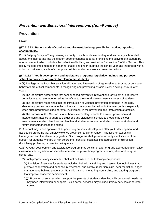# *Prevention and Behavioral Interventions (Non-Punitive)*

## **Prevention**

**LAWS** 

## **§17:416.13. Student code of conduct; requirement; bullying; prohibition; notice; reporting; accountability.**

B. (1) Bullying Policy. --The governing authority of each public elementary and secondary school shall adopt, and incorporate into the student code of conduct, a policy prohibiting the bullying of a student by another student, which includes the definition of bullying as provided in Subsection C of this Section. This policy must be implemented in a manner that is ongoing throughout the school year and integrated with a school's curriculum, a school's discipline policies, and other violence prevention efforts.

### **§17:416.17. Youth development and assistance programs; legislative findings and purpose; school authority for programs for elementary students.**

A.(1) The legislature finds that early identification and intervention of aggressive, antisocial, or delinquent behaviors are critical components in recognizing and preventing chronic juvenile delinquency in later years.

 (2) The legislature further finds that school-based preventive interventions for violent or aggressive behavior in youth are recognized as beneficial to the overall developmental success of students.

 (3) The legislature recognizes that the introduction of violence prevention strategies in the early elementary grades may reduce the incidence of delinquent behaviors in the later grades, especially when such programs include parental involvement in the prevention and intervention strategies.

 (4) The purpose of this Section is to authorize elementary schools to develop prevention and intervention strategies to address disruptions and violence in schools to create safe school environments in which teachers can teach and students can learn and which increase student and family connectedness to the school.

B. A school may, upon approval of its governing authority, develop and offer youth development and assistance programs that employ violence prevention and intervention initiatives for students in kindergarten and the elementary grades. Such programs shall provide for early identification of and support for students who are at risk before their behavior escalates into aggression or disruption, disciplinary problems, or juvenile delinquency.

C.(1) A youth development and assistance program may consist of age- or grade-appropriate alternative classrooms during school or special intervention or prevention programs before, after, or during the school day.

(2) Such programs may include but shall not be limited to the following components:

 (a) Provision of services for students including behavioral training and intervention techniques that promote cooperation and enhance interpersonal and conflict resolution skills, peer mediation, anger management, bullying prevention, life skills training, mentoring, counseling, and tutoring programs that improve academic achievement.

 (b)(i) Provision of services which support the parents of students identified with behavioral needs that may need intervention or support. Such parent services may include literacy services or parental training.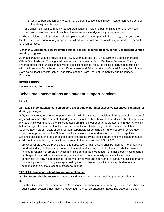(ii) Required participation of any parent of a student so identified in such intervention at the school or other designated facility.

 (c) Collaboration with community-based organizations, including but not limited to youth services, civic, social services, mental health, volunteer services, and juvenile justice agencies.

D. The provisions of this Section shall be implemented upon the approval of each city, parish, or other local public school board of any program submitted by a school and the availability of funds to a school for such purpose.

## **§40.2404.1. Additional powers of the council, school resource officers, school violence prevention training program.**

A. In accordance with the provisions of R.S. 40:2404(11) and R.S. 17:416.19, the Council on Peace Officer Standards and Training shall develop and implement a School Violence Prevention Training Program under their jurisdiction and within the existing school resource officer program in conjunction with the Louisiana Commission on Law Enforcement and Administration of Criminal Justice, the office of state police, local law enforcement agencies, and the State Board of Elementary and Secondary Education.

## **REGULATIONS**

No relevant regulations found.

## **Behavioral interventions and student support services**

### **LAWS**

## **§17:221. School attendance; compulsory ages; duty of parents; excessive absences; condition for driving privileges.**

A.(1) Every parent, tutor, or other person residing within the state of Louisiana having control or charge of any child from that child's seventh birthday until his eighteenth birthday shall send such child to a public or private day school, unless the child graduates from high school prior to his eighteenth birthday. Any child below the age of seven who legally enrolls in school shall also be subject to the provisions of this Subpart. Every parent, tutor, or other person responsible for sending a child to a public or private day school under provisions of this Subpart shall also assure the attendance of such child in regularly assigned classes during regular school hours established by the school board and shall assure that such child is not habitually tardy from school pursuant to the provisions of R.S. 17:233.

 (2) Whoever violates the provisions of this Subsection or R.S. 17:234 shall be fined not more than two hundred and fifty dollars or imprisoned not more than thirty days, or both. The court shall impose a minimum condition of probation which may include that the parent, tutor, or other person having control or charge of the child participate in forty hours of school or community service activities, or a combination of forty hours of school or community service and attendance in parenting classes or family counseling sessions or programs approved by the court having jurisdiction, as applicable, or the suspension of any state-issued recreational license.

#### **§17:221.4. Louisiana school dropout prevention act.**

A. This Section shall be known and may be cited as the "Louisiana School Dropout Prevention Act". B.

 (1) The State Board of Elementary and Secondary Education shall work with city, parish, and other local public school systems that have the lowest four-year cohort graduation rates. The state board shall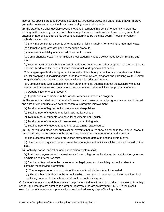incorporate specific dropout prevention strategies, target resources, and gather data that will improve graduation rates and educational outcomes in all grades in all schools.

 (2) The state board shall develop specific methods of targeted intervention or identify appropriate existing methods for city, parish, and other local public school systems that have a four-year cohort graduation rate of less than eighty percent as determined by the state board. These intervention methods may include:

(a) Early intervention for students who are at risk of failing Algebra I or any ninth grade math class.

(b) Alternative programs designed to reengage dropouts.

(c) Increased availability of advanced placement courses.

 (d) Comprehensive coaching for middle school students who are below grade level in reading and math.

 (e) Teacher advisories such as the use of graduation coaches and other supports that are designed to specifically address the needs of youth most at risk of dropping out of school.

 (f) Strategies specifically designed to improve the high school graduation rate of students at highest risk for dropping out, including youth in the foster care system, pregnant and parenting youth, Limited English Proficient students, and students with special education needs.

 (g) Communicating with students and their parents or legal guardians about the availability of local after school programs and the academic enrichment and other activities the programs offered.

(h) Opportunities for credit recovery.

(i) Opportunities to participate in the Jobs for America's Graduates program.

 (3) The state board shall also gather the following data to ensure that all programs are research-based and data-driven and use such data for continuous program improvement:

(a) Total number of high school suspensions and expulsions.

- (b) Total number of students enrolled in alternative schools.
- (c) Total number of students who have failed Algebra I or English I.
- (d) Total number of students who are repeating the ninth grade.
- (e) Total number of students required to repeat a ninth grade course.

 (4) City, parish, and other local public school systems that fail to show a decline in their annual dropout rates shall prepare and submit to the state board each year a written report that documents:

(a) The outcomes of the dropout prevention strategies to date at the school system level.

 (b) How the school system dropout prevention strategies and activities will be modified, based on the data.

(5) Each city, parish, and other local public school system shall:

 (a) Post the four-year cohort graduation rate for each high school in the system and for the system as a whole on its Internet website.

 (b) Send a written notice to the parent or other legal guardian of each high school student that contains the following information:

(i) The four-year cohort dropout rate of the school in which the student is enrolled.

 (ii) The number of students in the school in which the student is enrolled that have been identified as failing pursuant to the school and district accountability system.

C. A student who is under eighteen years of age, who withdraws from school prior to graduating from high school, and who has not enrolled in a dropout recovery program as provided in R.S. 17:221.6 shall exercise one of the following options within one hundred twenty days of leaving school: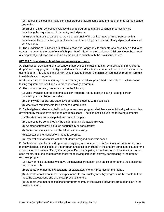(1) Reenroll in school and make continual progress toward completing the requirements for high school graduation.

 (2) Enroll in a high school equivalency diploma program and make continual progress toward completing the requirements for earning such diploma.

 (3) Enlist in the Louisiana National Guard or a branch of the United States Armed Forces, with a commitment for at least two years of service, and earn a high school equivalency diploma during such service period.

D. The provisions of Subsection C of this Section shall apply only to students who have been ruled to be truants, pursuant to the provisions of Chapter 15 of Title VII of the Louisiana Children's Code, by a court of competent jurisdiction and ordered by the court to comply with the provisions thereof.

#### **§17:221.6. Louisiana school dropout recovery program.**

A. Each school district and charter school that provides instruction to high school students may offer a dropout recovery program for eligible students. School districts and charter schools should maximize the use of federal Title 1 funds and at-risk funds provided through the minimum foundation program formula to establish such programs.

B. The State Board of Elementary and Secondary Education's prescribed standards and achievement testing requirements shall apply to dropout recovery programs.

C. The dropout recovery program shall do the following:

- (1) Make available appropriate and sufficient supports for students, including tutoring, career counseling, and college counseling.
- (2) Comply with federal and state laws governing students with disabilities.
- (3) Meet state requirements for high school graduation.

D. Each eligible student enrolled in a dropout recovery program shall have an individual graduation plan developed by the student's assigned academic coach. The plan shall include the following elements:

- (1) The start date and anticipated end date of the plan.
- (2) Courses to be completed by the student during the academic year.
- (3) Whether courses will be taken sequentially or concurrently.
- (4) State competency exams to be taken, as necessary.
- (5) Expectations for satisfactory monthly progress.
- (6) Expectations for contact with the student's assigned academic coach.

E. Each student enrolled in a dropout recovery program pursuant to this Section shall be recorded on a monthly basis as participating in the program and shall be included in the student enrollment count for the school or school system offering the program. Each participating school and school system shall record, each month, all of the students who meet the following criteria for actively participating in the dropout recovery program:

 (1) Newly enrolled students who have an individual graduation plan on file on or before the first school day of the month.

(2) Students who met the expectations for satisfactory monthly progress for the month.

 (3) Students who did not meet the expectations for satisfactory monthly progress for the month but did meet the expectations one of the two previous months.

 (4) Students who met expectations for program reentry in the revised individual graduation plan in the previous month.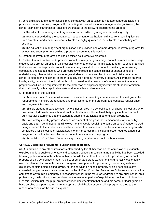F. School districts and charter schools may contract with an educational management organization to provide a dropout recovery program. If contracting with an educational management organization, the school district or charter school shall ensure that all of the following requirements are met:

(1) The educational management organization is accredited by a regional accrediting body.

 (2) Teachers provided by the educational management organization hold a current teaching license from any state, and teachers of core subjects are highly qualified in the subjects to which they are assigned.

 (3) The educational management organization has provided one or more dropout recovery programs for at least two years prior to providing a program pursuant to this Section.

G. Dropout recovery programs shall be classified as alternative programs.

H. Entities that are contracted to provide dropout recovery programs may conduct outreach to encourage students who are not enrolled in a school district or charter school in this state to return to school. Entities that are contracted to provide dropout recovery programs shall not conduct advertising or marketing campaigns directed at students who are currently enrolled in a school district or charter school, or undertake any other activity that encourages students who are enrolled in a school district or charter school to stop attending school in order to qualify for a dropout recovery program. All contracts entered into by a city, parish, or other local public school board for the provision of student dropout recovery programs shall include requirements for the protection of all personally identifiable student information that shall comply with all applicable state and federal law and regulations.

I. For purposes of this Section:

 (1) "Academic coach" is an adult who assists students in selecting courses needed to meet graduation requirements, monitors student pace and progress through the program, and conducts regular pace and progress interventions.

 (2) "Eligible student" means a student who is not enrolled in a school district or charter school and who has been withdrawn from a school district or charter school for at least thirty days, unless a school administrator determines that the student is unable to participate in other district programs.

 (3) "Satisfactory monthly progress" means an amount of progress that is measurable on a monthly basis and that, if continued for a full twelve months, would result in the same amount of academic credit being awarded to the student as would be awarded to a student in a traditional education program who completes a full school year. Satisfactory monthly progress may include a lesser required amount of progress for the first two months that a student participates in the program.

(4) "School district" or "district" means a city, parish, or other local public school system.

## **§17:416. Discipline of students; suspension; expulsion.**

(d)(i) In addition to any other limitations established by this Subsection on the admission of previously expelled pupils to public elementary and secondary schools in Louisiana, no pupil who has been expelled from any public or nonpublic school within or outside the state of Louisiana for possessing on school property or on a school bus a firearm, knife, or other dangerous weapon or instrumentality customarily used or intended for probable use as a dangerous weapon, or for possessing, possessing with intent to distribute, or distributing, selling, giving, or loaning while on school property or on a school bus any controlled dangerous substance governed by the Uniform Controlled Dangerous Substances Law shall be admitted to any public elementary or secondary school in the state, or readmitted to any such school on a probationary basis prior to the completion of the minimum period of expulsion as provided in Subsection C of this Section, until the pupil produces written documentation that he and his parent or legal guardian have enrolled and participated in an appropriate rehabilitation or counseling program related to the reason or reasons for the pupil's expulsion.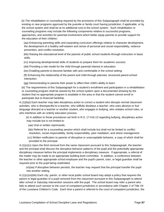(ii) The rehabilitation or counseling required by the provisions of this Subparagraph shall be provided by existing or new programs approved by the juvenile or family court having jurisdiction, if applicable, or by the school system and shall be at no additional cost to the school system. Such rehabilitation or counseling programs may include the following components relative to successful programs, approaches, and activities for parental involvement which better equip parents to provide support for the education of their children:

 (aa) Enhancing parenting skills and expanding curriculum offerings relative to character development, the development of a healthy self-esteem and sense of personal and social responsibility, violence prevention, and conflict resolution.

 (bb) Raising the educational level of the parents of public school students through instruction in basic skills.

(cc) Improving developmental skills of students to prepare them for academic success.

(dd) Providing a role model for the child through parental interest in education.

(ee) Enabling parents to become familiar with and comfortable in the school setting.

 (ff) Enhancing the relationship of the parent and child through planned, structured parent-school interaction.

(gg) Demonstrating to parents their power to affect their child's ability to learn.

 (iii) The requirements of this Subparagraph for a student's enrollment and participation in a rehabilitation or counseling program shall be waived by the school system upon a documented showing by the student that no appropriate program is available in the area or that the student cannot enroll or participate due to financial hardship.

A.(1)(b)(i) Each teacher may take disciplinary action to correct a student who disrupts normal classroom activities, who is disrespectful to a teacher, who willfully disobeys a teacher, who uses abusive or foul language directed at a teacher or another student, who engages in bullying, who violates school rules, or who interferes with an orderly education process.

 (ii) In addition to those procedures set forth in R.S. 17:416.13 regarding bullying, disciplinary action may include but is not limited to:

(aa) Oral or written reprimands.

 (bb) Referral for a counseling session which shall include but shall not be limited to conflict resolution, social responsibility, family responsibility, peer mediation, and stress management.

 (cc) Written notification to parents of disruptive or unacceptable behavior, a copy of which shall be provided to the principal.

 $A(1)(c)(v)$  Upon the third removal from the same classroom pursuant to this Subparagraph, the teacher and the principal shall discuss the disruptive behavior patterns of the pupil and the potentially appropriate disciplinary measure before the principal implements a disciplinary measure. If appropriate, a referral of the matter may be made to an appropriate building level committee. In addition, a conference between the teacher or other appropriate school employee and the pupil's parent, tutor, or legal guardian shall be required prior to the pupil being readmitted.

 (vi)(aa) If disruptive behavior persists, the teacher may request that the principal transfer the pupil into another setting.

A.(1)(c)(vi)(bb) Each city, parish, or other local public school board may adopt a policy that requires the parent or legal guardian of a pupil removed from the classroom pursuant to this Subparagraph to attend after school or Saturday intervention sessions with the pupil. The school board may refer a parent who fails to attend such session to the court of competent jurisdiction in accordance with Chapter 2 of Title VII of the Louisiana Children's Code. Each time a parent is referred to the court of competent jurisdiction, the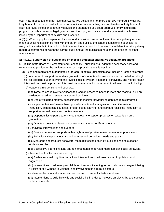court may impose a fine of not less than twenty-five dollars and not more than two hundred fifty dollars, forty hours of court-approved school or community service activities, or a combination of forty hours of court-approved school or community service and attendance at a court-approved family counseling program by both a parent or legal guardian and the pupil, and may suspend any recreational license issued by the Department of Wildlife and Fisheries.

A.(3) (f) When a pupil is suspended for a second time within one school year, the principal may require that a counseling session be held with the parent and pupil by the school counselor if a counselor is assigned or available to that school. In the event there is no school counselor available, the principal may require a conference between the parent, pupil, and all the pupil's teachers and the principal or other administrator.

#### **§17:416.2. Supervision of suspended or expelled students; alternative education programs.**

D. (1) The State Board of Elementary and Secondary Education shall adopt the necessary rules and regulations to provide for the implementation of the provisions of this Section.

(3) Rules and regulations pursuant to Paragraph (2) of this Subsection shall include all of the following:

 (b) In an effort to support the on-time graduation of students who are suspended, expelled, or at high risk for dropping out or entry into the juvenile justice system, academic, behavioral, and mental health interventions must be provided. Interventions offered shall include but not be limited to the following:

(i) Academic interventions and supports:

 (aa) Targeted academic interventions focused on assessed needs in math and reading using an evidence-based and research-supported curriculum.

(bb) Use of validated monthly assessments to monitor individual student academic progress.

 (cc) Implementation of research-supported instructional strategies such as differentiated instruction, experiential education, project-based learning, and computer-assisted instruction to support assessed needs and content mastery.

 (dd) Opportunities to participate in credit recovery to support progression towards on-time graduation.

(ee) On-site access to at least one career or vocational certification option.

(ii) Behavioral interventions and supports:

(aa) Positive behavioral supports with a high ratio of positive reinforcement over punishment.

(bb) Behavioral shaping steps aligned to assessed behavioral needs and goals.

 (cc) Mentoring and frequent behavioral feedback focused on individualized shaping steps for students enrolled.

(dd) Successive approximations and reinforcements to develop more complex social behaviors.

(iii) Mental health interventions and supports:

 (aa) Evidence-based cognitive behavioral interventions to address, anger, impulsivity, and aggression.

 (bb) Interventions to address past childhood traumas, including forms of abuse and neglect, being a victim of or a witness to violence, and involvement in natural disasters.

(cc) Interventions to address substance use and to prevent substance abuse.

 (dd) Interventions to build life skills and social skills in order to increase employability and success in the community.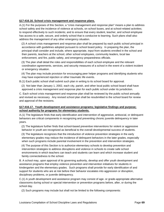# **§17:416.16. School crisis management and response plans.**

A.(1) For the purposes of this Section, a "crisis management and response plan" means a plan to address school safety and the incidence of violence at schools, on school buses, and at school-related activities; to respond effectively to such incidents; and to ensure that every student, teacher, and school employee has access to a safe, secure, and orderly school that is conducive to learning. Such plans shall also address the management of any other emergency situation.

 (2) A school crisis management and response plan shall be prepared by each public school principal in accordance with guidelines adopted pursuant to school board policy. In preparing the plan, the principal shall consider and include, where appropriate, input from students enrolled in the school and their parents, teachers at the school, other school employees, community leaders, local law enforcement, and fire, public safety, and emergency preparedness officials.

 (3) The plan shall detail the roles and responsibilities of each school employee and the relevant coordination agreements, services, and security measures of a school in the event of a violent incident or emergency situation.

 (4) The plan may include provision for encouraging peer helper programs and identifying students who may have experienced rejection or other traumatic life events.

B.(1) Each public school shall submit such plan in writing to its school board for approval.

 (2) Not later than January 1, 2002, each city, parish, and other local public school board shall have approved a crisis management and response plan for each public school under its jurisdiction.

C. Each school crisis management and response plan shall be reviewed by the public school annually and revised as necessary. Any revised school plan shall be resubmitted to the school board for review and approval of the revisions.

# **§17:416.17. Youth development and assistance programs; legislative findings and purpose; school authority for programs for elementary students.**

A.(1) The legislature finds that early identification and intervention of aggressive, antisocial, or delinquent behaviors are critical components in recognizing and preventing chronic juvenile delinquency in later years.

 (2) The legislature further finds that school-based preventive interventions for violent or aggressive behavior in youth are recognized as beneficial to the overall developmental success of students.

 (3) The legislature recognizes that the introduction of violence prevention strategies in the early elementary grades may reduce the incidence of delinquent behaviors in the later grades, especially when such programs include parental involvement in the prevention and intervention strategies.

 (4) The purpose of this Section is to authorize elementary schools to develop prevention and intervention strategies to address disruptions and violence in schools to create safe school environments in which teachers can teach and students can learn and which increase student and family connectedness to the school.

B. A school may, upon approval of its governing authority, develop and offer youth development and assistance programs that employ violence prevention and intervention initiatives for students in kindergarten and the elementary grades. Such programs shall provide for early identification of and support for students who are at risk before their behavior escalates into aggression or disruption, disciplinary problems, or juvenile delinquency.

C.(1) A youth development and assistance program may consist of age- or grade-appropriate alternative classrooms during school or special intervention or prevention programs before, after, or during the school day.

(2) Such programs may include but shall not be limited to the following components: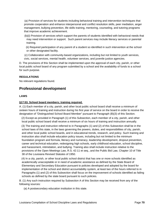(a) Provision of services for students including behavioral training and intervention techniques that promote cooperation and enhance interpersonal and conflict resolution skills, peer mediation, anger management, bullying prevention, life skills training, mentoring, counseling, and tutoring programs that improve academic achievement.

- (b)(i) Provision of services which support the parents of students identified with behavioral needs that may need intervention or support. Such parent services may include literacy services or parental training.
- (ii) Required participation of any parent of a student so identified in such intervention at the school or other designated facility.
- (c) Collaboration with community-based organizations, including but not limited to youth services, civic, social services, mental health, volunteer services, and juvenile justice agencies.

D. The provisions of this Section shall be implemented upon the approval of each city, parish, or other local public school board of any program submitted by a school and the availability of funds to a school for such purpose.

# **REGULATIONS**

No relevant regulations found.

# **Professional development**

#### **LAWS**

#### **§17:53. School board members; training required.**

A. (1) Each member of a city, parish, and other local public school board shall receive a minimum of sixteen hours of training and instruction during his first year of service on the board in order to receive the designation of "Distinguished School Board Member" pursuant to Paragraph (B)(3) of this Section.

 (2) Except as provided in Paragraph (1) of this Subsection, each member of a city, parish, and other local public school board shall receive a minimum of six hours of training and instruction annually.

 (3) The training and instruction referred to in Paragraphs (1) and (2) of this Subsection shall be in the school laws of this state, in the laws governing the powers, duties, and responsibilities of city, parish, and other local public school boards, and in educational trends, research, and policy. Such training and instruction also shall include education policy issues, including but not limited to the minimum foundation program and formula, literacy and numeracy, leadership development, dropout prevention, career and technical education, redesigning high schools, early childhood education, school discipline, and harassment, intimidation, and bullying. Training also shall include instruction relative to the provisions of the Open Meetings Law, R.S. 42:11 et seq., and the Public Bid Law, Chapter 10 of Title 38 of the Louisiana Revised Statutes of 1950.

 (4) In a city, parish, or other local public school district that has one or more schools identified as academically unacceptable or in need of academic assistance as defined by the State Board of Elementary and Secondary Education pursuant to policies developed and adopted by the board for implementation of the school and district accountability system, at least two of the hours referred to in Paragraphs (1) and (2) of this Subsection shall focus on the improvement of schools identified as failing schools as defined by the state board pursuant to such policies.

B. (1) Any such instruction required by Subsection A of this Section may be received from any of the following sources:

(a) A postsecondary education institution in this state.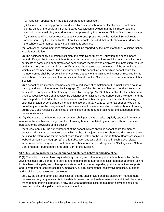(b) Instruction sponsored by the state Department of Education.

 (c) An in-service training program conducted by a city, parish, or other local public school board central office or the Louisiana School Boards Association provided that the instruction and the method for demonstrating attendance are preapproved by the Louisiana School Boards Association.

 (d) Training and instruction received at any conference presented by the National School Boards Association or by the Council of the Great City Schools, provided that verification of attendance by the school board member at any such training is obtained.

 (2) Each school board member's attendance shall be reported by the instructor to the Louisiana School Boards Association.

 (3) The postsecondary education institution, the state Department of Education, the school board central office, or the Louisiana School Boards Association that provides such instruction shall issue a certificate of completion annually to each school board member who completes the instruction required by this Section, and a copy of such certificate shall be entered into the minutes of the school board on which such member serves. The superintendent of the school system on which school board the member serves shall be responsible for verifying that any of the training or instruction received by the school board member pursuant to Subsections A and B of this Section meets the requirements of this Section.

 (4) A school board member who has received a certificate of completion for the initial sixteen hours of training and instruction required by Paragraph (A)(1) of this Section and has also received an annual certificate of completion of the training required by Paragraph (A)(2) of this Section for the subsequent three consecutive years shall receive the designation of "Distinguished School Board Member" and the State Department of Education shall issue each such member an appropriate certificate attesting to such designation. A school board member in office on January 1, 2011, who has prior service on the board may receive the designation if he receives a certificate of completion of sixteen hours of training during 2011 and receives a certificate of completion of the required training for the subsequent three consecutive years.

C. (1) The Louisiana School Boards Association shall post on its website regularly updated information relative to the number and subject matter of training hours completed by each school board member pursuant to the provisions of this Section.

 (2) At least annually, the superintendent of the school system on which school board the member serves shall transmit to the newspaper which is the official journal of the school board a press release detailing the information for his school board that is posted on the Louisiana School Boards Association website pursuant to Paragraph (1) of this Subsection and also shall include in such press release information concerning each school board member who has been designated a "Distinguished School Board Member" pursuant to Paragraph (B)(4) of this Section.

#### **§17:252. School master plans for supporting student behavior and discipline.**

D.(1) The school master plans required of city, parish, and other local public school boards by [Section 252] shall make provision for pre-service and ongoing grade appropriate classroom management training for teachers, principals, and other appropriate school personnel regarding positive behavioral supports and reinforcement, conflict resolution, mediation, cultural competence, restorative practices, guidance and discipline, and adolescent development.

 (2) City, parish, and other local public school boards shall provide ongoing classroom management courses and regularly review discipline data from each school to determine what additional classroom management training is needed, if any, and what additional classroom support activities should be provided by the principal and school administration.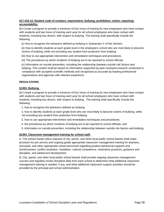# **§17:416.13. Student code of conduct; requirement; bullying; prohibition; notice; reporting; accountability.**

(b) Create a program to provide a minimum of four hours of training for new employees who have contact with students and two hours of training each year for all school employees who have contact with students, including bus drivers, with respect to bullying. The training shall specifically include the following:

(i) How to recognize the behaviors defined as bullying in Subsection C of this Section.

 (ii) How to identify students at each grade level in the employee's school who are most likely to become victims of bullying, while not excluding any student from protection from bullying.

(iii) How to use appropriate intervention and remediation techniques and procedures.

(iv) The procedures by which incidents of bullying are to be reported to school officials.

 (v) Information on suicide prevention, including the relationship between suicide risk factors and bullying. This content shall be based on information supported by peer-reviewed research conducted in compliance with accepted scientific methods and recognized as accurate by leading professional organizations and agencies with relevant experience.

# **REGULATIONS**

# **§1303. Bullying.**

(b) Create a program to provide a minimum of four hours of training for new employees who have contact with students and two hours of training each year for all school employees who have contact with students, including bus drivers, with respect to bullying. The training shall specifically include the following:

1. how to recognize the behaviors defined as bullying;

 2. how to identify students at each grade level who are most likely to become victims of bullying, while not excluding any student from protection from bullying;

- 3. how to use appropriate intervention and remediation techniques and procedures;
- 4. the procedures by which incidents of bullying are to be reported to school officials; and
- 5. information on suicide prevention, including the relationship between suicide risk factors and bullying.

#### **§1304. Classroom management training for school staff.**

A. The school master plans required of city, parish, and other local public school boards shall make provision for pre-service and ongoing grade appropriate classroom management training for teachers, principals, and other appropriate school personnel regarding positive behavioral supports and reinforcement, conflict resolution, mediation, cultural competence, restorative practices, guidance and discipline, and adolescent development.

B. City, parish, and other local public school boards shall provide ongoing classroom management courses and regularly review discipline data from each school to determine what additional classroom management training is needed, if any, and what additional classroom support activities should be provided by the principal and school administration.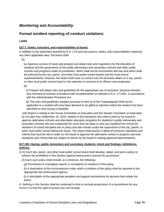# *Monitoring and Accountability*

# **Formal incident reporting of conduct violations**

# **LAWS**

#### **§17:7. Duties, functions, and responsibilities of board.**

In addition to the authorities granted by R.S. 17:6 and any powers, duties, and responsibilities vested by any other applicable laws, the board shall:

(5)

 (a) Approve courses of study and prepare and adopt rules and regulations for the discipline of students and the governance of the public elementary and secondary schools and other public schools and programs under its jurisdiction, which shall not be inconsistent with law and which shall be enforced by the city, parish, and other local public school boards and the local school superintendents; however, the board shall have no control over the business affairs of a city, parish, or other local public school board or the selection or removal of its officers and employees.

(b)

 (i) Prepare and adopt rules and guidelines for the appropriate use of seclusion, physical restraint, and mechanical restraint of students with exceptionalities as defined in R.S. 17:1942, in accordance with the Administrative Procedure Act.

 (ii) The rules and guidelines adopted pursuant to Item (i) of this Subparagraph shall not be applicable to a student who has been deemed to be gifted or talented unless the student has been identified as also having a disability.

 (32) Report in writing to the House Committee on Education and the Senate Committee on Education by not later than September 15, 2010, relative to the standards and criteria used by the board to approve alternative schools and alternative education programs for students in public elementary and secondary schools who are suspended for more than ten days or who are expelled from school for violations of school discipline law or policy and who remain under the supervision of the city, parish, or other local public school taking the action. The report shall specify in detail all minimum standards and criteria that must be met in order for the board to approve the alternative school or program and note standards and criteria that are subject to waiver by the board in making approval determinations.

#### **§17:183. Hazing; public elementary and secondary students; intent and findings; definitions; policies.**

D.(1) Each city, parish, and other local public school board shall develop, adopt, and post a policy to enforce the prohibition in this Section against hazing and to prevent its occurrence.

(2) Each such policy shall include, at a minimum, the following:

(g) Procedures to investigate reports or complaints of violations of the policy.

 (h) A description of the circumstances under which a violation of the policy shall be reported to the appropriate law enforcement agency.

 (i) A description of the appropriate penalties and appeal mechanisms for persons that violate the policy.

E. Nothing in this Section shall be construed to limit or exclude prosecution of or punishment for any crime or to limit the right to pursue any civil remedy.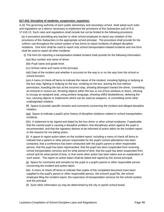# **§17:416. Discipline of students; suspension; expulsion.**

A.(4) The governing authority of each public elementary and secondary school shall adopt such rules and regulations as it deems necessary to implement the provisions of this Subsection and of R.S. 17:416.13. Such rules and regulations shall include but not be limited to the following provisions:

 (a) A procedure permitting any teacher or other school employee to report any violation of the provisions of this Subsection to the appropriate school principal. The procedure shall provide for the uniform use throughout the school system of two forms to report incidents of alleged discipline violations. One form shall be used to report only school transportation-related incidents and one form shall be used to report all other incidents.

(i) The form for reporting a transportation-related incident shall provide for the following information:

- (aa) Bus number and name of driver.
- (bb) Pupil name and grade level.
- (cc) School name and name of the principal.

 (dd) Date of the incident and whether it occurred on the way to or on the way from the school or school function.

 (ee) A menu of check-off items to indicate the nature of the incident, including fighting or bullying at the bus stop, fighting or bullying on the bus, smoking on the bus, leaving the bus without permission, boarding the bus at the incorrect stop, showing disrespect toward the driver, committing an immoral or vicious act, throwing objects within the bus or out of bus windows or doors, refusing to occupy an assigned seat, using profane language, showing willful disobedience, defacing the bus, carrying objects or implements which can be used as weapons, or committing some other undesignated violation.

 (ff) Space to provide specific remarks and comments concerning the incident and alleged discipline violation.

 (gg) Space to indicate a pupil's prior history of discipline violations related to school transportation incidents.

 (hh) A statement to be signed and dated by the bus driver or other school employee, if applicable, that the named pupil is causing a discipline problem, that disciplinary action against the pupil is recommended, and that the signatory desires to be informed of action taken on the incident report or the reasons for not taking action.

 (ii) A space to report action taken on the incident report, including a menu of check off items to indicate that a parent or other person responsible for the pupil's school attendance has been contacted, that a conference has been conducted with the pupil's parent or other responsible person, that the pupil has been reprimanded, that the pupil has been suspended from receiving school transportation services and for what period of time, that the pupil has been suspended from school and for what period of time, or that some other action has been taken and an explanation of such action. The report on action taken shall be dated and signed by the school principal.

 (jj) Space for comments and remarks by the pupil or a pupil's parent or other responsible person concerning the incident and action taken.

 (kk) A menu of check off items to indicate that copies of the completed document have been supplied to the pupil's parent or other responsible person, the school's pupil file, the school employee filing the incident report, the supervisor of transportation services for the school system, and the principal.

(ll) Such other information as may be determined by the city or parish school board.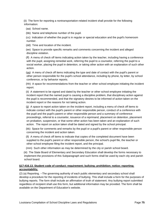(ii) The form for reporting a nontransportation-related incident shall provide for the following information:

- (aa) School name.
- (bb) Name and telephone number of the pupil.

 (cc) Indication of whether the pupil is in regular or special education and the pupil's homeroom number.

(dd) Time and location of the incident.

 (ee) Space to provide specific remarks and comments concerning the incident and alleged discipline violation.

 (ff) A menu of check off items indicating action taken by the teacher, including having a conference with the pupil, assigning remedial work, referring the pupil to a counselor, referring the pupil to a social worker, placing the pupil in detention, or taking other action with an explanation of such other action.

 (gg) A menu of check off items indicating the type and date of contact with the pupil's parent or other person responsible for the pupil's school attendance, including by phone, by letter, by school conference, or by behavior reports.

 (hh) A space for recommendations from the teacher or other school employee initiating the incident report.

 (ii) A statement to be signed and dated by the teacher or other school employee initiating the incident report that the named pupil is causing a discipline problem, that disciplinary action against the pupil is recommended, and that the signatory desires to be informed of action taken on the incident report or the reasons for not taking action.

 (jj) A space to report action taken on the incident report, including a menu of check off items to indicate contact with the pupil's parent or other responsible person, conduct of a conference with the pupil and the pupil's parent or other responsible person and a summary of conference proceedings, referral to a counselor, issuance of a reprimand, placement on detention, placement on probation, suspension, or that some other action has been taken and an explanation of such action. The report on action taken shall be dated and signed by the school principal.

 (kk) Space for comments and remarks by the pupil or a pupil's parent or other responsible person concerning the incident and action taken.

 (ll) A menu of check off items to indicate that copies of the completed document have been supplied to the pupil's parent or other responsible person, the school's pupil file, the teacher or other school employee filing the incident report, and the principal.

(mm) Such other information as may be determined by the city or parish school board.

 (iii) The State Board of Elementary and Secondary Education shall develop the forms necessary to implement the provisions of this Subparagraph and such forms shall be used by each city and parish school board.

# **§17:416.13. Student code of conduct; requirement; bullying; prohibition; notice; reporting; accountability.**

(2) (a) Reporting. --The governing authority of each public elementary and secondary school shall develop a procedure for the reporting of incidents of bullying. This shall include a form for the purposes of bullying reports. The form shall include an affirmation of truth of statement. Any bullying report submitted regardless of recipient shall use this form, but additional information may be provided. The form shall be available on the Department of Education's website.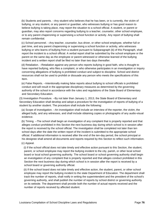(b) Students and parents. --Any student who believes that he has been, or is currently, the victim of bullying, or any student, or any parent or guardian, who witnesses bullying or has good reason to believe bullying is taking place, may report the situation to a school official. A student, or parent or guardian, may also report concerns regarding bullying to a teacher, counselor, other school employee, or to any parent chaperoning or supervising a school function or activity. Any report of bullying shall remain confidential.

 (c) School personnel. --Any teacher, counselor, bus driver, or other school employee, whether full or part time, and any parent chaperoning or supervising a school function or activity, who witnesses bullying or who learns of bullying from a student pursuant to Subparagraph (b) of this Paragraph, shall report the incident to a school official. A verbal report shall be submitted by the school employee or the parent on the same day as the employee or parent witnessed or otherwise learned of the bullying incident and a written report shall be filed no later than two days thereafter.

 (d) Retaliation. --Retaliation against any person who reports bullying in good faith, who is thought to have reported bullying, who files a complaint, or who otherwise participates in an investigation or inquiry concerning allegations of bullying is prohibited conduct and subject to discipline. School and district resources shall not be used to prohibit or dissuade any person who meets the specifications of this Item.

 (e) False Reports. --Intentionally making false reports about bullying to school officials is prohibited conduct and will result in the appropriate disciplinary measures as determined by the governing authority of the school in accordance with the rules and regulations of the State Board of Elementary and Secondary Education.

(3) Investigation Procedure. --By not later than January 1, 2013, the State Board of Elementary and Secondary Education shall develop and adopt a procedure for the investigation of reports of bullying of a student by another student. The procedure shall include the following:

 (a) Scope of investigation. --An investigation shall include an interview of the reporter, the victim, the alleged bully, and any witnesses, and shall include obtaining copies or photographs of any audio-visual evidence.

 (b) Timing. --The school shall begin an investigation of any complaint that is properly reported and that alleges conduct prohibited in this Section the next business day during which school is in session after the report is received by the school official. The investigation shall be completed not later than ten school days after the date the written report of the incident is submitted to the appropriate school official. If additional information is received after the end of the ten-day period, the school principal or his designee shall amend all documents and reports required by this Section to reflect such information.

(c) Appeal.

 (i) If the school official does not take timely and effective action pursuant to this Section, the student, parent, or school employee may report the bullying incident to the city, parish, or other local school board or local school governing authority. The school board or school governing authority shall begin an investigation of any complaint that is properly reported and that alleges conduct prohibited in this Section the next business day during which school is in session after the report is received by a school board or governing authority official.

 (ii) If the school board does not take timely and effective action, the student, parent, or other school employee may report the bullying incident to the state Department of Education. The department shall track the number of reports, shall notify in writing the superintendent and the president of the school's governing authority, and shall publish the number of reports by school district or governing authority on its website. The department shall provide both the number of actual reports received and the number of reports received by affected student.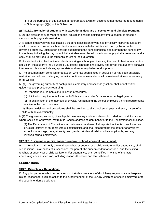(iii) For the purposes of this Section, a report means a written document that meets the requirements of Subparagraph (2)(a) of this Subsection.

# **§17:416.21. Behavior of students with exceptionalities; use of seclusion and physical restraint.**

I. (2) The director or supervisor of special education shall be notified any time a student is placed in seclusion or is physically restrained.

J. A school employee who has placed a student in seclusion or who has physically restrained a student shall document and report each incident in accordance with the policies adopted by the school's governing authority. Such report shall be submitted to the school principal not later than the school day immediately following the day on which the student was placed in seclusion or physically restrained and a copy shall be provided to the student's parent or legal guardian.

K. If a student is involved in five incidents in a single school year involving the use of physical restraint or seclusion, the student's Individualized Education Plan team shall review and revise the student's behavior intervention plan to include any appropriate and necessary behavioral supports.

L. The documentation compiled for a student who has been placed in seclusion or has been physically restrained and whose challenging behavior continues or escalates shall be reviewed at least once every three weeks.

M. (1) The governing authority of each public elementary and secondary school shall adopt written guidelines and procedures regarding:

- (a) Reporting requirements and follow-up procedures.
- (b) Notification requirements for school officials and a student's parent or other legal guardian.
- (c) An explanation of the methods of physical restraint and the school employee training requirements relative to the use of restraint.

 (2) These guidelines and procedures shall be provided to all school employees and every parent of a child with an exceptionality.

N.(1) The governing authority of each public elementary and secondary school shall report all instances where seclusion or physical restraint is used to address student behavior to the Department of Education.

 (2) The Department of Education shall maintain a database of all reported incidents of seclusion and physical restraint of students with exceptionalities and shall disaggregate the data for analysis by school; student age, race, ethnicity, and gender; student disability, where applicable; and any involved school employees.

#### **§17:223. Discipline of pupils; suspension from school, corporal punishment.**

B. [ …] Principals shall notify the visiting teacher, or supervisor of child welfare and/or attendance, of all suspensions. In all cases of suspensions, the parent, the superintendent of schools, and the visiting teacher, or supervisor of child welfare and/or attendance, shall be notified in writing of the facts concerning each suspension, including reasons therefore and terms thereof.

#### **REGULATIONS**

#### **§1301. Disciplinary Regulations.**

D. Any principal who fails to act on a report of student violations of disciplinary regulations shall explain his/her reasons for such an action to the superintendent of the LEA by which he or she is employed, or to the superintendent's designee.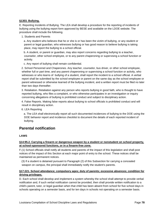# **§1303. Bullying.**

E. Reporting Incidents of Bullying. The LEA shall develop a procedure for the reporting of incidents of bullying using the bullying report form approved by BESE and available on the LDOE website. The procedure shall include the following.

1. Students and Parents

 a. Any student who believes that he or she is or has been the victim of bullying, or any student or parent or legal guardian, who witnesses bullying or has good reason to believe bullying is taking place, may report the bullying to a school official.

 b. A student, or parent or guardian, may also report concerns regarding bullying to a teacher, counselor, other school employee, or to any parent chaperoning or supervising a school function or activity.

c. Any report of bullying shall remain confidential.

 2. School Personnel and Chaperones. Any teacher, counselor, bus driver, or other school employee, whether full or part time, and any parent chaperoning or supervising a school function or activity, who witnesses or who learns of bullying of a student, shall report the incident to a school official. A verbal report shall be submitted by the school employee or parent on the same day as the school employee or parent witnessed or otherwise learned of the bullying incident, and a written report must be filed no later than two days thereafter.

 3. Retaliation. Retaliation against any person who reports bullying in good faith, who is thought to have reported bullying, who files a complaint, or who otherwise participates in an investigation or inquiry concerning allegations of bullying is prohibited conduct and subject to disciplinary action.

 4. False Reports. Making false reports about bullying to school officials is prohibited conduct and will result in disciplinary action.

6. LEA Reporting

 a. The LEA shall electronically report all such documented incidences of bullying to the DOE using the DOE behavior report and incidence checklist to document the details of each reported incident of bullying.

# **Parental notification**

**LAWS** 

# **§14:95.2. Carrying a firearm or dangerous weapon by a student or nonstudent on school property, at school-sponsored functions, or in a firearm-free zone.**

F.(1) School officials shall notify all students and parents of the impact of this legislation and shall post notices of the impact of this Section at each major point of entry to the school. These notices shall be maintained as permanent notices.

 (3) If a student is detained pursuant to Paragraph (2) of this Subsection for carrying a concealed weapon on campus, the principal shall immediately notify the student's parents.

#### **§17:221. School attendance; compulsory ages; duty of parents; excessive absences; condition for driving privileges.**

D. Each school shall develop and implement a system whereby the school shall attempt to provide verbal notification and, if such verbal notification cannot be provided, then shall provide written notification to a child's parent, tutor, or legal guardian when that child has been absent from school for five school days in schools operating on a semester basis, and for ten days in schools not operating on a semester basis.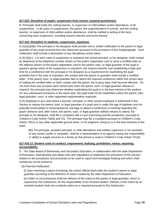# **§17:223. Discipline of pupils; suspension from school, corporal punishment.**

B. Principals shall notify the visiting teacher, or supervisor of child welfare and/or attendance, of all suspensions. In all cases of suspensions, the parent, the superintendent of schools, and the visiting teacher, or supervisor of child welfare and/or attendance, shall be notified in writing of the facts concerning each suspension, including reasons therefor and terms thereof.

#### **§17:416. Discipline of students; suspension; expulsion.**

A.(1)(c)(ii)(bb) The principal or his designee shall provide oral or written notification to the parent or legal guardian of any pupil removed from the classroom pursuant to the provisions of this Subparagraph. Such notification shall include a description of any disciplinary action taken.

A.(3) (b)(i) [...] In each case of suspension or expulsion the school principal, or his designee, shall contact by telephone at the telephone number shown on the pupil's registration card or send a certified letter at the address shown on the pupil's registration card to the parent, tutor, or legal guardian of the pupil in question giving notice of the suspension or expulsion, the reasons therefor and establishing a date and time for a conference with the principal or his designee as a requirement for readmitting the pupil provided that in the case of expulsion, the contact with the parent or guardian shall include a certified letter. If the parent, tutor, or legal guardian fails to attend the required conference within five school days of mailing the certified letter or other contact with the parent, the truancy laws shall become effective. On not more than one occasion each school year when the parent, tutor, or legal guardian refuses to respond, the principal may determine whether readmitting the pupil is in the best interest of the student. On any subsequent occasions in the same year, the pupil shall not be readmitted unless the parent, tutor, legal guardian, court, or other appointed representative responds.

A.(3) (b)(ii)(aa) In any case where a teacher, principal, or other school employee is authorized in this Section to require the parent, tutor, or legal guardian of a pupil who is under the age of eighteen and not judicially emancipated or emancipated by marriage to attend a conference or meeting regarding the pupil's behavior and, after notice, the parent, tutor, or legal guardian willfully refuses to attend, the principal or his designee, shall file a complaint with a court exercising juvenile jurisdiction, pursuant to Children's Code Article 730(8) and 731. The principal may file a complaint pursuant to Children's Code Article 730(1) or any other applicable ground when, in his judgment, doing so is in the best interests of the pupil.

 (bb) The principal, assistant principal, or child attendance and welfare supervisor or his assistant of any school, public or nonpublic, shall be a representative of an agency having the responsibility or ability to supply services to a family as that phrase is used in Children's Code Article 731(A).

#### **§17:416.13. Student code of conduct; requirement; bullying; prohibition; notice; reporting; accountability.**

D. The State Board of Elementary and Secondary Education, in collaboration with the state Department of Education, shall develop and adopt rules and regulations to implement the provisions of this Section relative to the procedures and processes to be used to report and investigate bullying and which shall include but not be limited to:

(d) Parental Notification.

 (i) Upon receiving a report of bullying, the school official shall notify the student's parent or legal guardian according to the definition of notice created by the state Department of Education.

 (ii) Under no circumstances shall the delivery of the notice to the parent or legal guardian, which is required by this Subsection, be the responsibility of an involved student. Delivery of the notice by an involved student shall not constitute notice as is required pursuant to this Subsection.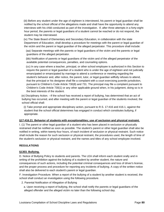(iii) Before any student under the age of eighteen is interviewed, his parent or legal guardian shall be notified by the school official of the allegations made and shall have the opportunity to attend any interviews with his child conducted as part of the investigation. If, after three attempts in a forty-eighthour period, the parents or legal guardians of a student cannot be reached or do not respond, the student may be interviewed.

 (iv) The State Board of Elementary and Secondary Education, in collaboration with the state Department of Education, shall develop a procedure for meetings with the parent or legal guardian of the victim and the parent or legal guardian of the alleged perpetrator. This procedure shall include:

 (aa) Separate meetings with the parents or legal guardians of the victim and the parents or legal guardians of the alleged perpetrator.

 (bb) Notification of parents or legal guardians of the victim and of the alleged perpetrator of the available potential consequences, penalties, and counseling options.

 (cc) In any case where a teacher, principal, or other school employee is authorized in this Section to require the parent or legal guardian of a student who is under the age of eighteen and not judicially emancipated or emancipated by marriage to attend a conference or meeting regarding the student's behavior and, after notice, the parent, tutor, or legal guardian willfully refuses to attend, that the principal or his designee shall file a complaint with a court exercising juvenile jurisdiction, pursuant to Children's Code Article 730(8) and 731. The principal may file a complaint pursuant to Children's Code Article 730(1) or any other applicable ground when, in his judgment, doing so is in the best interests of the student.

 (e) Disciplinary Action. --If the school has received a report of bullying, has determined that an act of bullying has occurred, and after meeting with the parent or legal guardian of the students involved, the school official shall:

 (i) Take prompt and appropriate disciplinary action, pursuant to R.S. 17:416 and 416.1, against the student that the school official determines has engaged in conduct which constitutes bullying, if appropriate.

#### **§17:416.21. Behavior of students with exceptionalities; use of seclusion and physical restraint.**

I. (1) The parent or other legal guardian of a student who has been placed in seclusion or physically restrained shall be notified as soon as possible. The student's parent or other legal guardian shall also be notified in writing, within twenty-four hours, of each incident of seclusion or physical restraint. Such notice shall include the reason for such seclusion or physical restraint, the procedures used, the length of time of the student's seclusion or physical restraint, and the names and titles of any school employee involved.

#### **REGULATIONS**

#### **§1303. Bullying.**

D. Notice of Bullying Policy to students and parents. The LEA shall inform each student orally and in writing of the prohibition against the bullying of a student by another student, the nature and consequences of such actions, including the potential criminal consequences and loss of driver's license, and the proper process and procedure for reporting any incidents of bullying. A copy of the written notice shall also be delivered to each student's parent or legal guardian.

F. Investigation Procedure. When a report of the bullying of a student by another student is received, the school shall conduct an investigation using the following procedure.

2. Parental Notification of Allegation of Bullying

 a. Upon receiving a report of bullying, the school shall notify the parents or legal guardians of the alleged offender and the alleged victim no later than the following school day.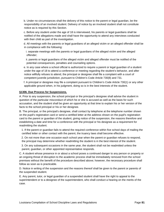b. Under no circumstances shall the delivery of this notice to the parent or legal guardian, be the responsibility of an involved student. Delivery of notice by an involved student shall not constitute notice as is required by this Section.

 c. Before any student under the age of 18 is interviewed, his parents or legal guardians shall be notified of the allegations made and shall have the opportunity to attend any interviews conducted with their child as part of the investigation.

 d. All meetings with the parents or legal guardians of an alleged victim or an alleged offender shall be in compliance with the following:

 i. separate meetings with the parents or legal guardians of the alleged victim and the alleged offender;

 ii. parents or legal guardians of the alleged victim and alleged offender must be notified of the potential consequences, penalties and counseling options.

 e. In any case where a school official is authorized to require a parent or legal guardian of a student under the age of 18 to attend a conference or meeting regarding the student's behavior, and after notice willfully refuses to attend, the principal or designee shall file a complaint with a court of competent juvenile jurisdiction, pursuant to Children's Code Article 730(8) and 731.

 f. A principal or designee may file a complaint pursuant to Children's Code Article 730(1) or any other applicable ground when, in his judgment, doing so is in the best interests of the student.

#### **§1306. Due Process for Suspensions.**

A. Prior to any suspension, the school principal or the principal's designee shall advise the student in question of the particular misconduct of which he or she is accused as well as the basis for such accusation, and the student shall be given an opportunity at that time to explain his or her version of the facts to the school principal or his or her designee.

B. The principal, or the principal's designee, shall contact by telephone at the telephone number shown on the pupil's registration card or send a certified letter at the address shown on the pupil's registration card to the parent or guardian of the student, giving notice of the suspension, the reasons therefore and establishing a date and time for a conference with the principal or his designee as a requirement for readmitting the student.

 1. If the parent or guardian fails to attend the required conference within five school days of mailing the certified letter or other contact with the parent, the truancy laws shall become effective.

 2. On not more than one occasion each school year when the parent or guardian refuses to respond, the principal may determine whether readmitting the student is in the best interest of the student.

 3. On any subsequent occasions in the same year, the student shall not be readmitted unless the parent, guardian, or other appointed representative responds.

C. A student whose presence in or about a school poses a continued danger to any person or property or an ongoing threat of disruption to the academic process shall be immediately removed from the school premises without the benefit of the procedure described above; however, the necessary procedure shall follow as soon as is practicable.

D. Notice in writing of the suspension and the reasons thereof shall be given to the parent or parents of the suspended student.

E. Any parent, tutor, or legal guardian of a suspended student shall have the right to appeal to the superintendent or to a designee of the superintendent, who shall conduct a hearing on the merits of the case.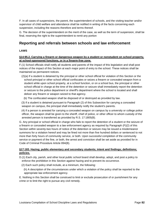F. In all cases of suspensions, the parent, the superintendent of schools, and the visiting teacher and/or supervisor of child welfare and attendance shall be notified in writing of the facts concerning each suspension, including the reasons therefore and terms thereof.

G. The decision of the superintendent on the merit of the case, as well as the term of suspension, shall be final, reserving the right to the superintendent to remit any portion

# **Reporting and referrals between schools and law enforcement**

# **LAWS**

# **§14:95.2. Carrying a firearm or dangerous weapon by a student or nonstudent on school property, at school-sponsored functions, or in a firearm-free zone.**

F.(1) School officials shall notify all students and parents of the impact of this legislation and shall post notices of the impact of this Section at each major point of entry to the school. These notices shall be maintained as permanent notices.

 (2)(a) If a student is detained by the principal or other school official for violation of this Section or the school principal or other school official confiscates or seizes a firearm or concealed weapon from a student while upon school property, at a school function, or on a school bus, the principal or other school official in charge at the time of the detention or seizure shall immediately report the detention or seizure to the police department or sheriff's department where the school is located and shall deliver any firearm or weapon seized to that agency.

(b) The confiscated weapon shall be disposed of or destroyed as provided by law.

 (3) If a student is detained pursuant to Paragraph (2) of this Subsection for carrying a concealed weapon on campus, the principal shall immediately notify the student's parents.

 (4) If a person is arrested for carrying a concealed weapon on campus by a university or college police officer, the weapon shall be given to the sheriff, chief of police, or other officer to whom custody of the arrested person is transferred as provided by R.S. 17:1805(B).

G. Any principal or school official in charge who fails to report the detention of a student or the seizure of a firearm or concealed weapon to a law enforcement agency as required by Paragraph (F)(2) of this Section within seventy-two hours of notice of the detention or seizure may be issued a misdemeanor summons for a violation hereof and may be fined not more than five hundred dollars or sentenced to not more than forty hours of community service, or both. Upon successful completion of the community service or payment of the fine, or both, the arrest and conviction shall be set aside as provided for in Code of Criminal Procedure Article 894(B).

# **§17:183. Hazing; public elementary and secondary students; intent and findings; definitions; policies.**

D.(1) Each city, parish, and other local public school board shall develop, adopt, and post a policy to enforce the prohibition in this Section against hazing and to prevent its occurrence.

- (2) Each such policy shall include, at a minimum, the following:
	- (h) A description of the circumstances under which a violation of the policy shall be reported to the appropriate law enforcement agency.

E. Nothing in this Section shall be construed to limit or exclude prosecution of or punishment for any crime or to limit the right to pursue any civil remedy.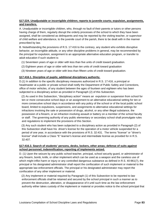# **§17:224. Unadjustable or incorrigible children; reports to juvenile courts; expulsion, assignments, and transfers.**

A. Unadjustable or incorrigible children, who, through no fault of their parents or tutors or other persons having charge of them, regularly disrupt the orderly processes of the school to which they have been assigned, shall be considered as delinquents and may be reported by the visiting teacher, or supervisor of child welfare and attendance, to the juvenile court of the parish, there to be dealt with in the manner prescribed by law.

B. Notwithstanding the provisions of R.S. 17:416 to the contrary, any student who exhibits disruptive behavior, an incorrigible attitude, or any other discipline problems in general, may be recommended by the principal for expulsion, assignment to an appropriate alternative education program, or transfer to adult education if such student is:

- (1) Seventeen years of age or older with less than five units of credit toward graduation.
- (2) Eighteen years of age or older with less than ten units of credit toward graduation
- (3) Nineteen years of age or older with less than fifteen units of credit toward graduation.

#### **§17:416.1. Discipline of pupils; additional disciplinary authority.**

D.(1) In addition to the specific disciplinary measures authorized in R.S. 17:416, a principal or headmaster at a public or private school shall notify the Department of Public Safety and Corrections, office of motor vehicles, of any student between the ages of fourteen and eighteen who has been subjected to a disciplinary action as provided in Paragraph (2) of this Subsection.

 (2) As used in this Subsection, "disciplinary action" means an expulsion or suspension from school for ten or more consecutive school days or an assignment to an alternative educational setting for ten or more consecutive school days in accordance with any policy of the school or of the local public school board, limited to expulsions, suspensions, and assignments to alternative educational settings for infractions involving the sale or possession of drugs, alcohol, or any other illegal substance, the possession of a firearm, or an infraction involving assault or battery on a member of the school faculty or staff. The governing authority of any public elementary or secondary school shall promulgate rules and regulations to implement the provisions of this Section.

 (3) Any such student who has been subjected to a disciplinary action as provided in Paragraph (2) of this Subsection shall have his driver's license for the operation of a motor vehicle suspended for a period of one year, in accordance with the provisions of R.S. 32:431. The terms "license" or "driver's license" shall include a Class "E" learner's license and intermediate license as provided for in R.S. 32:407.

#### **§17:416.3. Search of students' persons, desks, lockers, other areas; defense of suits against school personnel; indemnification; reporting of implements seized.**

D. (1) Upon the seizure by any public school teacher, principal, school security guard, or administrator of any firearm, bomb, knife, or other implement which can be used as a weapon and the careless use of which might inflict harm or injury or any controlled dangerous substance as defined in R.S. 40:961(7), the principal or his designated administrator shall report the confiscation of such implement or material to the appropriate law enforcement officials. The principal or his designated administrator may report the confiscation of any other implement or material.

 (2) Any implement or material required by Paragraph (1) of this Subsection to be reported to law enforcement officials shall be retained and secured by the school principal in such a manner as to prevent the destruction, alteration, or disappearance of it until such time as the law enforcement authority either takes custody of the implement or material or provides notice to the school principal that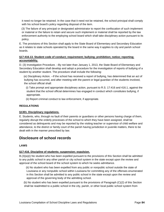it need no longer be retained. In the case that it need not be retained, the school principal shall comply with his school board's policy regarding disposal of the item.

 (3) The failure of any principal or designated administrator to report the confiscation of such implement or material or the failure to retain and secure such implement or material shall be reported by the law enforcement authority to the employing school board which shall take disciplinary action pursuant to its policy.

E. The provisions of this Section shall apply to the State Board of Elementary and Secondary Education as it relates to state schools operated by the board in the same way it applies to city and parish school boards.

# **§17:416.13. Student code of conduct; requirement; bullying; prohibition; notice; reporting; accountability.**

D. (3) Investigation Procedure. --By not later than January 1, 2013, the State Board of Elementary and Secondary Education shall develop and adopt a procedure for the investigation of reports of bullying of a student by another student. The procedure shall include the following:

 (e) Disciplinary Action. --If the school has received a report of bullying, has determined that an act of bullying has occurred, and after meeting with the parent or legal guardian of the students involved, the school official shall:

 (i) Take prompt and appropriate disciplinary action, pursuant to R.S. 17:416 and 416.1, against the student that the school official determines has engaged in conduct which constitutes bullying, if appropriate.

(ii) Report criminal conduct to law enforcement, if appropriate.

# **REGULATIONS**

#### **§1301. Disciplinary regulations.**

E. Students, who, through no fault of their parents or guardians or other persons having charge of them, regularly disrupt the orderly processes of the school to which they have been assigned, shall be considered as delinquents and may be reported by the visiting teacher or supervisor of child welfare and attendance, to the district or family court of the parish having jurisdiction in juvenile matters, there to be dealt with in the manner prescribed by law.

# **Disclosure of school records**

#### **LAWS**

# **§17:416. Discipline of students; suspension; expulsion.**

B.(3)(a)(i) No student who has been expelled pursuant to the provisions of this Section shall be admitted to any public school in any other parish or city school system in the state except upon the review and approval of the school board of the school system to which he seeks admittance.

 (ii) No student who has been expelled from any public or nonpublic school outside the state of Louisiana or any nonpublic school within Louisiana for committing any of the offenses enumerated in this Section shall be admitted to any public school in the state except upon the review and approval of the governing body of the admitting school.

 (b) No student who has been expelled pursuant to the provisions of Paragraph (C)(2) of this Section shall be readmitted to a public school in the city, parish, or other local public school system from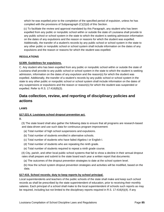which he was expelled prior to the completion of the specified period of expulsion, unless he has complied with the provisions of Subparagraph (C)(2)(d) of this Section.

 (c) To facilitate the review and approval mandated by this Paragraph, any student who has been expelled from any public or nonpublic school within or outside the state of Louisiana shall provide to any public school or school system in the state to which the student is seeking admission information on the dates of any expulsions and the reason or reasons for which the student was expelled. Additionally, the transfer of a student's records by any public school or school system in the state to any other public or nonpublic school or school system shall include information on the dates of any expulsions and the reason or reasons for which the student was expelled.

# **REGULATIONS**

# **§1309. Guidelines for expulsions.**

C. Any student who has been expelled from any public or nonpublic school within or outside the state of Louisiana shall provide to any public school or school system in the state to which the student is seeking admission, information on the dates of any expulsion and the reason(s) for which the student was expelled. Additionally, the transfer of a student's records by any public school or school system in the state to any other public or nonpublic school or school system shall include information on the dates of any suspensions or expulsions and the reason or reason(s) for which the student was suspended or expelled. Refer to R.S. 17:416(B)(3).

# **Data collection, review, and reporting of disciplinary policies and actions**

# **LAWS**

# **§17:221.4. Louisiana school dropout prevention act.**

B.

 (3) The state board shall also gather the following data to ensure that all programs are research-based and data-driven and use such data for continuous program improvement:

- (a) Total number of high school suspensions and expulsions.
- (b) Total number of students enrolled in alternative schools.
- (c) Total number of students who have failed Algebra I or English I.
- (d) Total number of students who are repeating the ninth grade.
- (e) Total number of students required to repeat a ninth grade course.

 (4) City, parish, and other local public school systems that fail to show a decline in their annual dropout rates shall prepare and submit to the state board each year a written report that documents:

(a) The outcomes of the dropout prevention strategies to date at the school system level.

 (b) How the school system dropout prevention strategies and activities will be modified, based on the data.

#### **§17:415. School records; duty to keep reports by school principal.**

Local superintendents and teachers of the public schools of the state shall make and keep such school records as shall be prescribed by the state superintendent of education, prior to receiving their monthly salaries. Each principal of a school shall make to the local superintendent of schools such reports as may be required, including but not limited to the disciplinary reports required in R.S. 17:416(A)(4). If any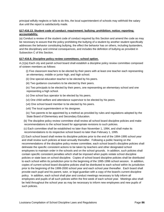principal wilfully neglects or fails to do this, the local superintendent of schools may withhold the salary due until the report is satisfactorily made.

# **§17:416.13. Student code of conduct; requirement; bullying; prohibition; notice; reporting; accountability.**

(a) Conduct a review of the student code of conduct required by this Section and amend the code as may be necessary to assure that the policy prohibiting the bullying of a student by another student specifically addresses the behavior constituting bullying, the effect the behavior has on others, including bystanders, and the disciplinary and criminal consequences, and includes the definition of bullying as provided in Subsection C of this Section.

# **§17:416.8. Discipline policy review committees; school option.**

A.(1)(a) Each city and parish school board shall establish a discipline policy review committee composed of sixteen members as follows:

 (i) Five classroom teachers to be elected by their peers with at least one teacher each representing an elementary, middle or junior high, and high school.

- (ii) One special education teacher to be elected by his peers.
- (iii) Two guidance counselors to be elected by their peers.

 (iv) Two principals to be elected by their peers, one representing an elementary school and one representing a high school.

- (v) One school bus operator to be elected by his peers.
- (vi) One child welfare and attendance supervisor to be elected by his peers.
- (vii) One school board member to be elected by his peers.
- (viii) The local superintendent or his designee.
- (ix) Two parents to be appointed by a method as provided by rules and regulations adopted by the State Board of Elementary and Secondary Education.

 (b) The discipline policy review committee shall review all school board discipline policies and make recommendations to the school board for appropriate revisions to such policies.

 (c) Each committee shall be established no later than November 1, 1994, and shall make its recommendations to its respective school board no later than February 1, 1995.

 (2) Each school board shall review its discipline policies prior to the end of the 1994-1995 school year and shall review such policies at least annually thereafter. Following a public hearing on the recommendations of the discipline policy review committee, each school board's discipline policies shall delineate the specific consistent actions to be taken by teachers and other designated school employees to maintain order in the schools and on the school grounds. In addition, such policies shall contain specific consistent penalties which shall be imposed when pupils violate school discipline policies or state laws on school discipline. Copies of school board discipline policies shall be distributed to each school within its jurisdiction prior to the beginning of the 1995-1996 school session. In addition, copies of current school board discipline policies shall be distributed to each school within its jurisdiction prior to the beginning of the 1999-2000 school year and each school year thereafter. Each board shall provide each pupil and his parent, tutor, or legal guardian with a copy of the board's current discipline policy. In addition, each school shall plan and conduct meetings necessary to fully inform all employees and pupils of all such policies within the first week of each school year. Meetings also shall be held throughout the school year as may be necessary to inform new employees and new pupils of such policies.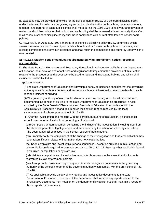B. Except as may be provided otherwise for the development or review of a school's discipline policy under the terms of a collective bargaining agreement applicable to the public school, the administrators, teachers, and parents at each public school shall meet during the 1995-1996 school year and develop or review the discipline policy for their school and such policy shall be reviewed at least annually thereafter. In all cases, a school's discipline policy shall be in compliance with current state law and school board policies.

C. However, if, on August 27, 1994, there is in existence a discipline policy review committee which serves the same function for any city or parish school board or for any public school in the state, such existing committee shall remain in existence and shall retain the composition and authority under which it was created.

# **§17:416.13. Student code of conduct; requirement; bullying; prohibition; notice; reporting; accountability.**

D. The State Board of Elementary and Secondary Education, in collaboration with the state Department of Education, shall develop and adopt rules and regulations to implement the provisions of this Section relative to the procedures and processes to be used to report and investigate bullying and which shall include but not be limited to:

(g) Documentation.

 (i) The state Department of Education shall develop a behavior incidence checklist that the governing authority of each public elementary and secondary school shall use to document the details of each reported incident of bullying.

 (ii) The governing authority of each public elementary and secondary school shall report all such documented incidences of bullying to the state Department of Education as prescribed in rules adopted by the State Board of Elementary and Secondary Education in accordance with the Administrative Procedure Act and documented incidents in reports received by the local superintendent of schools pursuant to R.S. 17:415.

 (iii) After the investigation and meeting with the parents, pursuant to this Section, a school, local school board or other local school governing authority shall:

 (aa) Compose a written document containing the findings of the investigation, including input from the students' parents or legal guardian, and the decision by the school or school system official. The document shall be placed in the school records of both students.

 (bb) Promptly notify the complainant of the findings of the investigation and that remedial action has been taken, if such release of information does not violate the law.

 (cc) Keep complaints and investigative reports confidential, except as provided in this Section and where disclosure is required to be made pursuant to 20 U.S.C. 1232g or by other applicable federal laws, rules, or regulations or by state law.

 (dd) Maintain complaints and investigative reports for three years in the event that disclosure is warranted by law enforcement officials.

 (ee) As applicable, provide a copy of any reports and investigative documents to the governing authority of the school in order that the governing authority can comply with the provisions of R.S. 17:416.1.

 (ff) As applicable, provide a copy of any reports and investigative documents to the state Department of Education. Upon receipt, the department shall remove any reports related to the investigative documents from notation on the department's website, but shall maintain a record of those reports for three years.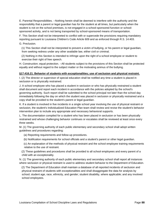E. Parental Responsibilities. --Nothing herein shall be deemed to interfere with the authority and the responsibility that a parent or legal guardian has for the student at all times, but particularly when the student is not on the school premises, is not engaged in a school-sponsored function or schoolsponsored activity, and is not being transported by school-sponsored means of transportation.

F. This Section shall not be interpreted to conflict with or supercede the provisions requiring mandatory reporting pursuant to Louisiana Children's Code Article 609 and as enforced through R.S. 14:403.

G. Preclusion.

 (1) This Section shall not be interpreted to prevent a victim of bullying, or his parent or legal guardian, from seeking redress under any other available law, either civil or criminal.

 (2) Nothing in this Section is intended to infringe upon the right of a school employee or student to exercise their right of free speech.

H. Construction; equal protection. --All students subject to the provisions of this Section shall be protected equally and without regard to the subject matter or the motivating animus of the bullying.

# **§17:416.21. Behavior of students with exceptionalities; use of seclusion and physical restraint.**

I. (2) The director or supervisor of special education shall be notified any time a student is placed in seclusion or is physically restrained.

J. A school employee who has placed a student in seclusion or who has physically restrained a student shall document and report each incident in accordance with the policies adopted by the school's governing authority. Such report shall be submitted to the school principal not later than the school day immediately following the day on which the student was placed in seclusion or physically restrained and a copy shall be provided to the student's parent or legal guardian.

K. If a student is involved in five incidents in a single school year involving the use of physical restraint or seclusion, the student's Individualized Education Plan team shall review and revise the student's behavior intervention plan to include any appropriate and necessary behavioral supports.

L. The documentation compiled for a student who has been placed in seclusion or has been physically restrained and whose challenging behavior continues or escalates shall be reviewed at least once every three weeks.

M. (1) The governing authority of each public elementary and secondary school shall adopt written guidelines and procedures regarding:

- (a) Reporting requirements and follow-up procedures.
- (b) Notification requirements for school officials and a student's parent or other legal guardian.
- (c) An explanation of the methods of physical restraint and the school employee training requirements relative to the use of restraint.

 (2) These guidelines and procedures shall be provided to all school employees and every parent of a child with an exceptionality.

N. (1) The governing authority of each public elementary and secondary school shall report all instances where seclusion or physical restraint is used to address student behavior to the Department of Education.

 (2) The Department of Education shall maintain a database of all reported incidents of seclusion and physical restraint of students with exceptionalities and shall disaggregate the data for analysis by school; student age, race, ethnicity, and gender; student disability, where applicable; and any involved school employees.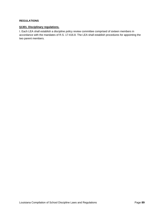#### **REGULATIONS**

# **§1301. Disciplinary regulations.**

I. Each LEA shall establish a discipline policy review committee comprised of sixteen members in accordance with the mandates of R.S. 17:416.8. The LEA shall establish procedures for appointing the two parent members.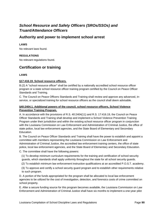# *School Resource and Safety Officers (SROs/SSOs) and Truant/Attendance Officers*

# **Authority and power to implement school arrest**

# **LAWS**

No relevant laws found.

# **REGULATIONS**

No relevant regulations found.

# **Certification or training**

# **LAWS**

# **§17:416.19. School resource officers.**

B.(2) A "school resource officer" shall be certified by a nationally accredited school resource officer program or a state school resource officer training program certified by the Council on Peace Officer Standards and Training.

C. The Council on Peace Officers Standards and Training shall review and approve any advanced, inservice, or specialized training for school resource officers as the council shall deem advisable.

# **§40:2404.1. Additional powers of the council, school resource officers, School Violence Prevention Training Program.**

A. In accordance with the provisions of R.S. 40:2404(11) and R.S. 17:416.19, the Council on Peace Officer Standards and Training shall develop and implement a School Violence Prevention Training Program under their jurisdiction and within the existing school resource officer program in conjunction with the Louisiana Commission on Law Enforcement and Administration of Criminal Justice, the office of state police, local law enforcement agencies, and the State Board of Elementary and Secondary Education.

B. The Council on Peace Officer Standards and Training shall have the power to establish and appoint a committee with members representing the Louisiana Commission on Law Enforcement and Administration of Criminal Justice, the accredited law enforcement training centers, the office of state police, local law enforcement agencies, and the State Board of Elementary and Secondary Education.

C. The committee shall have the following powers:

- (1) To develop minimum curriculum requirements for the training and certification of school security guards, which standards shall apply uniformly throughout the state for all school security guards.
- (2) To establish minimum law enforcement instruction qualifications at an accredited P.O.S.T. academy.
- (3) To approve and certify a school security guard program and to establish other requirements relative to such program.

D. A portion of the funds appropriated for the program shall be allocated to local law enforcement agencies to be utilized for the cost of investigation, detection, and forensics costs of crime committed on school property.

E. After a secure funding source for this program becomes available, the Louisiana Commission on Law Enforcement and Administration of Criminal Justice shall have six months to implement a one-year pilot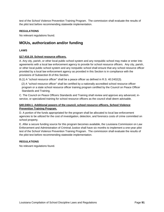test of the School Violence Prevention Training Program. The commission shall evaluate the results of the pilot test before recommending statewide implementation.

#### **REGULATIONS**

No relevant regulations found.

# **MOUs, authorization and/or funding**

#### **LAWS**

#### **§17:416.19. School resource officers.**

A. Any city, parish, or other local public school system and any nonpublic school may make or enter into agreements with a local law enforcement agency to provide for school resource officers. Any city, parish, or other local public school system and any nonpublic school shall ensure that any school resource officer provided by a local law enforcement agency as provided in this Section is in compliance with the provisions of Subsection B of this Section.

B.(1) A "school resource officer" shall be a peace officer as defined in R.S. 40:2402(3).

 (2) A "school resource officer" shall be certified by a nationally accredited school resource officer program or a state school resource officer training program certified by the Council on Peace Officer Standards and Training.

C. The Council on Peace Officers Standards and Training shall review and approve any advanced, inservice, or specialized training for school resource officers as the council shall deem advisable.

#### **§40:2404.1. Additional powers of the council, school resource officers, School Violence Prevention Training Program.**

D. A portion of the funds appropriated for the program shall be allocated to local law enforcement agencies to be utilized for the cost of investigation, detection, and forensics costs of crime committed on school property.

E. After a secure funding source for this program becomes available, the Louisiana Commission on Law Enforcement and Administration of Criminal Justice shall have six months to implement a one-year pilot test of the School Violence Prevention Training Program. The commission shall evaluate the results of the pilot test before recommending statewide implementation.

#### **REGULATIONS**

No relevant regulations found.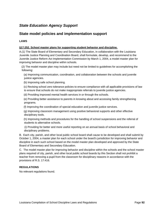# *State Education Agency Support*

# **State model policies and implementation support**

# **LAWS**

# **§17:252. School master plans for supporting student behavior and discipline.**

A.(1) The State Board of Elementary and Secondary Education, in collaboration with the Louisiana Juvenile Justice Planning and Coordination Board, shall formulate, develop, and recommend to the Juvenile Justice Reform Act Implementation Commission by March 1, 2004, a model master plan for improving behavior and discipline within schools.

 (2) The model master plan may include but need not be limited to guidelines for accomplishing the following:

 (a) Improving communication, coordination, and collaboration between the schools and juvenile justice agencies.

(b) Improving safe school planning.

 (c) Revising school zero tolerance policies to ensure compliance with all applicable provisions of law to ensure that schools do not make inappropriate referrals to juvenile justice agencies.

(d) Providing improved mental health services in or through the schools.

 (e) Providing better assistance to parents in knowing about and accessing family strengthening programs.

(f) Improving the coordination of special education and juvenile justice services.

 (g) Improving classroom management using positive behavioral supports and other effective disciplinary tools.

 (h) Improving methods and procedures for the handling of school suspensions and the referral of students to alternative schools.

 (i) Providing for better and more useful reporting on an annual basis of school behavioral and disciplinary problems.

B. Each city, parish, and other local public school board shall cause to be developed and shall submit by October 1, 2004, a master plan for each school under the board's jurisdiction for improving behavior and discipline in each such school based on the model master plan developed and approved by the State Board of Elementary and Secondary Education.

C. The model master plan for improving behavior and discipline within the schools and the school master plans required of city, parish, and other local public school boards by this Section shall not prohibit a teacher from removing a pupil from the classroom for disciplinary reasons in accordance with the provisions of R.S. 17:416.

#### **REGULATIONS**

No relevant regulations found.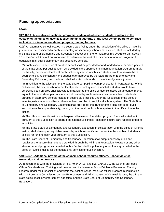# **Funding appropriations**

# **LAWS**

# **§17:100.1. Alternative educational programs; certain adjudicated students; students in the custody of the office of juvenile justice; funding; authority of the local school board to contract; inclusion in minimum foundation program; funding formula.**

C.(1) An alternative school located in a secure care facility under the jurisdiction of the office of juvenile justice shall be considered a public elementary or secondary school and, as such, shall be included by the State Board of Elementary and Secondary Education in the formula required by Article VIII, Section 13 of the Constitution of Louisiana used to determine the cost of a minimum foundation program of education in all public elementary and secondary schools.

 (2) Each student in such an alternative school shall be provided for and funded at one hundred percent of the state share per pupil amount as provided in the approved minimum foundation program formula for the city, parish, or other local public school system in which such student would otherwise have been enrolled, as contained in the budget letter approved by the State Board of Elementary and Secondary Education, and the board shall allocate such funds to the office of juvenile justice.

 (3) In addition to the allocation of the state share per pupil amount provided for in Paragraph (2) of this Subsection, the city, parish, or other local public school system in which the student would have otherwise been enrolled shall allocate and transfer to the office of juvenile justice an amount of money equal to the local share per pupil amount allocated by such system times the number of students enrolled in alternative schools located in secure care facilities under the jurisdiction of the office of juvenile justice who would have otherwise been enrolled in such local school system. The State Board of Elementary and Secondary Education shall provide for the transfer of the local share per pupil amount from the appropriate city, parish, or other local public school system to the office of juvenile justice.

 (4) The office of juvenile justice shall expend all minimum foundation program funds allocated to it pursuant to this Subsection to operate the alternative schools located in secure care facilities under its jurisdiction.

 (5) The State Board of Elementary and Secondary Education, in collaboration with the office of juvenile justice, shall develop an equitable means by which to identify and determine the number of students eligible for funding each year pursuant to this Subsection.

 (6) The State Board of Elementary and Secondary Education shall adopt necessary rules and regulations to assure that no funds provided through the Minimum Foundation Program or any other state or federal program as provided in this Section shall supplant any other funding provided to the office of juvenile justice for the educational services for such children.

# **§40:2404.1. Additional powers of the council, school resource officers, School Violence Prevention Training Program.**

A. In accordance with the provisions of R.S. 40:2404(11) and R.S. 17:416.19, the Council on Peace Officer Standards and Training shall develop and implement a School Violence Prevention Training Program under their jurisdiction and within the existing school resource officer program in conjunction with the Louisiana Commission on Law Enforcement and Administration of Criminal Justice, the office of state police, local law enforcement agencies, and the State Board of Elementary and Secondary Education.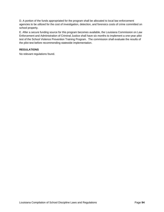D. A portion of the funds appropriated for the program shall be allocated to local law enforcement agencies to be utilized for the cost of investigation, detection, and forensics costs of crime committed on school property.

E. After a secure funding source for this program becomes available, the Louisiana Commission on Law Enforcement and Administration of Criminal Justice shall have six months to implement a one-year pilot test of the School Violence Prevention Training Program. The commission shall evaluate the results of the pilot test before recommending statewide implementation.

# **REGULATIONS**

No relevant regulations found.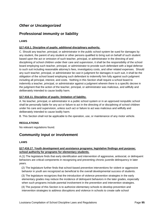# *Other or Uncategorized*

# **Professional immunity or liability**

# **LAWS**

# **§17:416.1. Discipline of pupils; additional disciplinary authority.**

C. Should any teacher, principal, or administrator in the public school system be sued for damages by any student, the parent of any student or other persons qualified to bring suit on behalf of such student based upon the act or omission of such teacher, principal, or administrator in the directing of and disciplining of school children under their care and supervision, it shall be the responsibility of the school board employing such teacher, principal, or administrator to provide such defendant with a legal defense to such suit including reasonable attorney's fees, investigatory costs, and other related expenses. Should any such teacher, principal, or administrator be cast in judgment for damages in such suit, it shall be the obligation of the school board employing such defendant to indemnify him fully against such judgment including all principal, interest, and costs. Nothing in this Section shall require a school board to indemnify a teacher, principal, or administrator against a judgment wherein there is a specific decree in the judgment that the action of the teacher, principal, or administrator was malicious, and willfully and deliberately intended to cause bodily harm.

# **§17:416.11. Discipline of pupils; limitation of liability.**

A. No teacher, principal, or administrator in a public school system or in an approved nonpublic school shall be personally liable for any act or failure to act in the directing of or disciplining of school children under his care and supervision, unless such act or failure to act was malicious and willfully and deliberately intended to cause bodily harm.

B. This Section shall not be applicable to the operation, use, or maintenance of any motor vehicle.

# **REGULATIONS**

No relevant regulations found.

# **Community input or involvement**

#### **LAWS**

# **§17:416.17. Youth development and assistance programs; legislative findings and purpose; school authority for programs for elementary students.**

A.(1) The legislature finds that early identification and intervention of aggressive, antisocial, or delinquent behaviors are critical components in recognizing and preventing chronic juvenile delinquency in later years.

 (2) The legislature further finds that school-based preventive interventions for violent or aggressive behavior in youth are recognized as beneficial to the overall developmental success of students.

 (3) The legislature recognizes that the introduction of violence prevention strategies in the early elementary grades may reduce the incidence of delinquent behaviors in the later grades, especially when such programs include parental involvement in the prevention and intervention strategies.

 (4) The purpose of this Section is to authorize elementary schools to develop prevention and intervention strategies to address disruptions and violence in schools to create safe school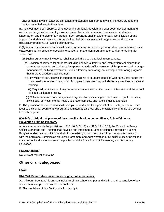environments in which teachers can teach and students can learn and which increase student and family connectedness to the school.

B. A school may, upon approval of its governing authority, develop and offer youth development and assistance programs that employ violence prevention and intervention initiatives for students in kindergarten and the elementary grades. Such programs shall provide for early identification of and support for students who are at risk before their behavior escalates into aggression or disruption, disciplinary problems, or juvenile delinquency.

C.(1) A youth development and assistance program may consist of age- or grade-appropriate alternative classrooms during school or special intervention or prevention programs before, after, or during the school day.

- (2) Such programs may include but shall not be limited to the following components:
	- (a) Provision of services for students including behavioral training and intervention techniques that promote cooperation and enhance interpersonal and conflict resolution skills, peer mediation, anger management, bullying prevention, life skills training, mentoring, counseling, and tutoring programs that improve academic achievement.
	- (b)(i) Provision of services which support the parents of students identified with behavioral needs that may need intervention or support. Such parent services may include literacy services or parental training.
		- (ii) Required participation of any parent of a student so identified in such intervention at the school or other designated facility.
		- (c) Collaboration with community-based organizations, including but not limited to youth services, civic, social services, mental health, volunteer services, and juvenile justice agencies.

D The provisions of this Section shall be implemented upon the approval of each city, parish, or other local public school board of any program submitted by a school and the availability of funds to a school for such purpose.

# **§40:2404.1. Additional powers of the council, school resource officers, School Violence Prevention Training Program.**

A. In accordance with the provisions of R.S. 40:2404(11) and R.S. 17:416.19, the Council on Peace Officer Standards and Training shall develop and implement a School Violence Prevention Training Program under their jurisdiction and within the existing school resource officer program in conjunction with the Louisiana Commission on Law Enforcement and Administration of Criminal Justice, the office of state police, local law enforcement agencies, and the State Board of Elementary and Secondary Education.

# **REGULATIONS**

No relevant regulations found.

# **Other or uncategorized**

#### **LAWS**

#### **§14:95.6. Firearm-free zone; notice; signs; crime; penalties.**

A. A "firearm-free zone" is an area inclusive of any school campus and within one thousand feet of any such school campus, and within a school bus.

B. The provisions of this Section shall not apply to: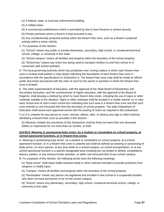- (1) A federal, state, or local law enforcement building.
- (2) A military base.
- (3) A commercial establishment which is permitted by law to have firearms or armed security.
- (4) Private premises where a firearm is kept pursuant to law.

 (5) Any constitutionally protected activity within the firearm-free zone, such as a firearm contained entirely within a motor vehicle.

#### C. For purposes of this Section:

 (1) "School" means any public or private elementary, secondary, high school, or vocational-technical school, college, or university in this state.

(2) "School campus" means all facilities and property within the boundary of the school property.

 (3) "School bus" means any motor bus being used to transport children to and from school or in connection with school activities.

D. The local governing authority which has jurisdiction over zoning matters in which each firearm-free zone is located shall publish a map clearly indicating the boundaries of each firearm-free zone in accordance with the specifications in Subsection A. The firearm-free zone map shall be made an official public document and placed with the clerk of court for the parish or parishes in which the firearm-free zone is located.

E. The state superintendent of education, with the approval of the State Board of Elementary and Secondary Education, and the commissioner of higher education, with the approval of the Board of Regents, shall develop a method by which to mark firearm-free zones, including the use of signs or other markings suitable to the situation. Signs or other markings shall be located in a visible manner on or near each school and on and in each school bus indicating that such area is a firearm-free zone and that such zone extends to one thousand feet from the boundary of school property. The state Department of Education shall assist each approved school with the posting of notice as required in this Subsection.

F.(1) It is unlawful for any person to cover, remove, deface, alter, or destroy any sign or other marking identifying a firearm-free zone as provided in this Section.

 (2) Whoever violates the provisions of this Subsection shall be fined not more than one thousand dollars or imprisoned for not more than six months, or both.

# **§14:95.9. Wearing or possessing body armor, by a student or nonstudent on school property, at school-sponsored functions, or in firearm-free zones.**

A. Wearing or possessing body armor, by a student or nonstudent on school property, at a schoolsponsored function, or in a firearm-free zone is unlawful and shall be defined as wearing or possessing of body armor, on one's person, at any time while on a school campus, on school transportation, or at any school-sponsored function in a specific designated area including but not limited to athletic competitions, dances, parties, or any extracurricular activities, or within one thousand feet of any school campus.

B. For purposes of this Section, the following words have the following meanings:

 (1) "Body armor" shall mean bullet-resistant metal or other material intended to provide protection from weapons or bodily injury.

(2) "Campus" means all facilities and property within the boundary of the school property.

 (3) "Nonstudent" means any person not registered and enrolled in that school or a suspended student who does not have permission to be on the school campus.

 (4) "School" means any elementary, secondary, high school, vocational-technical school, college, or university in this state.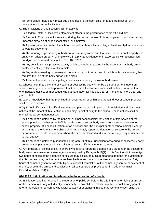(5) "School bus" means any motor bus being used to transport children to and from school or in connection with school activities.

C. The provisions of this Section shall not apply to:

(1) A federal, state, or local law enforcement officer in the performance of his official duties.

 (2) A school official or employee acting during the normal course of his employment or a student acting under the direction of such school official or employee.

 (3) A person who has notified the school principal or chancellor in writing at least twenty-four hours prior to wearing body armor.

 (4) The wearing or possessing of body armor occurring within one thousand feet of school property and entirely on private property, or entirely within a private residence, or in accordance with a concealed handgun permit issued pursuant to R.S. 40:1379.1.

 (5) Any constitutionally protected activity which cannot be regulated by the state, such as body armor contained entirely within a motor vehicle.

 (6) Any student wearing or possessing body armor to or from a class, in which he is duly enrolled, that requires the use of the body armor in the class.

(7) A student enrolled or participating in an activity requiring the use of body armor.

D. Whoever commits the crime of wearing or possessing body armor by a student or nonstudent on school property, at a school-sponsored function, or in a firearm-free zone shall be fined not more than one thousand dollars, or imprisoned, without hard labor, for not less than six months nor more than one year, or both.

E. Lack of knowledge that the prohibited act occurred on or within one thousand feet of school property shall not be a defense.

F.(1) School officials shall notify all students and parents of the impact of this legislation and shall post notices of the impact of this Section at each major point of entry to the school. These notices shall be maintained as permanent notices.

 (2) If a student is detained by the principal or other school official for violation of this Section or the school principal or other school official confiscates or seizes body armor from a student while upon school property, at a school function, or on a school bus, the principal or other school official in charge at the time of the detention or seizure shall immediately report the detention or seizure to the police department or sheriff's department where the school is located and shall deliver any body armor seized to that agency.

 (3) If a student is detained pursuant to Paragraph (2) of this Subsection for wearing or possessing body armor on campus, the principal shall immediately notify the student's parents.

G. Any principal or school official in charge who fails to report the detention of a student or the seizure of body armor to a law enforcement agency as required by Paragraph (F)(2) of this Section within seventytwo hours of notice of the detention or seizure may be issued a misdemeanor summons for a violation of this Section and may be fined not more than five hundred dollars or sentenced to not more than forty hours of community service, or both. Upon successful completion of the community service or payment of the fine, or both, the arrest and conviction shall be set aside as provided for in Code of Criminal Procedure Article 894(B).

# **§14:122.1. Intimidation and interference in the operation of schools.**

A. Intimidation and interference in the operation of public schools is the offering to do or doing of any act, or threatening to do any act, directly or indirectly, to any child enrolled in a public school, to any parent, tutor or guardian, or person having lawful custody of or standing in loco parentis to any such child, the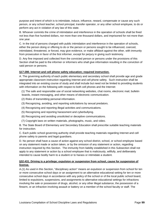purpose and intent of which is to intimidate, induce, influence, reward, compensate or cause any such person, or any school teacher, school principal, transfer operator, or any other school employee, to do or perform any act in violation of any law of this state.

B. Whoever commits the crime of intimidation and interference in the operation of schools shall be fined not less than five hundred dollars, nor more than one thousand dollars, and imprisoned for not more than one year.

C. In the trial of persons charged with public intimidation and interference in the operation of schools, either the person doing or offering to do or the person or persons sought to be influenced, coerced, intimidated, threatened, or forced, may give evidence, or make affidavit against the other, with immunity from prosecution in favor of the first informer, except for perjury in giving such testimony.

D. Any fine imposed and collected from the convicted person or persons under the provisions of this Section shall be paid to the informer or informers who shall give information resulting in the conviction of said person or persons.

# **§17:280. Internet and cell phone safety education; required instruction.**

A. The governing authority of each public elementary and secondary school shall provide age and grade appropriate classroom instruction regarding Internet and cell phone safety. Such instruction shall be integrated into an existing course of study and shall include but need not be limited to providing students with information on the following with respect to both cell phones and the Internet:

 (1) The safe and responsible use of social networking websites, chat rooms, electronic mail, bulletin boards, instant messaging, and other means of electronic communication.

- (2) Risks of transmitting personal information.
- (3) Recognizing, avoiding, and reporting solicitations by sexual predators.
- (4) Recognizing and reporting illegal activities and communications.
- (5) Recognizing and reporting harassment and cyberbullying.
- (6) Recognizing and avoiding unsolicited or deceptive communications.
- (7) Copyright laws on written materials, photographs, music, and video.

B. The State Board of Elementary and Secondary Education shall prescribe suitable teaching materials for instruction.

C. Each public school governing authority shall provide teaching materials regarding Internet and cell phone safety to parents and legal guardians.

D. No person shall have a cause of action against any school district, school, or school employee based on any statement made or action taken, or by the omission of any statement or action, regarding instruction required by this Section. The immunity from liability established in this Subsection shall not apply to any statement or action by a school employee that is maliciously, willfully, and deliberately intended to cause bodily harm to a student or to harass or intimidate a student.

# **§32:431. Driving is a privilege; expulsion or suspension from school, cause for suspension of license.**

A.(1) As used in this Section, "disciplinary action" means an expulsion or suspension from school for ten or more consecutive school days or an assignment to an alternative educational setting for ten or more consecutive school days in accordance with any policy of the school or of the local public school board, limited to expulsions, suspensions, and assignments to alternative educational settings for infractions involving the sale or possession of drugs, alcohol, or any other illegal substance, the possession of a firearm, or an infraction involving assault or battery on a member of the school faculty or staff. The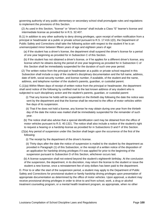governing authority of any public elementary or secondary school shall promulgate rules and regulations to implement the provisions of this Section.

 (2) As used in this Section, "license" or "driver's license" shall include a Class "E" learner's license and intermediate license as provided for in R.S. 32:407.

B.(1) In addition to any other authority to deny driving privileges, upon receipt of written notification from a principal or headmaster at a public or private school pursuant to R.S. 17:416.1(D), the Department of Public Safety and Corrections shall take the following action with respect to the student if he is an unemancipated minor between fifteen years of age and eighteen years of age:

 (a) If the student has a driver's license, the department shall suspend the driver's license for a period of one year beginning as provided for in Subsection C of this Section.

 (b) If the student has not obtained a driver's license, or if he applies for a different driver's license, any license which he obtains during the period of one year beginning as provided for in Subsection C of this Section shall be immediately suspended for the duration of such one-year period.

 (2) The written notice from the principal or headmaster at a public or private school required in this Subsection shall include a copy of the student's disciplinary documentation and the full name, address, date of birth, social security number, and license number, if available, of the student and the name, address, and telephone number of the student's parents, guardian, or custodial parent.

C.(1)(a) Within fifteen days of receipt of written notice from the principal or headmaster, the department shall send notice of the following by certified mail to the last known address of any student who is subjected to such disciplinary action and the student's parents, guardian, or custodial parent:

 (i) That any license he holds will be suspended on the thirtieth day following the date the notice was sent by the department and that the license shall be returned to the office of motor vehicles within five days of its suspension.

 (ii) That if he does not hold a license, any license he may obtain during one year from the thirtieth day of the date the notice was mailed shall be immediately suspended for the remainder of such year.

 (b) The notice shall also advise that a special identification card may be obtained from the office of motor vehicles pursuant to R.S. 40:1321. The notice shall also include a notice of the student's right to request a hearing or a hardship license as provided for in Subsections D and F of this Section.

 (2)(a) Any period of suspension under this Section shall begin upon the occurrence of the first of the following:

(i) The receipt by the department of the driver's license.

 (ii) Thirty days after the date the notice of suspension is mailed to the student by the department as provided in Paragraph (1) of this Subsection, or the receipt of a written notice of the disposition of an application for hardship driving privileges if it was applied for prior to the beginning of the suspension pursuant to Subsection D of this Section, whichever occurs last.

 (b) A license suspension shall not extend beyond the student's eighteenth birthday. At the conclusion of the suspension, the department, in its discretion, may return the license to the student or issue the student a new license, once a reinstatement fee of sixty dollars has been paid to the department.

D. Prior to or after the start of the suspension period, a student may apply to the Department of Public Safety and Corrections for provisional student or family hardship driving privileges upon presentation of appropriate documentation as determined by the office of motor vehicles. Upon approval, a student may receive provisional driving privileges in order to drive to and from school, work, a drug or alcohol treatment counseling program, or a mental health treatment program, as appropriate, when no other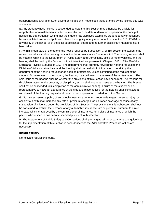transportation is available. Such driving privileges shall not exceed those granted by the license that was suspended.

E. Any student whose license is suspended pursuant to this Section may otherwise be eligible for reapplication or reinstatement if, after six months from the date of denial or suspension, the principal notifies the department in writing that the student has displayed exemplary student behavior at school, has not violated any school policies or been found guilty of any misconduct pursuant to R.S. 17:416 or any policy of the school or of the local public school board, and no further disciplinary measures have been taken.

F. Within fifteen days of the date of the notice required by Subsection C of this Section the student may request an administrative hearing pursuant to the Administrative Procedure Act. The hearing request shall be made in writing to the Department of Public Safety and Corrections, office of motor vehicles, and the hearing shall be held by the Division of Administrative Law pursuant to Chapter 13-B of Title 49 of the Louisiana Revised Statutes of 1950. The department shall promptly forward the hearing request to the Division of Administrative Law, and the hearing shall be held within thirty days of receipt by the department of the hearing request or as soon as practicable, unless continued at the request of the student. At the request of the student, the hearing may be limited to a review of the written record. The sole issue at the hearing shall be whether the provisions of this Section have been met. The reasons for disciplinary action or the propriety of disciplinary action shall not be an issue at the hearing. The license shall not be suspended until completion of the administrative hearing. Failure of the student or his representative to make an appearance at the time and place noticed for the hearing shall constitute a withdrawal of the hearing request and result in the suspension provided for in this Section.

G. No insurer issuing a policy of automobile insurance covering property damages, personal injury, or accidental death shall increase any rate or premium charges for insurance coverage because of any suspension of a license under the provisions of this Section. The provisions of this Subsection shall not be construed to prohibit the increase of any automobile insurance rate or premium, pursuant to a rate increase which is approved by the commissioner of insurance, for a class of insurance of which the person whose license has been suspended pursuant to this Section.

H. The Department of Public Safety and Corrections shall promulgate all necessary rules and guidelines for the implementation of this Section in accordance with the Administrative Procedure Act as are necessary.

# **REGULATIONS**

No relevant regulations found.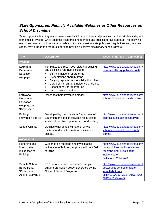# *State-Sponsored, Publicly Available Websites or Other Resources on School Discipline*

Safe, supportive learning environments use disciplinary policies and practices that help students stay out of the justice system, while ensuring academic engagement and success for all students. The following resources provided by Louisiana provide additional context to state policy and regulations and, in some cases, may support the readers' efforts to provide a positive disciplinary school climate.

| Title                                                                      | <b>Description</b>                                                                                                                                                                                                                                                                                                                                                                          | Website address (if applicable)                                                                                                                |  |
|----------------------------------------------------------------------------|---------------------------------------------------------------------------------------------------------------------------------------------------------------------------------------------------------------------------------------------------------------------------------------------------------------------------------------------------------------------------------------------|------------------------------------------------------------------------------------------------------------------------------------------------|--|
| <b>Website</b>                                                             |                                                                                                                                                                                                                                                                                                                                                                                             |                                                                                                                                                |  |
| Louisiana<br>Department of<br>Education<br>webpage                         | Templates and resources related to bullying<br>and discipline referrals, including:<br>Bullying incident report forms<br>$\bullet$<br>Presentations about bullying<br>$\bullet$<br>Bullying reporting responsibility flow chart<br>$\bullet$<br>Corporal Punishment Incidence Checklist<br>$\bullet$<br>School behavior report forms<br>$\bullet$<br>Bus behavior report forms<br>$\bullet$ | http://www.louisianabelieves.com/<br>resources/library/public-schools                                                                          |  |
| Louisiana<br>Department of<br>Education<br>webpage on<br>"Discipline. "    | Describes their prevention model.                                                                                                                                                                                                                                                                                                                                                           | http://www.louisianabelieves.com/<br>schools/public-schools/discipline                                                                         |  |
| <b>Bullying</b><br><b>Prevention Toolkit</b>                               | Developed by the Louisiana Department of<br>Education, this toolkit provides resources to<br>assist school district prevent and end bullying.                                                                                                                                                                                                                                               | http://www.louisianabelieves.com/<br>schools/public-schools/bullying                                                                           |  |
| <b>School Climate</b>                                                      | Outlines what school climate is, why it<br>matters, and how to create a positive school<br>climate.                                                                                                                                                                                                                                                                                         | http://www.louisianabelieves.com/<br>schools/public-schools/school-<br>climate                                                                 |  |
| <b>Documents</b>                                                           |                                                                                                                                                                                                                                                                                                                                                                                             |                                                                                                                                                |  |
| Reporting and<br>Investigating<br>Incidences of<br><b>Bullying</b>         | Guidance on reporting and investigating<br>incidences of bullying, as provided in Act 861<br>of 2012.                                                                                                                                                                                                                                                                                       | http://www.louisianabelieves.com/<br>docs/public-school/overview---<br>reporting-and-investigating-<br>incidences-of-<br>bullying.pdf?sfvrsn=3 |  |
| Sample School<br><b>Board Policy</b><br>"Prohibition<br>Against Bullying": | PDF document with Louisiana's sample<br>bullying prohibition policy; generated by the<br>Office of Student Programs.                                                                                                                                                                                                                                                                        | http://www.louisianabelieves.com/<br>docs/public-school/template---<br>sample-bullying-<br>policy12EA763F2BB4D1C6A542<br>3027.pdf?sfvrsn=3     |  |